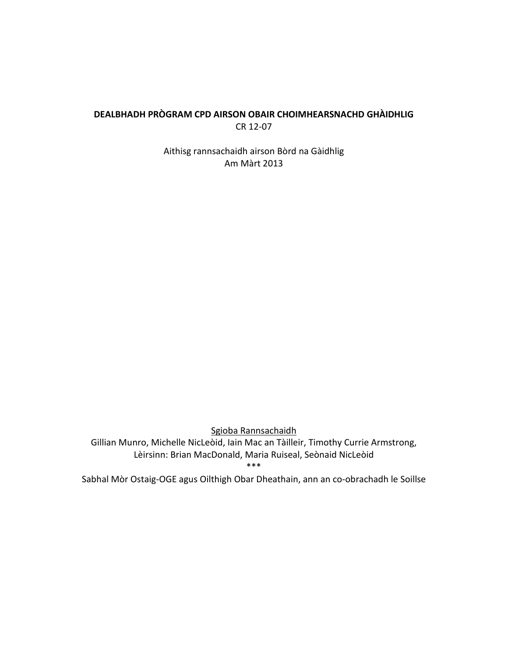# **DEALBHADH PRÒGRAM CPD AIRSON OBAIR CHOIMHEARSNACHD GHÀIDHLIG** CR 12-07

Aithisg rannsachaidh airson Bòrd na Gàidhlig Am Màrt 2013

Sgioba Rannsachaidh Gillian Munro, Michelle NicLeòid, Iain Mac an Tàilleir, Timothy Currie Armstrong, Lèirsinn: Brian MacDonald, Maria Ruiseal, Seònaid NicLeòid \*\*\*

Sabhal Mòr Ostaig-OGE agus Oilthigh Obar Dheathain, ann an co-obrachadh le Soillse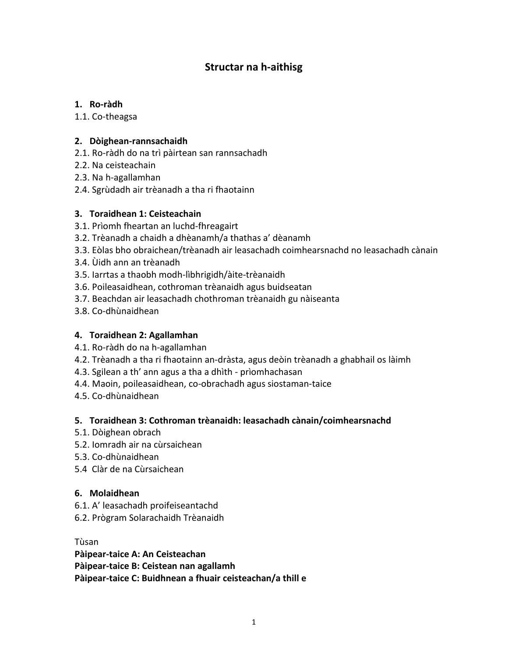# **Structar na h-aithisg**

## **1. Ro-ràdh**

1.1. Co-theagsa

# **2. Dòighean-rannsachaidh**

- 2.1. Ro-ràdh do na trì pàirtean san rannsachadh
- 2.2. Na ceisteachain
- 2.3. Na h-agallamhan
- 2.4. Sgrùdadh air trèanadh a tha ri fhaotainn

# **3. Toraidhean 1: Ceisteachain**

- 3.1. Prìomh fheartan an luchd-fhreagairt
- 3.2. Trèanadh a chaidh a dhèanamh/a thathas a' dèanamh
- 3.3. Eòlas bho obraichean/trèanadh air leasachadh coimhearsnachd no leasachadh cànain
- 3.4. Ùidh ann an trèanadh
- 3.5. Iarrtas a thaobh modh-lìbhrigidh/àite-trèanaidh
- 3.6. Poileasaidhean, cothroman trèanaidh agus buidseatan
- 3.7. Beachdan air leasachadh chothroman trèanaidh gu nàiseanta
- 3.8. Co-dhùnaidhean

## **4. Toraidhean 2: Agallamhan**

- 4.1. Ro-ràdh do na h-agallamhan
- 4.2. Trèanadh a tha ri fhaotainn an-dràsta, agus deòin trèanadh a ghabhail os làimh
- 4.3. Sgilean a th' ann agus a tha a dhìth prìomhachasan
- 4.4. Maoin, poileasaidhean, co-obrachadh agus siostaman-taice
- 4.5. Co-dhùnaidhean

# **5. Toraidhean 3: Cothroman trèanaidh: leasachadh cànain/coimhearsnachd**

- 5.1. Dòighean obrach
- 5.2. Iomradh air na cùrsaichean
- 5.3. Co-dhùnaidhean
- 5.4 Clàr de na Cùrsaichean

## **6. Molaidhean**

- 6.1. A' leasachadh proifeiseantachd
- 6.2. Prògram Solarachaidh Trèanaidh

Tùsan

**Pàipear-taice A: An Ceisteachan Pàipear-taice B: Ceistean nan agallamh Pàipear-taice C: Buidhnean a fhuair ceisteachan/a thill e**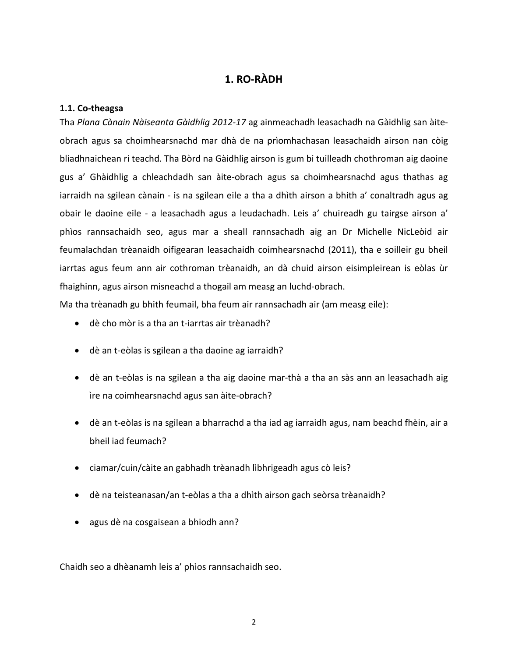# **1. RO-RÀDH**

#### **1.1. Co-theagsa**

Tha *Plana Cànain Nàiseanta Gàidhlig 2012-17* ag ainmeachadh leasachadh na Gàidhlig san àiteobrach agus sa choimhearsnachd mar dhà de na prìomhachasan leasachaidh airson nan còig bliadhnaichean ri teachd. Tha Bòrd na Gàidhlig airson is gum bi tuilleadh chothroman aig daoine gus a' Ghàidhlig a chleachdadh san àite-obrach agus sa choimhearsnachd agus thathas ag iarraidh na sgilean cànain - is na sgilean eile a tha a dhìth airson a bhith a' conaltradh agus ag obair le daoine eile - a leasachadh agus a leudachadh. Leis a' chuireadh gu tairgse airson a' phìos rannsachaidh seo, agus mar a sheall rannsachadh aig an Dr Michelle NicLeòid air feumalachdan trèanaidh oifigearan leasachaidh coimhearsnachd (2011), tha e soilleir gu bheil iarrtas agus feum ann air cothroman trèanaidh, an dà chuid airson eisimpleirean is eòlas ùr fhaighinn, agus airson misneachd a thogail am measg an luchd-obrach.

Ma tha trèanadh gu bhith feumail, bha feum air rannsachadh air (am measg eile):

- dè cho mòr is a tha an t-iarrtas air trèanadh?
- dè an t-eòlas is sgilean a tha daoine ag iarraidh?
- dè an t-eòlas is na sgilean a tha aig daoine mar-thà a tha an sàs ann an leasachadh aig ìre na coimhearsnachd agus san àite-obrach?
- dè an t-eòlas is na sgilean a bharrachd a tha iad ag iarraidh agus, nam beachd fhèin, air a bheil iad feumach?
- ciamar/cuin/càite an gabhadh trèanadh lìbhrigeadh agus cò leis?
- dè na teisteanasan/an t-eòlas a tha a dhìth airson gach seòrsa trèanaidh?
- agus dè na cosgaisean a bhiodh ann?

Chaidh seo a dhèanamh leis a' phìos rannsachaidh seo.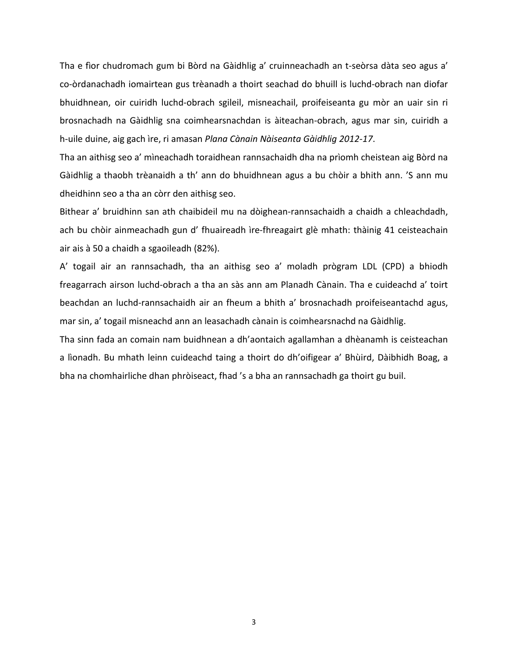Tha e fìor chudromach gum bi Bòrd na Gàidhlig a' cruinneachadh an t-seòrsa dàta seo agus a' co-òrdanachadh iomairtean gus trèanadh a thoirt seachad do bhuill is luchd-obrach nan diofar bhuidhnean, oir cuiridh luchd-obrach sgileil, misneachail, proifeiseanta gu mòr an uair sin ri brosnachadh na Gàidhlig sna coimhearsnachdan is àiteachan-obrach, agus mar sin, cuiridh a h-uile duine, aig gach ìre, ri amasan *Plana Cànain Nàiseanta Gàidhlig 2012-17*.

Tha an aithisg seo a' mìneachadh toraidhean rannsachaidh dha na prìomh cheistean aig Bòrd na Gàidhlig a thaobh trèanaidh a th' ann do bhuidhnean agus a bu chòir a bhith ann. 'S ann mu dheidhinn seo a tha an còrr den aithisg seo.

Bithear a' bruidhinn san ath chaibideil mu na dòighean-rannsachaidh a chaidh a chleachdadh, ach bu chòir ainmeachadh gun d' fhuaireadh ìre-fhreagairt glè mhath: thàinig 41 ceisteachain air ais à 50 a chaidh a sgaoileadh (82%).

A' togail air an rannsachadh, tha an aithisg seo a' moladh prògram LDL (CPD) a bhiodh freagarrach airson luchd-obrach a tha an sàs ann am Planadh Cànain. Tha e cuideachd a' toirt beachdan an luchd-rannsachaidh air an fheum a bhith a' brosnachadh proifeiseantachd agus, mar sin, a' togail misneachd ann an leasachadh cànain is coimhearsnachd na Gàidhlig.

Tha sinn fada an comain nam buidhnean a dh'aontaich agallamhan a dhèanamh is ceisteachan a lìonadh. Bu mhath leinn cuideachd taing a thoirt do dh'oifigear a' Bhùird, Dàibhidh Boag, a bha na chomhairliche dhan phròiseact, fhad 's a bha an rannsachadh ga thoirt gu buil.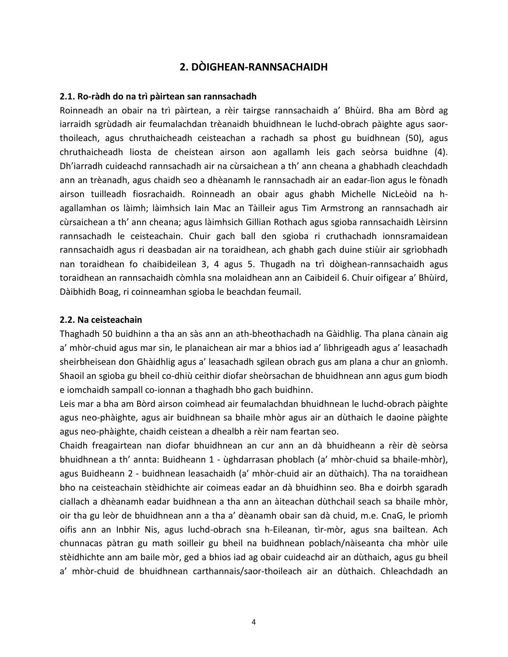# **2. DÒIGHEAN-RANNSACHAIDH**

#### **2.1. Ro-ràdh do na trì pàirtean san rannsachadh**

Roinneadh an obair na trì pàirtean, a rèir tairgse rannsachaidh a' Bhùird. Bha am Bòrd ag iarraidh sgrùdadh air feumalachdan trèanaidh bhuidhnean le luchd-obrach pàighte agus saorthoileach, agus chruthaicheadh ceisteachan a rachadh sa phost gu buidhnean (50), agus chruthaicheadh liosta de cheistean airson aon agallamh leis gach seòrsa buidhne (4). Dh'iarradh cuideachd rannsachadh air na cùrsaichean a th' ann cheana a ghabhadh cleachdadh ann an trèanadh, agus chaidh seo a dhèanamh le rannsachadh air an eadar-lìon agus le fònadh airson tuilleadh fiosrachaidh. Roinneadh an obair agus ghabh Michelle NicLeòid na hagallamhan os làimh; làimhsich Iain Mac an Tàilleir agus Tim Armstrong an rannsachadh air cùrsaichean a th' ann cheana; agus làimhsich Gillian Rothach agus sgioba rannsachaidh Lèirsinn rannsachadh le ceisteachain. Chuir gach ball den sgioba ri cruthachadh ionnsramaidean rannsachaidh agus ri deasbadan air na toraidhean, ach ghabh gach duine stiùir air sgrìobhadh nan toraidhean fo chaibideilean 3, 4 agus 5. Thugadh na trì dòighean-rannsachaidh agus toraidhean an rannsachaidh còmhla sna molaidhean ann an Caibideil 6. Chuir oifigear a' Bhùird, Dàibhidh Boag, ri coinneamhan sgioba le beachdan feumail.

#### **2.2. Na ceisteachain**

Thaghadh 50 buidhinn a tha an sàs ann an ath-bheothachadh na Gàidhlig. Tha plana cànain aig a' mhòr-chuid agus mar sin, le planaichean air mar a bhios iad a' lìbhrigeadh agus a' leasachadh sheirbheisean don Ghàidhlig agus a' leasachadh sgilean obrach gus am plana a chur an gnìomh. Shaoil an sgioba gu bheil co-dhiù ceithir diofar sheòrsachan de bhuidhnean ann agus gum biodh e iomchaidh sampall co-ionnan a thaghadh bho gach buidhinn.

Leis mar a bha am Bòrd airson coimhead air feumalachdan bhuidhnean le luchd-obrach pàighte agus neo-phàighte, agus air buidhnean sa bhaile mhòr agus air an dùthaich le daoine pàighte agus neo-phàighte, chaidh ceistean a dhealbh a rèir nam feartan seo.

Chaidh freagairtean nan diofar bhuidhnean an cur ann an dà bhuidheann a rèir dè seòrsa bhuidhnean a th' annta: Buidheann 1 - ùghdarrasan phoblach (a' mhòr-chuid sa bhaile-mhòr), agus Buidheann 2 - buidhnean leasachaidh (a' mhòr-chuid air an dùthaich). Tha na toraidhean bho na ceisteachain stèidhichte air coimeas eadar an dà bhuidhinn seo. Bha e doirbh sgaradh ciallach a dhèanamh eadar buidhnean a tha ann an àiteachan dùthchail seach sa bhaile mhòr, oir tha gu leòr de bhuidhnean ann a tha a' dèanamh obair san dà chuid, m.e. CnaG, le prìomh oifis ann an Inbhir Nis, agus luchd-obrach sna h-Eileanan, tìr-mòr, agus sna bailtean. Ach chunnacas pàtran gu math soilleir gu bheil na buidhnean poblach/nàiseanta cha mhòr uile stèidhichte ann am baile mòr, ged a bhios iad ag obair cuideachd air an dùthaich, agus gu bheil a' mhòr-chuid de bhuidhnean carthannais/saor-thoileach air an dùthaich. Chleachdadh an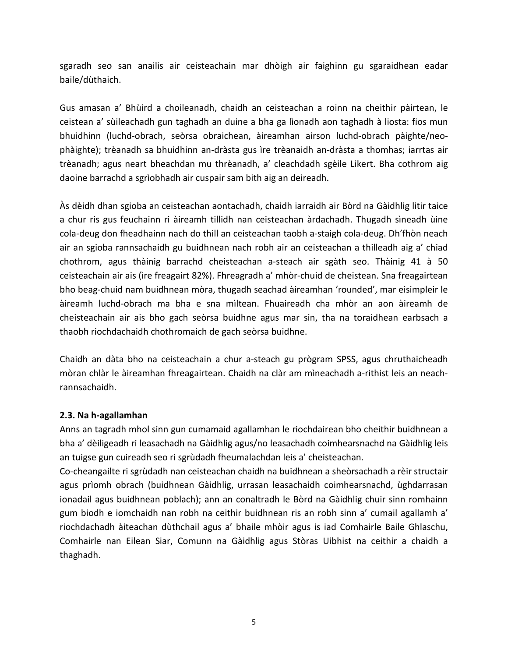sgaradh seo san anailis air ceisteachain mar dhòigh air faighinn gu sgaraidhean eadar baile/dùthaich.

Gus amasan a' Bhùird a choileanadh, chaidh an ceisteachan a roinn na cheithir pàirtean, le ceistean a' sùileachadh gun taghadh an duine a bha ga lìonadh aon taghadh à liosta: fios mun bhuidhinn (luchd-obrach, seòrsa obraichean, àireamhan airson luchd-obrach pàighte/neophàighte); trèanadh sa bhuidhinn an-dràsta gus ìre trèanaidh an-dràsta a thomhas; iarrtas air trèanadh; agus neart bheachdan mu thrèanadh, a' cleachdadh sgèile Likert. Bha cothrom aig daoine barrachd a sgrìobhadh air cuspair sam bith aig an deireadh.

Às dèidh dhan sgioba an ceisteachan aontachadh, chaidh iarraidh air Bòrd na Gàidhlig litir taice a chur ris gus feuchainn ri àireamh tillidh nan ceisteachan àrdachadh. Thugadh sìneadh ùine cola-deug don fheadhainn nach do thill an ceisteachan taobh a-staigh cola-deug. Dh'fhòn neach air an sgioba rannsachaidh gu buidhnean nach robh air an ceisteachan a thilleadh aig a' chiad chothrom, agus thàinig barrachd cheisteachan a-steach air sgàth seo. Thàinig 41 à 50 ceisteachain air ais (ìre freagairt 82%). Fhreagradh a' mhòr-chuid de cheistean. Sna freagairtean bho beag-chuid nam buidhnean mòra, thugadh seachad àireamhan 'rounded', mar eisimpleir le àireamh luchd-obrach ma bha e sna mìltean. Fhuaireadh cha mhòr an aon àireamh de cheisteachain air ais bho gach seòrsa buidhne agus mar sin, tha na toraidhean earbsach a thaobh riochdachaidh chothromaich de gach seòrsa buidhne.

Chaidh an dàta bho na ceisteachain a chur a-steach gu prògram SPSS, agus chruthaicheadh mòran chlàr le àireamhan fhreagairtean. Chaidh na clàr am mìneachadh a-rithist leis an neachrannsachaidh.

## **2.3. Na h-agallamhan**

Anns an tagradh mhol sinn gun cumamaid agallamhan le riochdairean bho cheithir buidhnean a bha a' dèiligeadh ri leasachadh na Gàidhlig agus/no leasachadh coimhearsnachd na Gàidhlig leis an tuigse gun cuireadh seo ri sgrùdadh fheumalachdan leis a' cheisteachan.

Co-cheangailte ri sgrùdadh nan ceisteachan chaidh na buidhnean a sheòrsachadh a rèir structair agus prìomh obrach (buidhnean Gàidhlig, urrasan leasachaidh coimhearsnachd, ùghdarrasan ionadail agus buidhnean poblach); ann an conaltradh le Bòrd na Gàidhlig chuir sinn romhainn gum biodh e iomchaidh nan robh na ceithir buidhnean ris an robh sinn a' cumail agallamh a' riochdachadh àiteachan dùthchail agus a' bhaile mhòir agus is iad Comhairle Baile Ghlaschu, Comhairle nan Eilean Siar, Comunn na Gàidhlig agus Stòras Uibhist na ceithir a chaidh a thaghadh.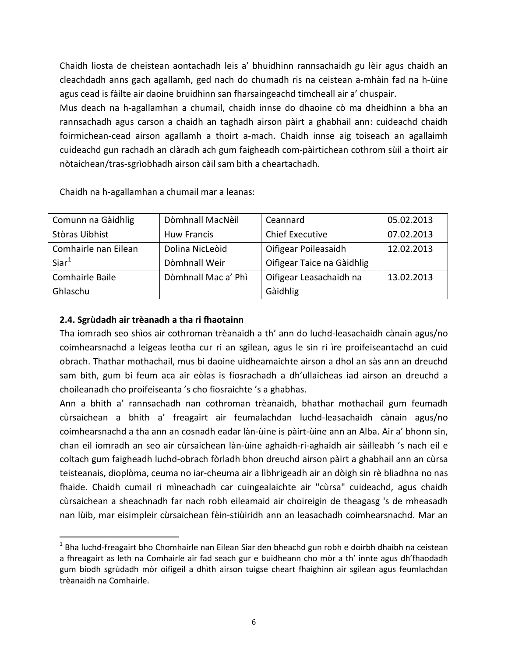Chaidh liosta de cheistean aontachadh leis a' bhuidhinn rannsachaidh gu lèir agus chaidh an cleachdadh anns gach agallamh, ged nach do chumadh ris na ceistean a-mhàin fad na h-ùine agus cead is fàilte air daoine bruidhinn san fharsaingeachd timcheall air a' chuspair.

Mus deach na h-agallamhan a chumail, chaidh innse do dhaoine cò ma dheidhinn a bha an rannsachadh agus carson a chaidh an taghadh airson pàirt a ghabhail ann: cuideachd chaidh foirmichean-cead airson agallamh a thoirt a-mach. Chaidh innse aig toiseach an agallaimh cuideachd gun rachadh an clàradh ach gum faigheadh com-pàirtichean cothrom sùil a thoirt air nòtaichean/tras-sgrìobhadh airson càil sam bith a cheartachadh.

Chaidh na h-agallamhan a chumail mar a leanas:

| Comunn na Gàidhlig   | Dòmhnall MacNèil    | Ceannard                   | 05.02.2013 |
|----------------------|---------------------|----------------------------|------------|
| Stòras Uibhist       | <b>Huw Francis</b>  | <b>Chief Executive</b>     | 07.02.2013 |
| Comhairle nan Eilean | Dolina NicLeòid     | Oifigear Poileasaidh       | 12.02.2013 |
| Siar <sup>1</sup>    | Dòmhnall Weir       | Oifigear Taice na Gàidhlig |            |
| Comhairle Baile      | Dòmhnall Mac a' Phì | Oifigear Leasachaidh na    | 13.02.2013 |
| Ghlaschu             |                     | Gàidhlig                   |            |

## **2.4. Sgrùdadh air trèanadh a tha ri fhaotainn**

 $\overline{\phantom{a}}$ 

Tha iomradh seo shìos air cothroman trèanaidh a th' ann do luchd-leasachaidh cànain agus/no coimhearsnachd a leigeas leotha cur ri an sgilean, agus le sin ri ìre proifeiseantachd an cuid obrach. Thathar mothachail, mus bi daoine uidheamaichte airson a dhol an sàs ann an dreuchd sam bith, gum bi feum aca air eòlas is fiosrachadh a dh'ullaicheas iad airson an dreuchd a choileanadh cho proifeiseanta 's cho fiosraichte 's a ghabhas.

Ann a bhith a' rannsachadh nan cothroman trèanaidh, bhathar mothachail gum feumadh cùrsaichean a bhith a' freagairt air feumalachdan luchd-leasachaidh cànain agus/no coimhearsnachd a tha ann an cosnadh eadar làn-ùine is pàirt-ùine ann an Alba. Air a' bhonn sin, chan eil iomradh an seo air cùrsaichean làn-ùine aghaidh-ri-aghaidh air sàilleabh 's nach eil e coltach gum faigheadh luchd-obrach fòrladh bhon dreuchd airson pàirt a ghabhail ann an cùrsa teisteanais, dioplòma, ceuma no iar-cheuma air a lìbhrigeadh air an dòigh sin rè bliadhna no nas fhaide. Chaidh cumail ri mìneachadh car cuingealaichte air "cùrsa" cuideachd, agus chaidh cùrsaichean a sheachnadh far nach robh eileamaid air choireigin de theagasg 's de mheasadh nan lùib, mar eisimpleir cùrsaichean fèin-stiùiridh ann an leasachadh coimhearsnachd. Mar an

<span id="page-6-0"></span> $<sup>1</sup>$  Bha luchd-freagairt bho Chomhairle nan Eilean Siar den bheachd gun robh e doirbh dhaibh na ceistean</sup> a fhreagairt as leth na Comhairle air fad seach gur e buidheann cho mòr a th' innte agus dh'fhaodadh gum biodh sgrùdadh mòr oifigeil a dhìth airson tuigse cheart fhaighinn air sgilean agus feumlachdan trèanaidh na Comhairle.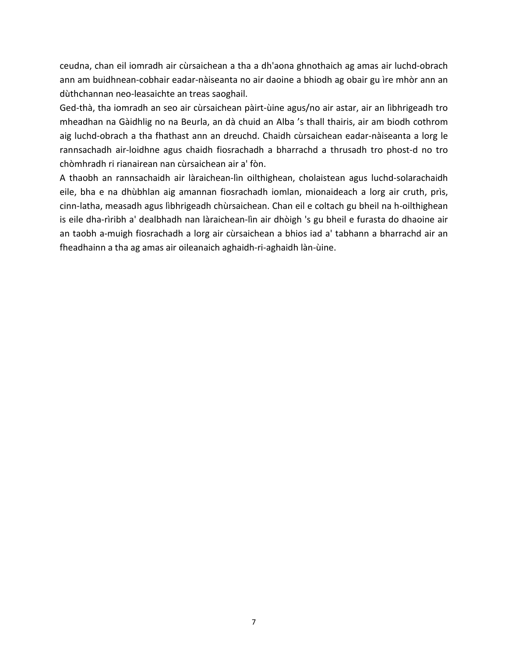ceudna, chan eil iomradh air cùrsaichean a tha a dh'aona ghnothaich ag amas air luchd-obrach ann am buidhnean-cobhair eadar-nàiseanta no air daoine a bhiodh ag obair gu ìre mhòr ann an dùthchannan neo-leasaichte an treas saoghail.

Ged-thà, tha iomradh an seo air cùrsaichean pàirt-ùine agus/no air astar, air an lìbhrigeadh tro mheadhan na Gàidhlig no na Beurla, an dà chuid an Alba 's thall thairis, air am biodh cothrom aig luchd-obrach a tha fhathast ann an dreuchd. Chaidh cùrsaichean eadar-nàiseanta a lorg le rannsachadh air-loidhne agus chaidh fiosrachadh a bharrachd a thrusadh tro phost-d no tro chòmhradh ri rianairean nan cùrsaichean air a' fòn.

A thaobh an rannsachaidh air làraichean-lìn oilthighean, cholaistean agus luchd-solarachaidh eile, bha e na dhùbhlan aig amannan fiosrachadh iomlan, mionaideach a lorg air cruth, prìs, cinn-latha, measadh agus lìbhrigeadh chùrsaichean. Chan eil e coltach gu bheil na h-oilthighean is eile dha-rìribh a' dealbhadh nan làraichean-lìn air dhòigh 's gu bheil e furasta do dhaoine air an taobh a-muigh fiosrachadh a lorg air cùrsaichean a bhios iad a' tabhann a bharrachd air an fheadhainn a tha ag amas air oileanaich aghaidh-ri-aghaidh làn-ùine.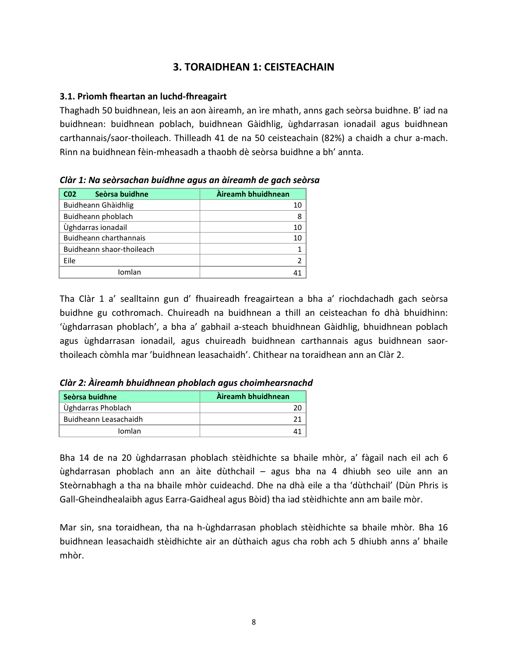# **3. TORAIDHEAN 1: CEISTEACHAIN**

### **3.1. Prìomh fheartan an luchd-fhreagairt**

Thaghadh 50 buidhnean, leis an aon àireamh, an ìre mhath, anns gach seòrsa buidhne. B' iad na buidhnean: buidhnean poblach, buidhnean Gàidhlig, ùghdarrasan ionadail agus buidhnean carthannais/saor-thoileach. Thilleadh 41 de na 50 ceisteachain (82%) a chaidh a chur a-mach. Rinn na buidhnean fèin-mheasadh a thaobh dè seòrsa buidhne a bh' annta.

| Seòrsa buidhne<br>CO <sub>2</sub> | Àireamh bhuidhnean |
|-----------------------------------|--------------------|
| Buidheann Ghàidhlig               | 10                 |
| Buidheann phoblach                | 8                  |
| Ùghdarras ionadail                | 10                 |
| <b>Buidheann charthannais</b>     | 10                 |
| Buidheann shaor-thoileach         |                    |
| Eile                              | 2                  |
| Iomlan                            |                    |

*Clàr 1: Na seòrsachan buidhne agus an àireamh de gach seòrsa*

Tha Clàr 1 a' sealltainn gun d' fhuaireadh freagairtean a bha a' riochdachadh gach seòrsa buidhne gu cothromach. Chuireadh na buidhnean a thill an ceisteachan fo dhà bhuidhinn: 'ùghdarrasan phoblach', a bha a' gabhail a-steach bhuidhnean Gàidhlig, bhuidhnean poblach agus ùghdarrasan ionadail, agus chuireadh buidhnean carthannais agus buidhnean saorthoileach còmhla mar 'buidhnean leasachaidh'. Chithear na toraidhean ann an Clàr 2.

| Seòrsa buidhne        | Àireamh bhuidhnean |
|-----------------------|--------------------|
| Ùghdarras Phoblach    |                    |
| Buidheann Leasachaidh |                    |
| Iomlan                |                    |

*Clàr 2: Àireamh bhuidhnean phoblach agus choimhearsnachd*

Bha 14 de na 20 ùghdarrasan phoblach stèidhichte sa bhaile mhòr, a' fàgail nach eil ach 6 ùghdarrasan phoblach ann an àite dùthchail – agus bha na 4 dhiubh seo uile ann an Steòrnabhagh a tha na bhaile mhòr cuideachd. Dhe na dhà eile a tha 'dùthchail' (Dùn Phris is Gall-Gheindhealaibh agus Earra-Gaidheal agus Bòid) tha iad stèidhichte ann am baile mòr.

Mar sin, sna toraidhean, tha na h-ùghdarrasan phoblach stèidhichte sa bhaile mhòr*.* Bha 16 buidhnean leasachaidh stèidhichte air an dùthaich agus cha robh ach 5 dhiubh anns a' bhaile mhòr.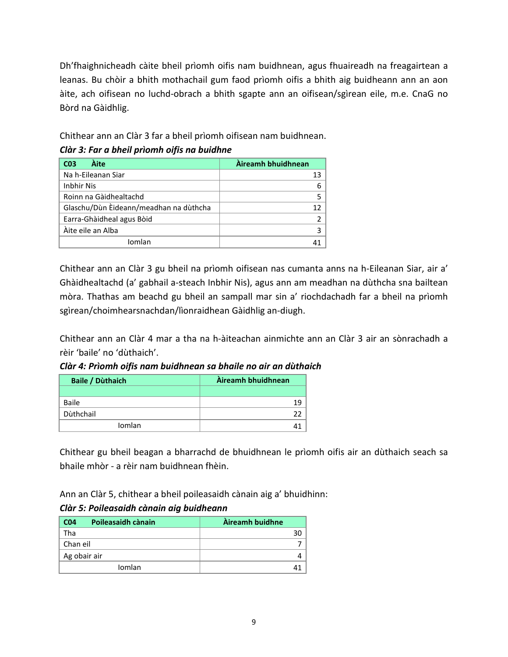Dh'fhaighnicheadh càite bheil prìomh oifis nam buidhnean, agus fhuaireadh na freagairtean a leanas. Bu chòir a bhith mothachail gum faod prìomh oifis a bhith aig buidheann ann an aon àite, ach oifisean no luchd-obrach a bhith sgapte ann an oifisean/sgìrean eile, m.e. CnaG no Bòrd na Gàidhlig.

Chithear ann an Clàr 3 far a bheil prìomh oifisean nam buidhnean.

# *Clàr 3: Far a bheil prìomh oifis na buidhne*

| Àite<br>C <sub>03</sub>                | Àireamh bhuidhnean |
|----------------------------------------|--------------------|
| Na h-Eileanan Siar                     |                    |
| <b>Inbhir Nis</b>                      |                    |
| Roinn na Gàidhealtachd                 |                    |
| Glaschu/Dùn Èideann/meadhan na dùthcha |                    |
| Earra-Ghàidheal agus Bòid              |                    |
| Àite eile an Alba                      |                    |
| Iomlan                                 |                    |

Chithear ann an Clàr 3 gu bheil na prìomh oifisean nas cumanta anns na h-Eileanan Siar, air a' Ghàidhealtachd (a' gabhail a-steach Inbhir Nis), agus ann am meadhan na dùthcha sna bailtean mòra. Thathas am beachd gu bheil an sampall mar sin a' riochdachadh far a bheil na prìomh sgìrean/choimhearsnachdan/lìonraidhean Gàidhlig an-diugh.

Chithear ann an Clàr 4 mar a tha na h-àiteachan ainmichte ann an Clàr 3 air an sònrachadh a rèir 'baile' no 'dùthaich'.

*Clàr 4: Prìomh oifis nam buidhnean sa bhaile no air an dùthaich*

| <b>Baile / Dùthaich</b> | Àireamh bhuidhnean |
|-------------------------|--------------------|
|                         |                    |
| Baile                   | 19                 |
| Dùthchail               |                    |
| Iomlan                  |                    |

Chithear gu bheil beagan a bharrachd de bhuidhnean le prìomh oifis air an dùthaich seach sa bhaile mhòr - a rèir nam buidhnean fhèin.

Ann an Clàr 5, chithear a bheil poileasaidh cànain aig a' bhuidhinn:

# *Clàr 5: Poileasaidh cànain aig buidheann*

| Poileasaidh cànain<br>CO <sub>4</sub> | Àireamh buidhne |
|---------------------------------------|-----------------|
| Tha                                   |                 |
| Chan eil                              |                 |
| Ag obair air                          |                 |
| Iomlan                                |                 |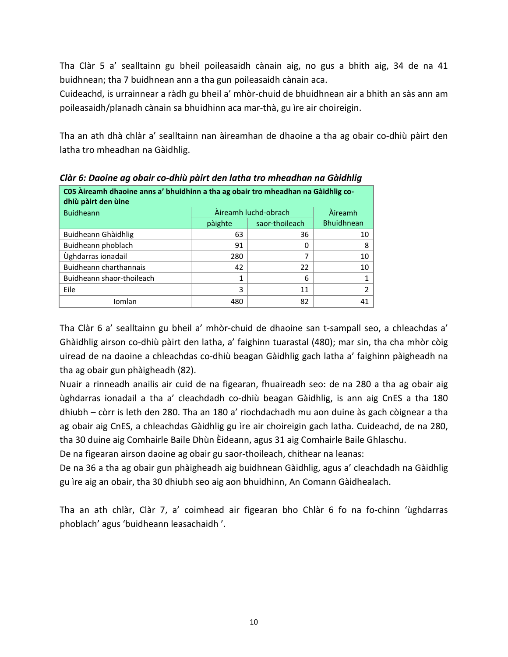Tha Clàr 5 a' sealltainn gu bheil poileasaidh cànain aig, no gus a bhith aig, 34 de na 41 buidhnean; tha 7 buidhnean ann a tha gun poileasaidh cànain aca.

Cuideachd, is urrainnear a ràdh gu bheil a' mhòr-chuid de bhuidhnean air a bhith an sàs ann am poileasaidh/planadh cànain sa bhuidhinn aca mar-thà, gu ìre air choireigin.

Tha an ath dhà chlàr a' sealltainn nan àireamhan de dhaoine a tha ag obair co-dhiù pàirt den latha tro mheadhan na Gàidhlig.

| C05 Àireamh dhaoine anns a' bhuidhinn a tha ag obair tro mheadhan na Gàidhlig co-<br>dhiù pàirt den ùine |                |                |                   |  |  |
|----------------------------------------------------------------------------------------------------------|----------------|----------------|-------------------|--|--|
| <b>Buidheann</b>                                                                                         | <b>Aireamh</b> |                |                   |  |  |
|                                                                                                          | pàighte        | saor-thoileach | <b>Bhuidhnean</b> |  |  |
| Buidheann Ghàidhlig                                                                                      | 63             | 36             | 10                |  |  |
| Buidheann phoblach                                                                                       | 91             | 0              | 8                 |  |  |
| Ùghdarras ionadail                                                                                       | 280            | ⇁              | 10                |  |  |
| Buidheann charthannais                                                                                   | 42             | 22             | 10                |  |  |
| Buidheann shaor-thoileach                                                                                | 1              | 6              |                   |  |  |
| Eile                                                                                                     | 3              | 11             | ำ                 |  |  |
| Iomlan                                                                                                   | 480            | 82             |                   |  |  |

*Clàr 6: Daoine ag obair co-dhiù pàirt den latha tro mheadhan na Gàidhlig*

Tha Clàr 6 a' sealltainn gu bheil a' mhòr-chuid de dhaoine san t-sampall seo, a chleachdas a' Ghàidhlig airson co-dhiù pàirt den latha, a' faighinn tuarastal (480); mar sin, tha cha mhòr còig uiread de na daoine a chleachdas co-dhiù beagan Gàidhlig gach latha a' faighinn pàigheadh na tha ag obair gun phàigheadh (82).

Nuair a rinneadh anailis air cuid de na figearan, fhuaireadh seo: de na 280 a tha ag obair aig ùghdarras ionadail a tha a' cleachdadh co-dhiù beagan Gàidhlig, is ann aig CnES a tha 180 dhiubh – còrr is leth den 280. Tha an 180 a' riochdachadh mu aon duine às gach còignear a tha ag obair aig CnES, a chleachdas Gàidhlig gu ìre air choireigin gach latha. Cuideachd, de na 280, tha 30 duine aig Comhairle Baile Dhùn Èideann, agus 31 aig Comhairle Baile Ghlaschu.

De na figearan airson daoine ag obair gu saor-thoileach, chithear na leanas:

De na 36 a tha ag obair gun phàigheadh aig buidhnean Gàidhlig, agus a' cleachdadh na Gàidhlig gu ìre aig an obair, tha 30 dhiubh seo aig aon bhuidhinn, An Comann Gàidhealach.

Tha an ath chlàr, Clàr 7, a' coimhead air figearan bho Chlàr 6 fo na fo-chinn 'ùghdarras phoblach' agus 'buidheann leasachaidh '.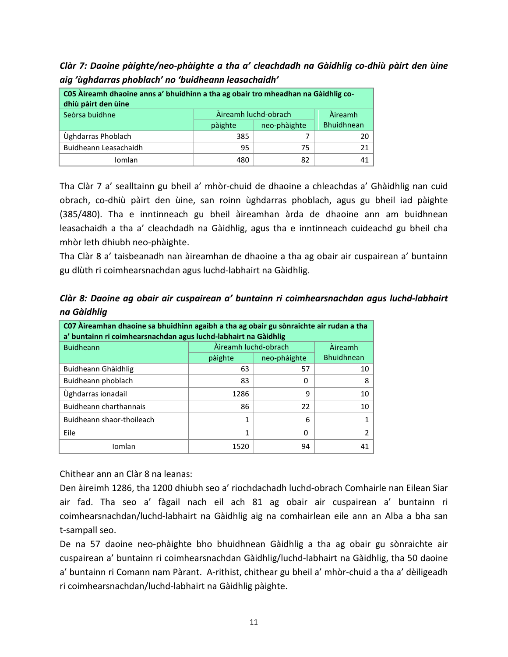*Clàr 7: Daoine pàighte/neo-phàighte a tha a' cleachdadh na Gàidhlig co-dhiù pàirt den ùine aig 'ùghdarras phoblach' no 'buidheann leasachaidh'*

| C05 Àireamh dhaoine anns a' bhuidhinn a tha ag obair tro mheadhan na Gàidhlig co-<br>dhiù pàirt den ùine |         |                      |                   |  |
|----------------------------------------------------------------------------------------------------------|---------|----------------------|-------------------|--|
| Seòrsa buidhne                                                                                           |         | Àireamh luchd-obrach | <b>Aireamh</b>    |  |
|                                                                                                          | pàighte | neo-phàighte         | <b>Bhuidhnean</b> |  |
| Ùghdarras Phoblach                                                                                       | 385     |                      | 20                |  |
| Buidheann Leasachaidh                                                                                    | 95      | 75                   | 21.               |  |
| Iomlan                                                                                                   | 480     | 82                   |                   |  |

Tha Clàr 7 a' sealltainn gu bheil a' mhòr-chuid de dhaoine a chleachdas a' Ghàidhlig nan cuid obrach, co-dhiù pàirt den ùine, san roinn ùghdarras phoblach, agus gu bheil iad pàighte (385/480). Tha e inntinneach gu bheil àireamhan àrda de dhaoine ann am buidhnean leasachaidh a tha a' cleachdadh na Gàidhlig, agus tha e inntinneach cuideachd gu bheil cha mhòr leth dhiubh neo-phàighte.

Tha Clàr 8 a' taisbeanadh nan àireamhan de dhaoine a tha ag obair air cuspairean a' buntainn gu dlùth ri coimhearsnachdan agus luchd-labhairt na Gàidhlig.

*Clàr 8: Daoine ag obair air cuspairean a' buntainn ri coimhearsnachdan agus luchd-labhairt na Gàidhlig*

| CO7 Aireamhan dhaoine sa bhuidhinn agaibh a tha ag obair gu sònraichte air rudan a tha<br>a' buntainn ri coimhearsnachdan agus luchd-labhairt na Gàidhlig |                                 |              |                   |  |  |
|-----------------------------------------------------------------------------------------------------------------------------------------------------------|---------------------------------|--------------|-------------------|--|--|
| <b>Buidheann</b>                                                                                                                                          | Àireamh luchd-obrach<br>Àireamh |              |                   |  |  |
|                                                                                                                                                           | pàighte                         | neo-phàighte | <b>Bhuidhnean</b> |  |  |
| Buidheann Ghàidhlig                                                                                                                                       | 63                              | 57           | 10                |  |  |
| Buidheann phoblach                                                                                                                                        | 83                              | 0            | 8                 |  |  |
| Ùghdarras ionadail                                                                                                                                        | 1286                            | 9            | 10                |  |  |
| Buidheann charthannais                                                                                                                                    | 86                              | 22           | 10                |  |  |
| Buidheann shaor-thoileach                                                                                                                                 | 1                               | 6            |                   |  |  |
| Eile                                                                                                                                                      | 1                               | 0            |                   |  |  |
| Iomlan                                                                                                                                                    | 1520                            | 94           | 41                |  |  |

Chithear ann an Clàr 8 na leanas:

Den àireimh 1286, tha 1200 dhiubh seo a' riochdachadh luchd-obrach Comhairle nan Eilean Siar air fad. Tha seo a' fàgail nach eil ach 81 ag obair air cuspairean a' buntainn ri coimhearsnachdan/luchd-labhairt na Gàidhlig aig na comhairlean eile ann an Alba a bha san t-sampall seo.

De na 57 daoine neo-phàighte bho bhuidhnean Gàidhlig a tha ag obair gu sònraichte air cuspairean a' buntainn ri coimhearsnachdan Gàidhlig/luchd-labhairt na Gàidhlig, tha 50 daoine a' buntainn ri Comann nam Pàrant. A-rithist, chithear gu bheil a' mhòr-chuid a tha a' dèiligeadh ri coimhearsnachdan/luchd-labhairt na Gàidhlig pàighte.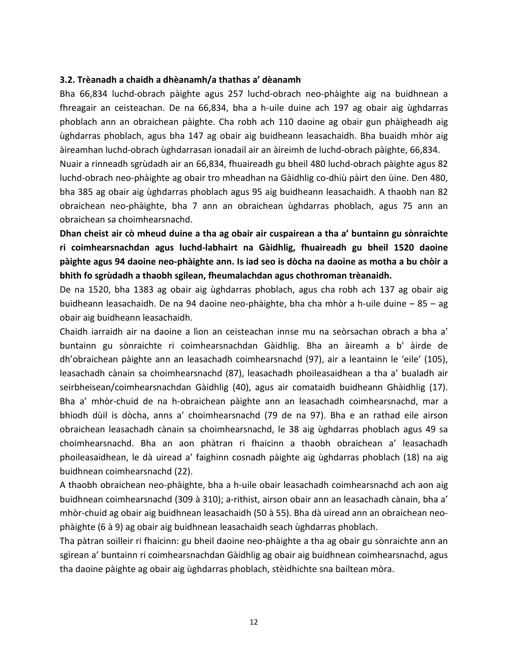#### **3.2. Trèanadh a chaidh a dhèanamh/a thathas a' dèanamh**

Bha 66,834 luchd-obrach pàighte agus 257 luchd-obrach neo-phàighte aig na buidhnean a fhreagair an ceisteachan. De na 66,834, bha a h-uile duine ach 197 ag obair aig ùghdarras phoblach ann an obraichean pàighte. Cha robh ach 110 daoine ag obair gun phàigheadh aig ùghdarras phoblach, agus bha 147 ag obair aig buidheann leasachaidh. Bha buaidh mhòr aig àireamhan luchd-obrach ùghdarrasan ionadail air an àireimh de luchd-obrach pàighte, 66,834.

Nuair a rinneadh sgrùdadh air an 66,834, fhuaireadh gu bheil 480 luchd-obrach pàighte agus 82 luchd-obrach neo-phàighte ag obair tro mheadhan na Gàidhlig co-dhiù pàirt den ùine. Den 480, bha 385 ag obair aig ùghdarras phoblach agus 95 aig buidheann leasachaidh. A thaobh nan 82 obraichean neo-phàighte, bha 7 ann an obraichean ùghdarras phoblach, agus 75 ann an obraichean sa choimhearsnachd.

**Dhan cheist air cò mheud duine a tha ag obair air cuspairean a tha a' buntainn gu sònraichte ri coimhearsnachdan agus luchd-labhairt na Gàidhlig, fhuaireadh gu bheil 1520 daoine pàighte agus 94 daoine neo-phàighte ann. Is iad seo is dòcha na daoine as motha a bu chòir a bhith fo sgrùdadh a thaobh sgilean, fheumalachdan agus chothroman trèanaidh.**

De na 1520, bha 1383 ag obair aig ùghdarras phoblach, agus cha robh ach 137 ag obair aig buidheann leasachaidh. De na 94 daoine neo-phàighte, bha cha mhòr a h-uile duine – 85 – ag obair aig buidheann leasachaidh.

Chaidh iarraidh air na daoine a lìon an ceisteachan innse mu na seòrsachan obrach a bha a' buntainn gu sònraichte ri coimhearsnachdan Gàidhlig. Bha an àireamh a b' àirde de dh'obraichean pàighte ann an leasachadh coimhearsnachd (97), air a leantainn le 'eile' (105), leasachadh cànain sa choimhearsnachd (87), leasachadh phoileasaidhean a tha a' bualadh air seirbheisean/coimhearsnachdan Gàidhlig (40), agus air comataidh buidheann Ghàidhlig (17). Bha a' mhòr-chuid de na h-obraichean pàighte ann an leasachadh coimhearsnachd, mar a bhiodh dùil is dòcha, anns a' choimhearsnachd (79 de na 97). Bha e an rathad eile airson obraichean leasachadh cànain sa choimhearsnachd, le 38 aig ùghdarras phoblach agus 49 sa choimhearsnachd. Bha an aon phàtran ri fhaicinn a thaobh obraichean a' leasachadh phoileasaidhean, le dà uiread a' faighinn cosnadh pàighte aig ùghdarras phoblach (18) na aig buidhnean coimhearsnachd (22).

A thaobh obraichean neo-phàighte, bha a h-uile obair leasachadh coimhearsnachd ach aon aig buidhnean coimhearsnachd (309 à 310); a-rithist, airson obair ann an leasachadh cànain, bha a' mhòr-chuid ag obair aig buidhnean leasachaidh (50 à 55). Bha dà uiread ann an obraichean neophàighte (6 à 9) ag obair aig buidhnean leasachaidh seach ùghdarras phoblach.

Tha pàtran soilleir ri fhaicinn: gu bheil daoine neo-phàighte a tha ag obair gu sònraichte ann an sgìrean a' buntainn ri coimhearsnachdan Gàidhlig ag obair aig buidhnean coimhearsnachd, agus tha daoine pàighte ag obair aig ùghdarras phoblach, stèidhichte sna bailtean mòra.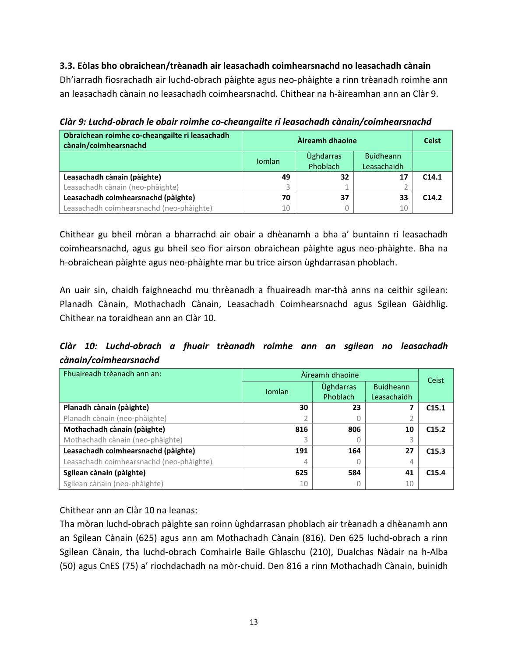**3.3. Eòlas bho obraichean/trèanadh air leasachadh coimhearsnachd no leasachadh cànain** Dh'iarradh fiosrachadh air luchd-obrach pàighte agus neo-phàighte a rinn trèanadh roimhe ann an leasachadh cànain no leasachadh coimhearsnachd. Chithear na h-àireamhan ann an Clàr 9.

*Clàr 9: Luchd-obrach le obair roimhe co-cheangailte ri leasachadh cànain/coimhearsnachd*

| Obraichean roimhe co-cheangailte ri leasachadh<br>cànain/coimhearsnachd |               | <b>Ceist</b>     |                  |                   |
|-------------------------------------------------------------------------|---------------|------------------|------------------|-------------------|
|                                                                         | <b>Iomlan</b> | <b>Úghdarras</b> | <b>Buidheann</b> |                   |
|                                                                         |               | Phoblach         | Leasachaidh      |                   |
| Leasachadh cànain (pàighte)                                             | 49            | 32               | 17               | C <sub>14.1</sub> |
| Leasachadh cànain (neo-phàighte)                                        |               |                  |                  |                   |
| Leasachadh coimhearsnachd (pàighte)                                     | 70            | 37               | 33               | C <sub>14.2</sub> |
| Leasachadh coimhearsnachd (neo-phàighte)                                | 10            |                  | 10               |                   |

Chithear gu bheil mòran a bharrachd air obair a dhèanamh a bha a' buntainn ri leasachadh coimhearsnachd, agus gu bheil seo fìor airson obraichean pàighte agus neo-phàighte. Bha na h-obraichean pàighte agus neo-phàighte mar bu trice airson ùghdarrasan phoblach.

An uair sin, chaidh faighneachd mu thrèanadh a fhuaireadh mar-thà anns na ceithir sgilean: Planadh Cànain, Mothachadh Cànain, Leasachadh Coimhearsnachd agus Sgilean Gàidhlig. Chithear na toraidhean ann an Clàr 10.

*Clàr 10: Luchd-obrach a fhuair trèanadh roimhe ann an sgilean no leasachadh cànain/coimhearsnachd*

| Fhuaireadh trèanadh ann an:              | Àireamh dhaoine | Ceist            |                  |                   |
|------------------------------------------|-----------------|------------------|------------------|-------------------|
|                                          | <b>Iomlan</b>   | <b>Úghdarras</b> | <b>Buidheann</b> |                   |
|                                          |                 | Phoblach         | Leasachaidh      |                   |
| Planadh cànain (pàighte)                 | 30              | 23               |                  | C <sub>15.1</sub> |
| Planadh cànain (neo-phàighte)            |                 |                  |                  |                   |
| Mothachadh cànain (pàighte)              | 816             | 806              | 10               | C <sub>15.2</sub> |
| Mothachadh cànain (neo-phàighte)         | 3               |                  | 3                |                   |
| Leasachadh coimhearsnachd (pàighte)      | 191             | 164              | 27               | C <sub>15.3</sub> |
| Leasachadh coimhearsnachd (neo-phàighte) | 4               |                  | 4                |                   |
| Sgilean cànain (pàighte)                 | 625             | 584              | 41               | C <sub>15.4</sub> |
| Sgilean cànain (neo-phàighte)            | 10              |                  | 10               |                   |

Chithear ann an Clàr 10 na leanas:

Tha mòran luchd-obrach pàighte san roinn ùghdarrasan phoblach air trèanadh a dhèanamh ann an Sgilean Cànain (625) agus ann am Mothachadh Cànain (816). Den 625 luchd-obrach a rinn Sgilean Cànain, tha luchd-obrach Comhairle Baile Ghlaschu (210), Dualchas Nàdair na h-Alba (50) agus CnES (75) a' riochdachadh na mòr-chuid. Den 816 a rinn Mothachadh Cànain, buinidh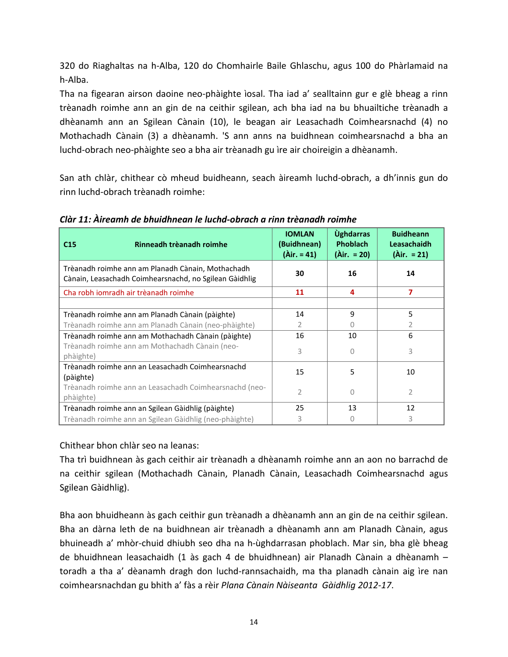320 do Riaghaltas na h-Alba, 120 do Chomhairle Baile Ghlaschu, agus 100 do Phàrlamaid na h-Alba.

Tha na figearan airson daoine neo-phàighte ìosal. Tha iad a' sealltainn gur e glè bheag a rinn trèanadh roimhe ann an gin de na ceithir sgilean, ach bha iad na bu bhuailtiche trèanadh a dhèanamh ann an Sgilean Cànain (10), le beagan air Leasachadh Coimhearsnachd (4) no Mothachadh Cànain (3) a dhèanamh. 'S ann anns na buidhnean coimhearsnachd a bha an luchd-obrach neo-phàighte seo a bha air trèanadh gu ìre air choireigin a dhèanamh.

San ath chlàr, chithear cò mheud buidheann, seach àireamh luchd-obrach, a dh'innis gun do rinn luchd-obrach trèanadh roimhe:

| Rinneadh trèanadh roimhe<br>C <sub>15</sub>                                                                 | <b>IOMLAN</b><br>(Buidhnean)<br>$(Air. = 41)$ | <b><u>Úghdarras</u></b><br><b>Phoblach</b><br>$(Air. = 20)$ | <b>Buidheann</b><br><b>Leasachaidh</b><br>$(Air. = 21)$ |
|-------------------------------------------------------------------------------------------------------------|-----------------------------------------------|-------------------------------------------------------------|---------------------------------------------------------|
| Trèanadh roimhe ann am Planadh Cànain, Mothachadh<br>Cànain, Leasachadh Coimhearsnachd, no Sgilean Gàidhlig | 30                                            | 16                                                          | 14                                                      |
| Cha robh iomradh air trèanadh roimhe                                                                        | 11                                            | 4                                                           | 7                                                       |
|                                                                                                             |                                               |                                                             |                                                         |
| Trèanadh roimhe ann am Planadh Cànain (pàighte)                                                             | 14                                            | $\mathbf{q}$                                                | 5                                                       |
| Trèanadh roimhe ann am Planadh Cànain (neo-phàighte)                                                        | $\overline{2}$                                | $\left( \right)$                                            | 2                                                       |
| Trèanadh roimhe ann am Mothachadh Cànain (pàighte)                                                          | 16                                            | 10                                                          | 6                                                       |
| Trèanadh roimhe ann am Mothachadh Cànain (neo-<br>phàighte)                                                 | 3                                             | $\bigcap$                                                   | 3                                                       |
| Trèanadh roimhe ann an Leasachadh Coimhearsnachd<br>(pàighte)                                               | 15                                            | 5                                                           | 10                                                      |
| Trèanadh roimhe ann an Leasachadh Coimhearsnachd (neo-                                                      | $\overline{2}$                                | $\cap$                                                      | $\overline{2}$                                          |
| phàighte)                                                                                                   |                                               |                                                             |                                                         |
| Trèanadh roimhe ann an Sgilean Gàidhlig (pàighte)                                                           | 25                                            | 13                                                          | 12                                                      |
| Trèanadh roimhe ann an Sgilean Gàidhlig (neo-phàighte)                                                      | 3                                             |                                                             | 3                                                       |

*Clàr 11: Àireamh de bhuidhnean le luchd-obrach a rinn trèanadh roimhe*

Chithear bhon chlàr seo na leanas:

Tha trì buidhnean às gach ceithir air trèanadh a dhèanamh roimhe ann an aon no barrachd de na ceithir sgilean (Mothachadh Cànain, Planadh Cànain, Leasachadh Coimhearsnachd agus Sgilean Gàidhlig).

Bha aon bhuidheann às gach ceithir gun trèanadh a dhèanamh ann an gin de na ceithir sgilean. Bha an dàrna leth de na buidhnean air trèanadh a dhèanamh ann am Planadh Cànain, agus bhuineadh a' mhòr-chuid dhiubh seo dha na h-ùghdarrasan phoblach. Mar sin, bha glè bheag de bhuidhnean leasachaidh (1 às gach 4 de bhuidhnean) air Planadh Cànain a dhèanamh – toradh a tha a' dèanamh dragh don luchd-rannsachaidh, ma tha planadh cànain aig ìre nan coimhearsnachdan gu bhith a' fàs a rèir *Plana Cànain Nàiseanta Gàidhlig 2012-17*.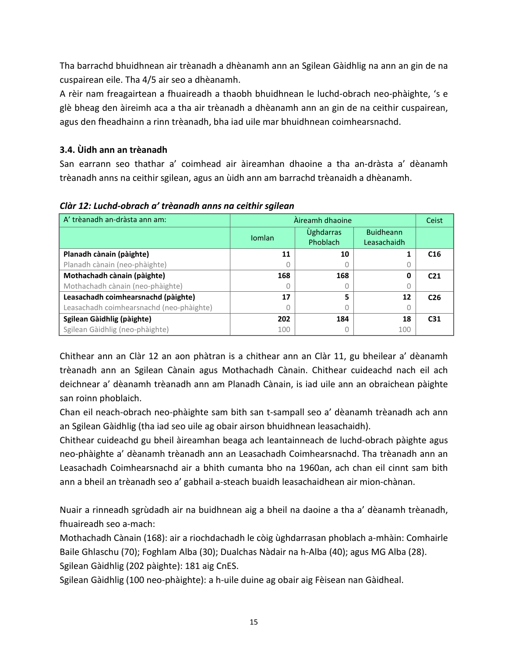Tha barrachd bhuidhnean air trèanadh a dhèanamh ann an Sgilean Gàidhlig na ann an gin de na cuspairean eile. Tha 4/5 air seo a dhèanamh.

A rèir nam freagairtean a fhuaireadh a thaobh bhuidhnean le luchd-obrach neo-phàighte, 's e glè bheag den àireimh aca a tha air trèanadh a dhèanamh ann an gin de na ceithir cuspairean, agus den fheadhainn a rinn trèanadh, bha iad uile mar bhuidhnean coimhearsnachd.

# **3.4. Ùidh ann an trèanadh**

San earrann seo thathar a' coimhead air àireamhan dhaoine a tha an-dràsta a' dèanamh trèanadh anns na ceithir sgilean, agus an ùidh ann am barrachd trèanaidh a dhèanamh.

| A' trèanadh an-dràsta ann am:            |                                        | Àireamh dhaoine |                                 |                 |  |
|------------------------------------------|----------------------------------------|-----------------|---------------------------------|-----------------|--|
|                                          | <b>Úghdarras</b><br>Iomlan<br>Phoblach |                 | <b>Buidheann</b><br>Leasachaidh |                 |  |
| Planadh cànain (pàighte)                 | 11                                     | 10              |                                 | C16             |  |
| Planadh cànain (neo-phàighte)            |                                        |                 | U                               |                 |  |
| Mothachadh cànain (pàighte)              | 168                                    | 168             | 0                               | C <sub>21</sub> |  |
| Mothachadh cànain (neo-phàighte)         |                                        |                 |                                 |                 |  |
| Leasachadh coimhearsnachd (pàighte)      | 17                                     | 5               | 12                              | C <sub>26</sub> |  |
| Leasachadh coimhearsnachd (neo-phàighte) |                                        |                 |                                 |                 |  |
| Sgilean Gàidhlig (pàighte)               | 202                                    | 184             | 18                              | C <sub>31</sub> |  |
| Sgilean Gàidhlig (neo-phàighte)          | 100                                    |                 | 100                             |                 |  |

*Clàr 12: Luchd-obrach a' trèanadh anns na ceithir sgilean*

Chithear ann an Clàr 12 an aon phàtran is a chithear ann an Clàr 11, gu bheilear a' dèanamh trèanadh ann an Sgilean Cànain agus Mothachadh Cànain. Chithear cuideachd nach eil ach deichnear a' dèanamh trèanadh ann am Planadh Cànain, is iad uile ann an obraichean pàighte san roinn phoblaich.

Chan eil neach-obrach neo-phàighte sam bith san t-sampall seo a' dèanamh trèanadh ach ann an Sgilean Gàidhlig (tha iad seo uile ag obair airson bhuidhnean leasachaidh).

Chithear cuideachd gu bheil àireamhan beaga ach leantainneach de luchd-obrach pàighte agus neo-phàighte a' dèanamh trèanadh ann an Leasachadh Coimhearsnachd. Tha trèanadh ann an Leasachadh Coimhearsnachd air a bhith cumanta bho na 1960an, ach chan eil cinnt sam bith ann a bheil an trèanadh seo a' gabhail a-steach buaidh leasachaidhean air mion-chànan.

Nuair a rinneadh sgrùdadh air na buidhnean aig a bheil na daoine a tha a' dèanamh trèanadh, fhuaireadh seo a-mach:

Mothachadh Cànain (168): air a riochdachadh le còig ùghdarrasan phoblach a-mhàin: Comhairle Baile Ghlaschu (70); Foghlam Alba (30); Dualchas Nàdair na h-Alba (40); agus MG Alba (28). Sgilean Gàidhlig (202 pàighte): 181 aig CnES.

Sgilean Gàidhlig (100 neo-phàighte): a h-uile duine ag obair aig Fèisean nan Gàidheal.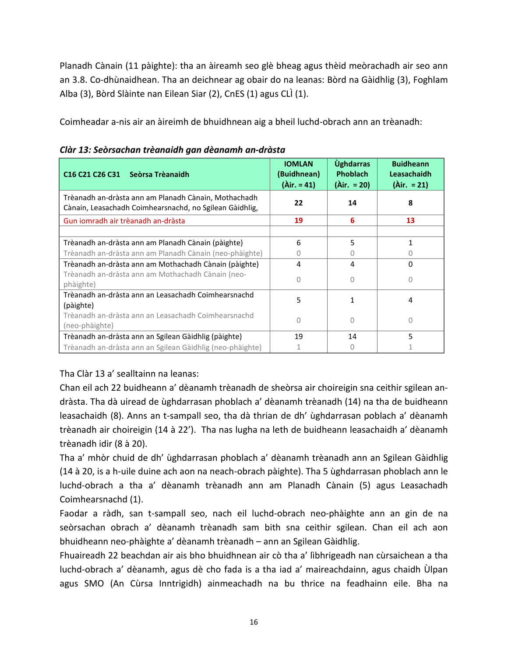Planadh Cànain (11 pàighte): tha an àireamh seo glè bheag agus thèid meòrachadh air seo ann an 3.8. Co-dhùnaidhean. Tha an deichnear ag obair do na leanas: Bòrd na Gàidhlig (3), Foghlam Alba (3), Bòrd Slàinte nan Eilean Siar (2), CnES (1) agus CLÌ (1).

Coimheadar a-nis air an àireimh de bhuidhnean aig a bheil luchd-obrach ann an trèanadh:

| C <sub>16</sub> C <sub>21</sub> C <sub>26</sub> C <sub>31</sub><br>Seòrsa Trèanaidh                             | <b>IOMLAN</b><br>(Buidhnean)<br>$(\lambda ir. = 41)$ | <b><u>Ùghdarras</u></b><br><b>Phoblach</b><br>$(Air. = 20)$ | <b>Buidheann</b><br><b>Leasachaidh</b><br>$(Air. = 21)$ |
|-----------------------------------------------------------------------------------------------------------------|------------------------------------------------------|-------------------------------------------------------------|---------------------------------------------------------|
| Trèanadh an-dràsta ann am Planadh Cànain, Mothachadh<br>Cànain, Leasachadh Coimhearsnachd, no Sgilean Gàidhlig, | 22                                                   | 14                                                          | 8                                                       |
| Gun iomradh air trèanadh an-dràsta                                                                              | 19                                                   | 6                                                           | 13                                                      |
|                                                                                                                 |                                                      |                                                             |                                                         |
| Trèanadh an-dràsta ann am Planadh Cànain (pàighte)                                                              | 6                                                    | 5                                                           |                                                         |
| Trèanadh an-dràsta ann am Planadh Cànain (neo-phàighte)                                                         | $\left( \right)$                                     | $\left( \right)$                                            |                                                         |
| Trèanadh an-dràsta ann am Mothachadh Cànain (pàighte)                                                           | 4                                                    | 4                                                           | O                                                       |
| Trèanadh an-dràsta ann am Mothachadh Cànain (neo-<br>phàighte)                                                  | O                                                    | <sup>n</sup>                                                | Ω                                                       |
| Trèanadh an-dràsta ann an Leasachadh Coimhearsnachd<br>(pàighte)                                                | 5                                                    |                                                             | 4                                                       |
| Trèanadh an-dràsta ann an Leasachadh Coimhearsnachd<br>(neo-phàighte)                                           | $\cup$                                               | ∩                                                           | 0                                                       |
| Trèanadh an-dràsta ann an Sgilean Gàidhlig (pàighte)                                                            | 19                                                   | 14                                                          | 5                                                       |
| Trèanadh an-dràsta ann an Sgilean Gàidhlig (neo-phàighte)                                                       |                                                      |                                                             |                                                         |

*Clàr 13: Seòrsachan trèanaidh gan dèanamh an-dràsta*

# Tha Clàr 13 a' sealltainn na leanas:

Chan eil ach 22 buidheann a' dèanamh trèanadh de sheòrsa air choireigin sna ceithir sgilean andràsta. Tha dà uiread de ùghdarrasan phoblach a' dèanamh trèanadh (14) na tha de buidheann leasachaidh (8). Anns an t-sampall seo, tha dà thrian de dh' ùghdarrasan poblach a' dèanamh trèanadh air choireigin (14 à 22'). Tha nas lugha na leth de buidheann leasachaidh a' dèanamh trèanadh idir (8 à 20).

Tha a' mhòr chuid de dh' ùghdarrasan phoblach a' dèanamh trèanadh ann an Sgilean Gàidhlig (14 à 20, is a h-uile duine ach aon na neach-obrach pàighte). Tha 5 ùghdarrasan phoblach ann le luchd-obrach a tha a' dèanamh trèanadh ann am Planadh Cànain (5) agus Leasachadh Coimhearsnachd (1).

Faodar a ràdh, san t-sampall seo, nach eil luchd-obrach neo-phàighte ann an gin de na seòrsachan obrach a' dèanamh trèanadh sam bith sna ceithir sgilean. Chan eil ach aon bhuidheann neo-phàighte a' dèanamh trèanadh – ann an Sgilean Gàidhlig.

Fhuaireadh 22 beachdan air ais bho bhuidhnean air cò tha a' lìbhrigeadh nan cùrsaichean a tha luchd-obrach a' dèanamh, agus dè cho fada is a tha iad a' maireachdainn, agus chaidh Ùlpan agus SMO (An Cùrsa Inntrigidh) ainmeachadh na bu thrice na feadhainn eile. Bha na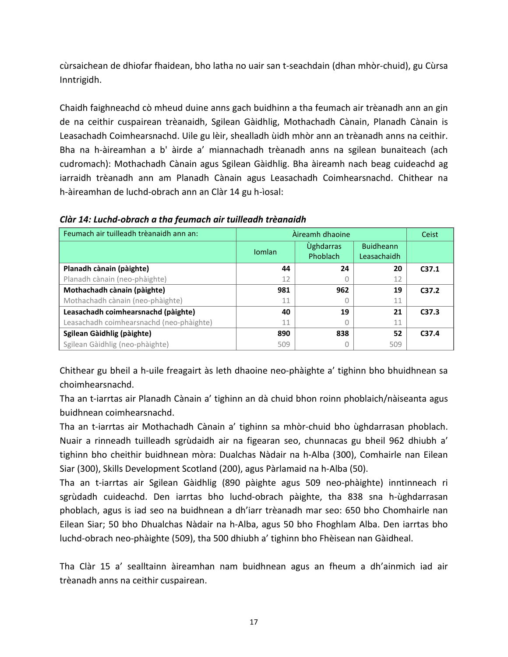cùrsaichean de dhiofar fhaidean, bho latha no uair san t-seachdain (dhan mhòr-chuid), gu Cùrsa Inntrigidh.

Chaidh faighneachd cò mheud duine anns gach buidhinn a tha feumach air trèanadh ann an gin de na ceithir cuspairean trèanaidh, Sgilean Gàidhlig, Mothachadh Cànain, Planadh Cànain is Leasachadh Coimhearsnachd. Uile gu lèir, shealladh ùidh mhòr ann an trèanadh anns na ceithir. Bha na h-àireamhan a b' àirde a' miannachadh trèanadh anns na sgilean bunaiteach (ach cudromach): Mothachadh Cànain agus Sgilean Gàidhlig. Bha àireamh nach beag cuideachd ag iarraidh trèanadh ann am Planadh Cànain agus Leasachadh Coimhearsnachd. Chithear na h-àireamhan de luchd-obrach ann an Clàr 14 gu h-ìosal:

| Feumach air tuilleadh trèanaidh ann an:  |               | Àireamh dhaoine              |                                 |                   |  |
|------------------------------------------|---------------|------------------------------|---------------------------------|-------------------|--|
|                                          | <b>Iomlan</b> | <b>Úghdarras</b><br>Phoblach | <b>Buidheann</b><br>Leasachaidh |                   |  |
| Planadh cànain (pàighte)                 | 44            | 24                           | 20                              | C <sub>37.1</sub> |  |
| Planadh cànain (neo-phàighte)            | 12            | $\Box$                       | 12                              |                   |  |
| Mothachadh cànain (pàighte)              | 981           | 962                          | 19                              | C <sub>37.2</sub> |  |
| Mothachadh cànain (neo-phàighte)         | 11            | 0                            | 11                              |                   |  |
| Leasachadh coimhearsnachd (pàighte)      | 40            | 19                           | 21                              | C37.3             |  |
| Leasachadh coimhearsnachd (neo-phàighte) | 11            |                              | 11                              |                   |  |
| Sgilean Gàidhlig (pàighte)               | 890           | 838                          | 52                              | C <sub>37.4</sub> |  |
| Sgilean Gàidhlig (neo-phàighte)          | 509           | Ω                            | 509                             |                   |  |

### *Clàr 14: Luchd-obrach a tha feumach air tuilleadh trèanaidh*

Chithear gu bheil a h-uile freagairt às leth dhaoine neo-phàighte a' tighinn bho bhuidhnean sa choimhearsnachd.

Tha an t-iarrtas air Planadh Cànain a' tighinn an dà chuid bhon roinn phoblaich/nàiseanta agus buidhnean coimhearsnachd.

Tha an t-iarrtas air Mothachadh Cànain a' tighinn sa mhòr-chuid bho ùghdarrasan phoblach. Nuair a rinneadh tuilleadh sgrùdaidh air na figearan seo, chunnacas gu bheil 962 dhiubh a' tighinn bho cheithir buidhnean mòra: Dualchas Nàdair na h-Alba (300), Comhairle nan Eilean Siar (300), Skills Development Scotland (200), agus Pàrlamaid na h-Alba (50).

Tha an t-iarrtas air Sgilean Gàidhlig (890 pàighte agus 509 neo-phàighte) inntinneach ri sgrùdadh cuideachd. Den iarrtas bho luchd-obrach pàighte, tha 838 sna h-ùghdarrasan phoblach, agus is iad seo na buidhnean a dh'iarr trèanadh mar seo: 650 bho Chomhairle nan Eilean Siar; 50 bho Dhualchas Nàdair na h-Alba, agus 50 bho Fhoghlam Alba. Den iarrtas bho luchd-obrach neo-phàighte (509), tha 500 dhiubh a' tighinn bho Fhèisean nan Gàidheal.

Tha Clàr 15 a' sealltainn àireamhan nam buidhnean agus an fheum a dh'ainmich iad air trèanadh anns na ceithir cuspairean.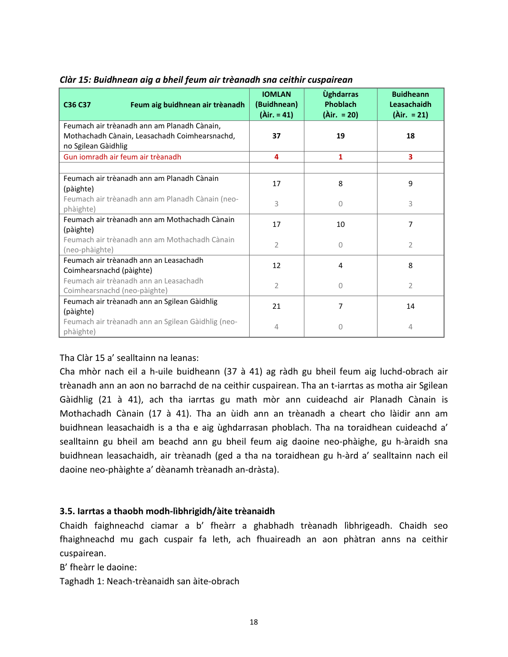| Feum aig buidhnean air trèanadh<br>C36 C37                             | <b>IOMLAN</b><br>(Buidhnean)<br>$(Air. = 41)$ | <b><u>Úghdarras</u></b><br>Phoblach<br>$(Air. = 20)$ | <b>Buidheann</b><br>Leasachaidh<br>$(Air. = 21)$ |
|------------------------------------------------------------------------|-----------------------------------------------|------------------------------------------------------|--------------------------------------------------|
| Feumach air trèanadh ann am Planadh Cànain,                            |                                               |                                                      |                                                  |
| Mothachadh Cànain, Leasachadh Coimhearsnachd,<br>no Sgilean Gàidhlig   | 37                                            | 19                                                   | 18                                               |
| Gun iomradh air feum air trèanadh                                      | 4                                             | $\mathbf{1}$                                         | 3                                                |
|                                                                        |                                               |                                                      |                                                  |
| Feumach air trèanadh ann am Planadh Cànain<br>(pàighte)                | 17                                            | 8                                                    | 9                                                |
| Feumach air trèanadh ann am Planadh Cànain (neo-<br>phàighte)          | 3                                             | 0                                                    | 3                                                |
| Feumach air trèanadh ann am Mothachadh Cànain<br>(pàighte)             | 17                                            | 10                                                   | 7                                                |
| Feumach air trèanadh ann am Mothachadh Cànain<br>(neo-phàighte)        | $\overline{2}$                                | $\Omega$                                             | $\overline{2}$                                   |
| Feumach air trèanadh ann an Leasachadh<br>Coimhearsnachd (pàighte)     | 12                                            | 4                                                    | 8                                                |
| Feumach air trèanadh ann an Leasachadh<br>Coimhearsnachd (neo-pàighte) | $\overline{2}$                                | 0                                                    | $\overline{2}$                                   |
| Feumach air trèanadh ann an Sgilean Gàidhlig<br>(pàighte)              | 21                                            | 7                                                    | 14                                               |
| Feumach air trèanadh ann an Sgilean Gàidhlig (neo-<br>phàighte)        | 4                                             | 0                                                    | 4                                                |

### *Clàr 15: Buidhnean aig a bheil feum air trèanadh sna ceithir cuspairean*

## Tha Clàr 15 a' sealltainn na leanas:

Cha mhòr nach eil a h-uile buidheann (37 à 41) ag ràdh gu bheil feum aig luchd-obrach air trèanadh ann an aon no barrachd de na ceithir cuspairean. Tha an t-iarrtas as motha air Sgilean Gàidhlig (21 à 41), ach tha iarrtas gu math mòr ann cuideachd air Planadh Cànain is Mothachadh Cànain (17 à 41). Tha an ùidh ann an trèanadh a cheart cho làidir ann am buidhnean leasachaidh is a tha e aig ùghdarrasan phoblach. Tha na toraidhean cuideachd a' sealltainn gu bheil am beachd ann gu bheil feum aig daoine neo-phàighe, gu h-àraidh sna buidhnean leasachaidh, air trèanadh (ged a tha na toraidhean gu h-àrd a' sealltainn nach eil daoine neo-phàighte a' dèanamh trèanadh an-dràsta).

#### **3.5. Iarrtas a thaobh modh-lìbhrigidh/àite trèanaidh**

Chaidh faighneachd ciamar a b' fheàrr a ghabhadh trèanadh lìbhrigeadh. Chaidh seo fhaighneachd mu gach cuspair fa leth, ach fhuaireadh an aon phàtran anns na ceithir cuspairean.

B' fheàrr le daoine:

Taghadh 1: Neach-trèanaidh san àite-obrach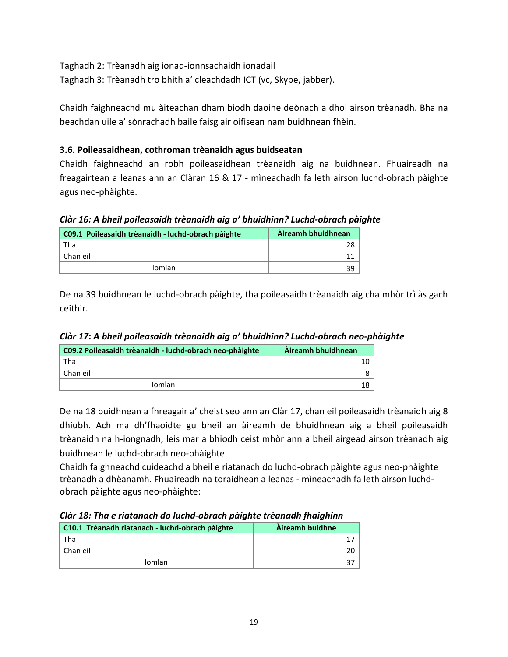Taghadh 2: Trèanadh aig ionad-ionnsachaidh ionadail Taghadh 3: Trèanadh tro bhith a' cleachdadh ICT (vc, Skype, jabber).

Chaidh faighneachd mu àiteachan dham biodh daoine deònach a dhol airson trèanadh. Bha na beachdan uile a' sònrachadh baile faisg air oifisean nam buidhnean fhèin.

# **3.6. Poileasaidhean, cothroman trèanaidh agus buidseatan**

Chaidh faighneachd an robh poileasaidhean trèanaidh aig na buidhnean. Fhuaireadh na freagairtean a leanas ann an Clàran 16 & 17 - mìneachadh fa leth airson luchd-obrach pàighte agus neo-phàighte.

## *Clàr 16: A bheil poileasaidh trèanaidh aig a' bhuidhinn? Luchd-obrach pàighte*

| C09.1 Poileasaidh trèanaidh - luchd-obrach pàighte | Àireamh bhuidhnean |
|----------------------------------------------------|--------------------|
| Tha                                                | 28                 |
| Chan eil                                           |                    |
| Iomlan                                             | 39                 |

De na 39 buidhnean le luchd-obrach pàighte, tha poileasaidh trèanaidh aig cha mhòr trì às gach ceithir.

| C09.2 Poileasaidh trèanaidh - luchd-obrach neo-phàighte | Àireamh bhuidhnean |
|---------------------------------------------------------|--------------------|
| Tha                                                     |                    |
| ∣ Chan eil                                              |                    |
| Iomlan                                                  |                    |

*Clàr 17***:** *A bheil poileasaidh trèanaidh aig a' bhuidhinn? Luchd-obrach neo-phàighte*

De na 18 buidhnean a fhreagair a' cheist seo ann an Clàr 17, chan eil poileasaidh trèanaidh aig 8 dhiubh. Ach ma dh'fhaoidte gu bheil an àireamh de bhuidhnean aig a bheil poileasaidh trèanaidh na h-iongnadh, leis mar a bhiodh ceist mhòr ann a bheil airgead airson trèanadh aig buidhnean le luchd-obrach neo-phàighte.

Chaidh faighneachd cuideachd a bheil e riatanach do luchd-obrach pàighte agus neo-phàighte trèanadh a dhèanamh. Fhuaireadh na toraidhean a leanas - mìneachadh fa leth airson luchdobrach pàighte agus neo-phàighte:

| Clàr 18: Tha e riatanach do luchd-obrach pàighte trèanadh fhaighinn |  |  |
|---------------------------------------------------------------------|--|--|
|---------------------------------------------------------------------|--|--|

| C10.1 Trèanadh riatanach - luchd-obrach pàighte | Àireamh buidhne |
|-------------------------------------------------|-----------------|
| Tha                                             |                 |
| Chan eil                                        |                 |
| <b>Iomlan</b>                                   |                 |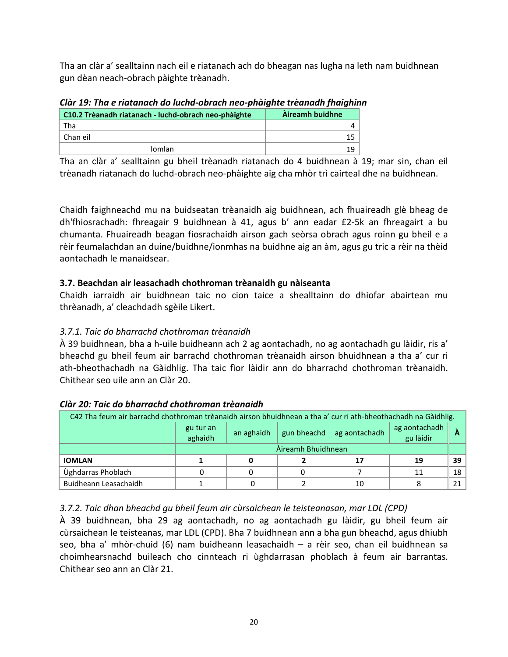Tha an clàr a' sealltainn nach eil e riatanach ach do bheagan nas lugha na leth nam buidhnean gun dèan neach-obrach pàighte trèanadh.

| Clar 19: Tha e riatanach ao Iucha-obrach neo-phàighte treanadh fhaighin |                 |
|-------------------------------------------------------------------------|-----------------|
| C10.2 Trèanadh riatanach - luchd-obrach neo-phàighte                    | Àireamh buidhne |
| Tha                                                                     |                 |
| Chan eil                                                                | 15              |
| <b>Iomlan</b>                                                           | 19              |

*Clàr 19: Tha e riatanach do luchd-obrach neo-phàighte trèanadh fhaighinn*

Tha an clàr a' sealltainn gu bheil trèanadh riatanach do 4 buidhnean à 19; mar sin, chan eil trèanadh riatanach do luchd-obrach neo-phàighte aig cha mhòr trì cairteal dhe na buidhnean.

Chaidh faighneachd mu na buidseatan trèanaidh aig buidhnean, ach fhuaireadh glè bheag de dh'fhiosrachadh: fhreagair 9 buidhnean à 41, agus b' ann eadar £2-5k an fhreagairt a bu chumanta. Fhuaireadh beagan fiosrachaidh airson gach seòrsa obrach agus roinn gu bheil e a rèir feumalachdan an duine/buidhne/ionmhas na buidhne aig an àm, agus gu tric a rèir na thèid aontachadh le manaidsear.

# **3.7. Beachdan air leasachadh chothroman trèanaidh gu nàiseanta**

Chaidh iarraidh air buidhnean taic no cion taice a shealltainn do dhiofar abairtean mu thrèanadh, a' cleachdadh sgèile Likert.

# *3.7.1. Taic do bharrachd chothroman trèanaidh*

À 39 buidhnean, bha a h-uile buidheann ach 2 ag aontachadh, no ag aontachadh gu làidir, ris a' bheachd gu bheil feum air barrachd chothroman trèanaidh airson bhuidhnean a tha a' cur ri ath-bheothachadh na Gàidhlig. Tha taic fìor làidir ann do bharrachd chothroman trèanaidh. Chithear seo uile ann an Clàr 20.

| C42 Tha feum air barrachd chothroman trèanaidh airson bhuidhnean a tha a' cur ri ath-bheothachadh na Gàidhlig. |                      |                    |             |               |                            |    |
|----------------------------------------------------------------------------------------------------------------|----------------------|--------------------|-------------|---------------|----------------------------|----|
|                                                                                                                | gu tur an<br>aghaidh | an aghaidh         | gun bheachd | ag aontachadh | ag aontachadh<br>gu làidir |    |
|                                                                                                                |                      | Àireamh Bhuidhnean |             |               |                            |    |
| <b>IOMLAN</b>                                                                                                  |                      |                    |             |               | 19                         | 39 |
| Ùghdarras Phoblach                                                                                             |                      |                    |             |               | 11                         | 18 |
| Buidheann Leasachaidh                                                                                          |                      |                    |             | 10            |                            | 21 |

# *Clàr 20: Taic do bharrachd chothroman trèanaidh*

# *3.7.2. Taic dhan bheachd gu bheil feum air cùrsaichean le teisteanasan, mar LDL (CPD)*

À 39 buidhnean, bha 29 ag aontachadh, no ag aontachadh gu làidir, gu bheil feum air cùrsaichean le teisteanas, mar LDL (CPD). Bha 7 buidhnean ann a bha gun bheachd, agus dhiubh seo, bha a' mhòr-chuid (6) nam buidheann leasachaidh – a rèir seo, chan eil buidhnean sa choimhearsnachd buileach cho cinnteach ri ùghdarrasan phoblach à feum air barrantas. Chithear seo ann an Clàr 21.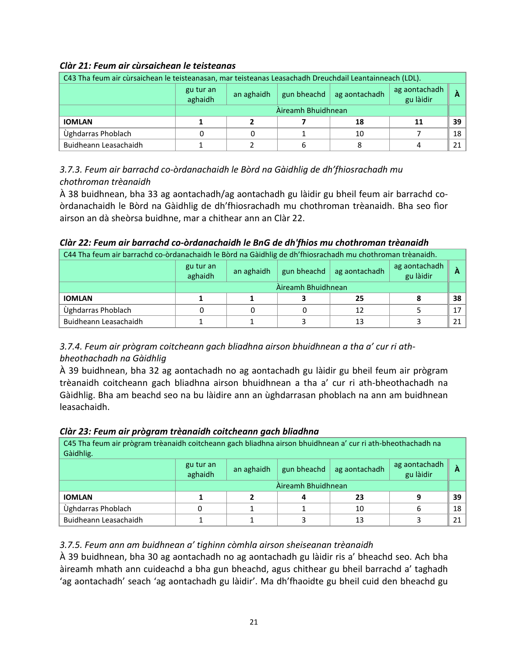# *Clàr 21: Feum air cùrsaichean le teisteanas*

| C43 Tha feum air cùrsaichean le teisteanasan, mar teisteanas Leasachadh Dreuchdail Leantainneach (LDL). |                      |                    |             |               |                            |    |
|---------------------------------------------------------------------------------------------------------|----------------------|--------------------|-------------|---------------|----------------------------|----|
|                                                                                                         | gu tur an<br>aghaidh | an aghaidh         | gun bheachd | ag aontachadh | ag aontachadh<br>gu làidir |    |
|                                                                                                         |                      | Àireamh Bhuidhnean |             |               |                            |    |
| <b>IOMLAN</b>                                                                                           |                      |                    |             | 18            | 11                         | 39 |
| Ùghdarras Phoblach                                                                                      |                      |                    |             | 10            |                            | 18 |
| Buidheann Leasachaidh                                                                                   |                      |                    |             |               |                            | 21 |

*3.7.3. Feum air barrachd co-òrdanachaidh le Bòrd na Gàidhlig de dh'fhiosrachadh mu chothroman trèanaidh*

À 38 buidhnean, bha 33 ag aontachadh/ag aontachadh gu làidir gu bheil feum air barrachd coòrdanachaidh le Bòrd na Gàidhlig de dh'fhiosrachadh mu chothroman trèanaidh. Bha seo fìor airson an dà sheòrsa buidhne, mar a chithear ann an Clàr 22.

| Clàr 22: Feum air barrachd co-òrdanachaidh le BnG de dh'fhios mu chothroman trèanaidh                         |
|---------------------------------------------------------------------------------------------------------------|
| $\alpha$ The feum air barrachd co-òrdanachaidh le Bòrd na Gàidhlig de dh'fhiosrachadh mu chothroman trèanaidh |

| C44 Tha feum air barrachd co-òrdanachaidh le Bòrd na Gàidhlig de dh'fhiosrachadh mu chothroman trèanaidh. |                      |                    |                     |               |                            |                 |  |
|-----------------------------------------------------------------------------------------------------------|----------------------|--------------------|---------------------|---------------|----------------------------|-----------------|--|
|                                                                                                           | gu tur an<br>aghaidh | an aghaidh         | gun bheachd $\vert$ | ag aontachadh | ag aontachadh<br>gu làidir |                 |  |
|                                                                                                           |                      | Àireamh Bhuidhnean |                     |               |                            |                 |  |
| <b>IOMLAN</b>                                                                                             |                      |                    |                     | 25            | 8                          | 38 <sup>1</sup> |  |
| Ùghdarras Phoblach                                                                                        |                      |                    |                     | 12            |                            | 17 I            |  |
| Buidheann Leasachaidh                                                                                     |                      |                    |                     | 13            |                            | 21 <sup>1</sup> |  |

# *3.7.4. Feum air prògram coitcheann gach bliadhna airson bhuidhnean a tha a' cur ri athbheothachadh na Gàidhlig*

À 39 buidhnean, bha 32 ag aontachadh no ag aontachadh gu làidir gu bheil feum air prògram trèanaidh coitcheann gach bliadhna airson bhuidhnean a tha a' cur ri ath-bheothachadh na Gàidhlig. Bha am beachd seo na bu làidire ann an ùghdarrasan phoblach na ann am buidhnean leasachaidh.

## *Clàr 23: Feum air prògram trèanaidh coitcheann gach bliadhna*

| C45 Tha feum air prògram trèanaidh coitcheann gach bliadhna airson bhuidhnean a' cur ri ath-bheothachadh na<br>Gàidhlig. |                                                                                                       |                    |  |    |   |    |
|--------------------------------------------------------------------------------------------------------------------------|-------------------------------------------------------------------------------------------------------|--------------------|--|----|---|----|
|                                                                                                                          | ag aontachadh<br>gu tur an<br>gun bheachd<br>an aghaidh<br>ag aontachadh<br>А<br>gu làidir<br>aghaidh |                    |  |    |   |    |
|                                                                                                                          |                                                                                                       | Àireamh Bhuidhnean |  |    |   |    |
| <b>IOMLAN</b>                                                                                                            |                                                                                                       |                    |  | 23 |   | 39 |
| Ùghdarras Phoblach                                                                                                       |                                                                                                       |                    |  | 10 | 6 | 18 |
| Buidheann Leasachaidh                                                                                                    |                                                                                                       |                    |  | 13 |   | 21 |

# *3.7.5. Feum ann am buidhnean a' tighinn còmhla airson sheiseanan trèanaidh*

À 39 buidhnean, bha 30 ag aontachadh no ag aontachadh gu làidir ris a' bheachd seo. Ach bha àireamh mhath ann cuideachd a bha gun bheachd, agus chithear gu bheil barrachd a' taghadh 'ag aontachadh' seach 'ag aontachadh gu làidir'. Ma dh'fhaoidte gu bheil cuid den bheachd gu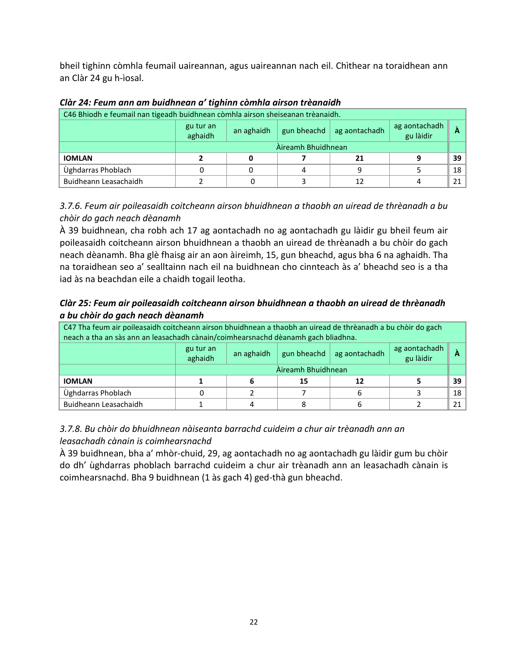bheil tighinn còmhla feumail uaireannan, agus uaireannan nach eil. Chìthear na toraidhean ann an Clàr 24 gu h-ìosal.

| C46 Bhiodh e feumail nan tigeadh buidhnean còmhla airson sheiseanan trèanaidh. |                      |                    |  |                           |                            |    |
|--------------------------------------------------------------------------------|----------------------|--------------------|--|---------------------------|----------------------------|----|
|                                                                                | gu tur an<br>aghaidh | an aghaidh         |  | gun bheachd ag aontachadh | ag aontachadh<br>gu làidir | А  |
|                                                                                |                      | Àireamh Bhuidhnean |  |                           |                            |    |
| <b>IOMLAN</b>                                                                  |                      |                    |  |                           |                            | 39 |
| Ùghdarras Phoblach                                                             |                      |                    |  |                           |                            | 18 |
| Buidheann Leasachaidh                                                          |                      |                    |  |                           |                            |    |

### *Clàr 24: Feum ann am buidhnean a' tighinn còmhla airson trèanaidh*

# *3.7.6. Feum air poileasaidh coitcheann airson bhuidhnean a thaobh an uiread de thrèanadh a bu chòir do gach neach dèanamh*

À 39 buidhnean, cha robh ach 17 ag aontachadh no ag aontachadh gu làidir gu bheil feum air poileasaidh coitcheann airson bhuidhnean a thaobh an uiread de thrèanadh a bu chòir do gach neach dèanamh. Bha glè fhaisg air an aon àireimh, 15, gun bheachd, agus bha 6 na aghaidh. Tha na toraidhean seo a' sealltainn nach eil na buidhnean cho cinnteach às a' bheachd seo is a tha iad às na beachdan eile a chaidh togail leotha.

# *Clàr 25: Feum air poileasaidh coitcheann airson bhuidhnean a thaobh an uiread de thrèanadh a bu chòir do gach neach dèanamh*

| C47 Tha feum air poileasaidh coitcheann airson bhuidhnean a thaobh an uiread de thrèanadh a bu chòir do gach<br>neach a tha an sàs ann an leasachadh cànain/coimhearsnachd dèanamh gach bliadhna. |                      |                                                                               |    |    |  |    |
|---------------------------------------------------------------------------------------------------------------------------------------------------------------------------------------------------|----------------------|-------------------------------------------------------------------------------|----|----|--|----|
|                                                                                                                                                                                                   | gu tur an<br>aghaidh | ag aontachadh<br>gu làidir<br>gun bheachd<br>ag aontachadh<br>an aghaidh<br>А |    |    |  |    |
|                                                                                                                                                                                                   |                      | Àireamh Bhuidhnean                                                            |    |    |  |    |
| <b>IOMLAN</b>                                                                                                                                                                                     |                      |                                                                               | 15 | 12 |  | 39 |
| Ùghdarras Phoblach                                                                                                                                                                                |                      |                                                                               |    |    |  | 18 |
| Buidheann Leasachaidh                                                                                                                                                                             |                      |                                                                               |    |    |  | 21 |

# *3.7.8. Bu chòir do bhuidhnean nàiseanta barrachd cuideim a chur air trèanadh ann an leasachadh cànain is coimhearsnachd*

À 39 buidhnean, bha a' mhòr-chuid, 29, ag aontachadh no ag aontachadh gu làidir gum bu chòir do dh' ùghdarras phoblach barrachd cuideim a chur air trèanadh ann an leasachadh cànain is coimhearsnachd. Bha 9 buidhnean (1 às gach 4) ged-thà gun bheachd.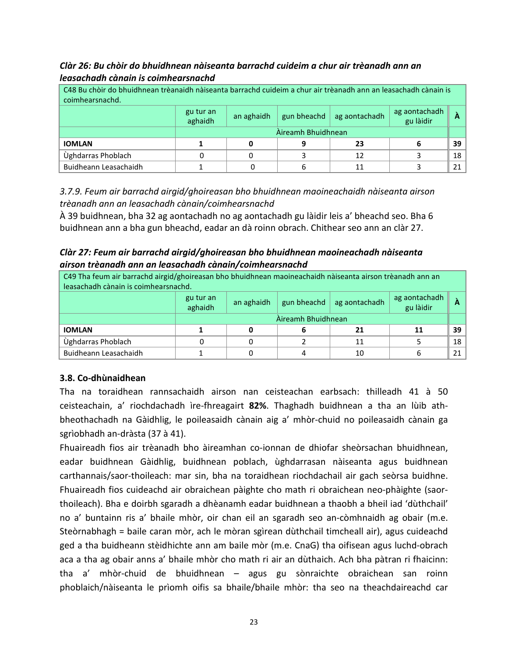*Clàr 26: Bu chòir do bhuidhnean nàiseanta barrachd cuideim a chur air trèanadh ann an leasachadh cànain is coimhearsnachd*

| C48 Bu chòir do bhuidhnean trèanaidh nàiseanta barrachd cuideim a chur air trèanadh ann an leasachadh cànain is<br>coimhearsnachd. |  |                    |  |    |   |                 |
|------------------------------------------------------------------------------------------------------------------------------------|--|--------------------|--|----|---|-----------------|
| ag aontachadh<br>gu làidir<br>gu tur an<br>gun bheachd<br>an aghaidh<br>ag aontachadh<br>aghaidh                                   |  |                    |  |    |   |                 |
|                                                                                                                                    |  | Àireamh Bhuidhnean |  |    |   |                 |
| <b>IOMLAN</b>                                                                                                                      |  |                    |  | 23 | 6 | 39 <sup>1</sup> |
| Ùghdarras Phoblach                                                                                                                 |  |                    |  | 12 |   | 18 <sup>1</sup> |
| Buidheann Leasachaidh                                                                                                              |  |                    |  |    |   | 21 <sup>1</sup> |

*3.7.9. Feum air barrachd airgid/ghoireasan bho bhuidhnean maoineachaidh nàiseanta airson trèanadh ann an leasachadh cànain/coimhearsnachd*

À 39 buidhnean, bha 32 ag aontachadh no ag aontachadh gu làidir leis a' bheachd seo. Bha 6 buidhnean ann a bha gun bheachd, eadar an dà roinn obrach. Chithear seo ann an clàr 27.

*Clàr 27: Feum air barrachd airgid/ghoireasan bho bhuidhnean maoineachadh nàiseanta airson trèanadh ann an leasachadh cànain/coimhearsnachd*

C49 Tha feum air barrachd airgid/ghoireasan bho bhuidhnean maoineachaidh nàiseanta airson trèanadh ann an leasachadh cànain is coimhearsnachd.

|                       | gu tur an<br>aghaidh | an aghaidh | gun bheachd | ag aontachadh | ag aontachadh<br>gu làidir |    |
|-----------------------|----------------------|------------|-------------|---------------|----------------------------|----|
|                       | Àireamh Bhuidhnean   |            |             |               |                            |    |
| <b>IOMLAN</b>         |                      |            |             |               | 11                         | 39 |
| Ùghdarras Phoblach    |                      |            |             |               |                            | 18 |
| Buidheann Leasachaidh |                      |            |             | 10            |                            | 21 |

## **3.8. Co-dhùnaidhean**

Tha na toraidhean rannsachaidh airson nan ceisteachan earbsach: thilleadh 41 à 50 ceisteachain, a' riochdachadh ìre-fhreagairt **82%**. Thaghadh buidhnean a tha an lùib athbheothachadh na Gàidhlig, le poileasaidh cànain aig a' mhòr-chuid no poileasaidh cànain ga sgrìobhadh an-dràsta (37 à 41).

Fhuaireadh fios air trèanadh bho àireamhan co-ionnan de dhiofar sheòrsachan bhuidhnean, eadar buidhnean Gàidhlig, buidhnean poblach, ùghdarrasan nàiseanta agus buidhnean carthannais/saor-thoileach: mar sin, bha na toraidhean riochdachail air gach seòrsa buidhne. Fhuaireadh fios cuideachd air obraichean pàighte cho math ri obraichean neo-phàighte (saorthoileach). Bha e doirbh sgaradh a dhèanamh eadar buidhnean a thaobh a bheil iad 'dùthchail' no a' buntainn ris a' bhaile mhòr, oir chan eil an sgaradh seo an-còmhnaidh ag obair (m.e. Steòrnabhagh = baile caran mòr, ach le mòran sgìrean dùthchail timcheall air), agus cuideachd ged a tha buidheann stèidhichte ann am baile mòr (m.e. CnaG) tha oifisean agus luchd-obrach aca a tha ag obair anns a' bhaile mhòr cho math ri air an dùthaich. Ach bha pàtran ri fhaicinn: tha a' mhòr-chuid de bhuidhnean – agus gu sònraichte obraichean san roinn phoblaich/nàiseanta le prìomh oifis sa bhaile/bhaile mhòr: tha seo na theachdaireachd car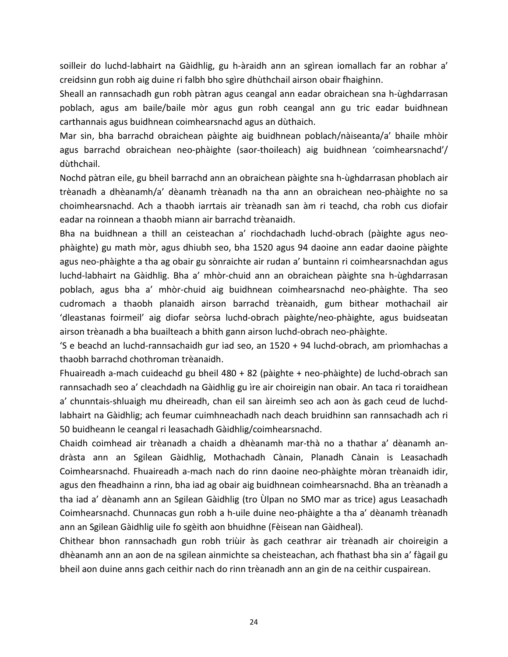soilleir do luchd-labhairt na Gàidhlig, gu h-àraidh ann an sgìrean iomallach far an robhar a' creidsinn gun robh aig duine ri falbh bho sgìre dhùthchail airson obair fhaighinn.

Sheall an rannsachadh gun robh pàtran agus ceangal ann eadar obraichean sna h-ùghdarrasan poblach, agus am baile/baile mòr agus gun robh ceangal ann gu tric eadar buidhnean carthannais agus buidhnean coimhearsnachd agus an dùthaich.

Mar sin, bha barrachd obraichean pàighte aig buidhnean poblach/nàiseanta/a' bhaile mhòir agus barrachd obraichean neo-phàighte (saor-thoileach) aig buidhnean 'coimhearsnachd'/ dùthchail.

Nochd pàtran eile, gu bheil barrachd ann an obraichean pàighte sna h-ùghdarrasan phoblach air trèanadh a dhèanamh/a' dèanamh trèanadh na tha ann an obraichean neo-phàighte no sa choimhearsnachd. Ach a thaobh iarrtais air trèanadh san àm ri teachd, cha robh cus diofair eadar na roinnean a thaobh miann air barrachd trèanaidh.

Bha na buidhnean a thill an ceisteachan a' riochdachadh luchd-obrach (pàighte agus neophàighte) gu math mòr, agus dhiubh seo, bha 1520 agus 94 daoine ann eadar daoine pàighte agus neo-phàighte a tha ag obair gu sònraichte air rudan a' buntainn ri coimhearsnachdan agus luchd-labhairt na Gàidhlig. Bha a' mhòr-chuid ann an obraichean pàighte sna h-ùghdarrasan poblach, agus bha a' mhòr-chuid aig buidhnean coimhearsnachd neo-phàighte. Tha seo cudromach a thaobh planaidh airson barrachd trèanaidh, gum bithear mothachail air 'dleastanas foirmeil' aig diofar seòrsa luchd-obrach pàighte/neo-phàighte, agus buidseatan airson trèanadh a bha buailteach a bhith gann airson luchd-obrach neo-phàighte.

'S e beachd an luchd-rannsachaidh gur iad seo, an 1520 + 94 luchd-obrach, am prìomhachas a thaobh barrachd chothroman trèanaidh.

Fhuaireadh a-mach cuideachd gu bheil 480 + 82 (pàighte + neo-phàighte) de luchd-obrach san rannsachadh seo a' cleachdadh na Gàidhlig gu ìre air choireigin nan obair. An taca ri toraidhean a' chunntais-shluaigh mu dheireadh, chan eil san àireimh seo ach aon às gach ceud de luchdlabhairt na Gàidhlig; ach feumar cuimhneachadh nach deach bruidhinn san rannsachadh ach ri 50 buidheann le ceangal ri leasachadh Gàidhlig/coimhearsnachd.

Chaidh coimhead air trèanadh a chaidh a dhèanamh mar-thà no a thathar a' dèanamh andràsta ann an Sgilean Gàidhlig, Mothachadh Cànain, Planadh Cànain is Leasachadh Coimhearsnachd. Fhuaireadh a-mach nach do rinn daoine neo-phàighte mòran trèanaidh idir, agus den fheadhainn a rinn, bha iad ag obair aig buidhnean coimhearsnachd. Bha an trèanadh a tha iad a' dèanamh ann an Sgilean Gàidhlig (tro Ùlpan no SMO mar as trice) agus Leasachadh Coimhearsnachd. Chunnacas gun robh a h-uile duine neo-phàighte a tha a' dèanamh trèanadh ann an Sgilean Gàidhlig uile fo sgèith aon bhuidhne (Fèisean nan Gàidheal).

Chithear bhon rannsachadh gun robh triùir às gach ceathrar air trèanadh air choireigin a dhèanamh ann an aon de na sgilean ainmichte sa cheisteachan, ach fhathast bha sin a' fàgail gu bheil aon duine anns gach ceithir nach do rinn trèanadh ann an gin de na ceithir cuspairean.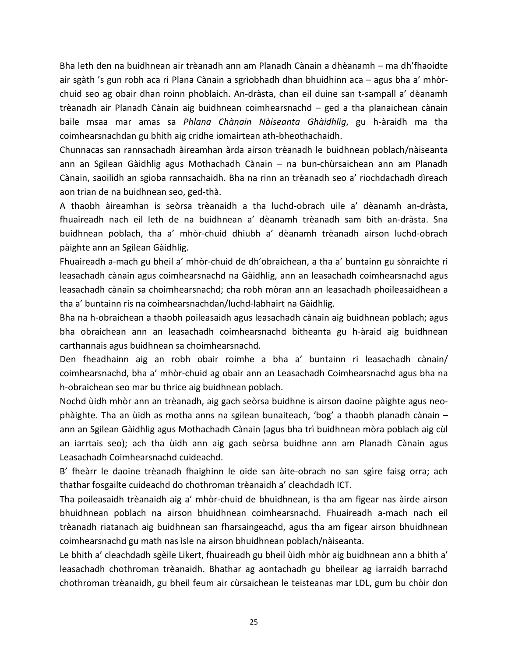Bha leth den na buidhnean air trèanadh ann am Planadh Cànain a dhèanamh – ma dh'fhaoidte air sgàth 's gun robh aca ri Plana Cànain a sgrìobhadh dhan bhuidhinn aca – agus bha a' mhòrchuid seo ag obair dhan roinn phoblaich. An-dràsta, chan eil duine san t-sampall a' dèanamh trèanadh air Planadh Cànain aig buidhnean coimhearsnachd – ged a tha planaichean cànain baile msaa mar amas sa *Phlana Chànain Nàiseanta Ghàidhlig*, gu h-àraidh ma tha coimhearsnachdan gu bhith aig cridhe iomairtean ath-bheothachaidh.

Chunnacas san rannsachadh àireamhan àrda airson trèanadh le buidhnean poblach/nàiseanta ann an Sgilean Gàidhlig agus Mothachadh Cànain – na bun-chùrsaichean ann am Planadh Cànain, saoilidh an sgioba rannsachaidh. Bha na rinn an trèanadh seo a' riochdachadh dìreach aon trian de na buidhnean seo, ged-thà.

A thaobh àireamhan is seòrsa trèanaidh a tha luchd-obrach uile a' dèanamh an-dràsta, fhuaireadh nach eil leth de na buidhnean a' dèanamh trèanadh sam bith an-dràsta. Sna buidhnean poblach, tha a' mhòr-chuid dhiubh a' dèanamh trèanadh airson luchd-obrach pàighte ann an Sgilean Gàidhlig.

Fhuaireadh a-mach gu bheil a' mhòr-chuid de dh'obraichean, a tha a' buntainn gu sònraichte ri leasachadh cànain agus coimhearsnachd na Gàidhlig, ann an leasachadh coimhearsnachd agus leasachadh cànain sa choimhearsnachd; cha robh mòran ann an leasachadh phoileasaidhean a tha a' buntainn ris na coimhearsnachdan/luchd-labhairt na Gàidhlig.

Bha na h-obraichean a thaobh poileasaidh agus leasachadh cànain aig buidhnean poblach; agus bha obraichean ann an leasachadh coimhearsnachd bitheanta gu h-àraid aig buidhnean carthannais agus buidhnean sa choimhearsnachd.

Den fheadhainn aig an robh obair roimhe a bha a' buntainn ri leasachadh cànain/ coimhearsnachd, bha a' mhòr-chuid ag obair ann an Leasachadh Coimhearsnachd agus bha na h-obraichean seo mar bu thrice aig buidhnean poblach.

Nochd ùidh mhòr ann an trèanadh, aig gach seòrsa buidhne is airson daoine pàighte agus neophàighte. Tha an ùidh as motha anns na sgilean bunaiteach, 'bog' a thaobh planadh cànain – ann an Sgilean Gàidhlig agus Mothachadh Cànain (agus bha trì buidhnean mòra poblach aig cùl an iarrtais seo); ach tha ùidh ann aig gach seòrsa buidhne ann am Planadh Cànain agus Leasachadh Coimhearsnachd cuideachd.

B' fheàrr le daoine trèanadh fhaighinn le oide san àite-obrach no san sgìre faisg orra; ach thathar fosgailte cuideachd do chothroman trèanaidh a' cleachdadh ICT.

Tha poileasaidh trèanaidh aig a' mhòr-chuid de bhuidhnean, is tha am figear nas àirde airson bhuidhnean poblach na airson bhuidhnean coimhearsnachd. Fhuaireadh a-mach nach eil trèanadh riatanach aig buidhnean san fharsaingeachd, agus tha am figear airson bhuidhnean coimhearsnachd gu math nas ìsle na airson bhuidhnean poblach/nàiseanta.

Le bhith a' cleachdadh sgèile Likert, fhuaireadh gu bheil ùidh mhòr aig buidhnean ann a bhith a' leasachadh chothroman trèanaidh. Bhathar ag aontachadh gu bheilear ag iarraidh barrachd chothroman trèanaidh, gu bheil feum air cùrsaichean le teisteanas mar LDL, gum bu chòir don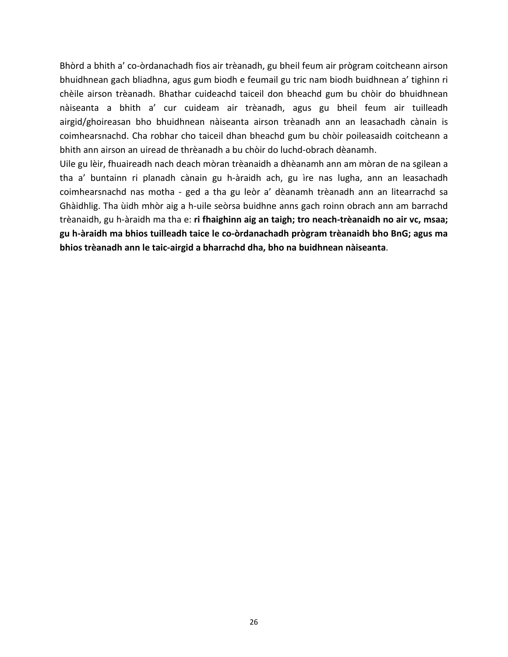Bhòrd a bhith a' co-òrdanachadh fios air trèanadh, gu bheil feum air prògram coitcheann airson bhuidhnean gach bliadhna, agus gum biodh e feumail gu tric nam biodh buidhnean a' tighinn ri chèile airson trèanadh. Bhathar cuideachd taiceil don bheachd gum bu chòir do bhuidhnean nàiseanta a bhith a' cur cuideam air trèanadh, agus gu bheil feum air tuilleadh airgid/ghoireasan bho bhuidhnean nàiseanta airson trèanadh ann an leasachadh cànain is coimhearsnachd. Cha robhar cho taiceil dhan bheachd gum bu chòir poileasaidh coitcheann a bhith ann airson an uiread de thrèanadh a bu chòir do luchd-obrach dèanamh.

Uile gu lèir, fhuaireadh nach deach mòran trèanaidh a dhèanamh ann am mòran de na sgilean a tha a' buntainn ri planadh cànain gu h-àraidh ach, gu ìre nas lugha, ann an leasachadh coimhearsnachd nas motha - ged a tha gu leòr a' dèanamh trèanadh ann an litearrachd sa Ghàidhlig. Tha ùidh mhòr aig a h-uile seòrsa buidhne anns gach roinn obrach ann am barrachd trèanaidh, gu h-àraidh ma tha e: **ri fhaighinn aig an taigh; tro neach-trèanaidh no air vc, msaa; gu h-àraidh ma bhios tuilleadh taice le co-òrdanachadh prògram trèanaidh bho BnG; agus ma bhios trèanadh ann le taic-airgid a bharrachd dha, bho na buidhnean nàiseanta**.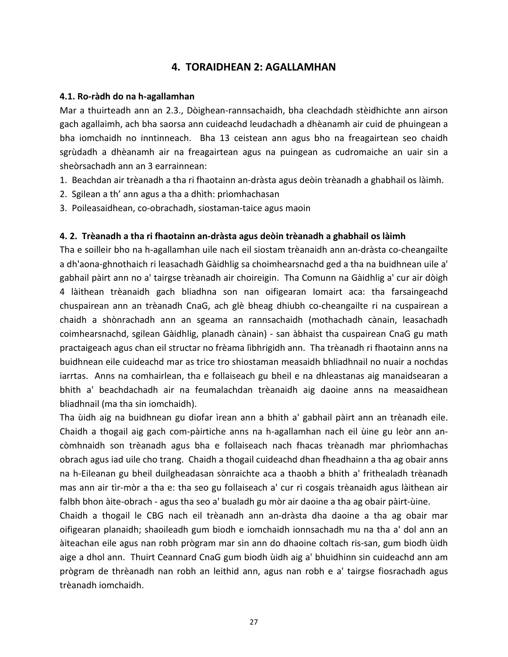# **4. TORAIDHEAN 2: AGALLAMHAN**

### **4.1. Ro-ràdh do na h-agallamhan**

Mar a thuirteadh ann an 2.3., Dòighean-rannsachaidh, bha cleachdadh stèidhichte ann airson gach agallaimh, ach bha saorsa ann cuideachd leudachadh a dhèanamh air cuid de phuingean a bha iomchaidh no inntinneach. Bha 13 ceistean ann agus bho na freagairtean seo chaidh sgrùdadh a dhèanamh air na freagairtean agus na puingean as cudromaiche an uair sin a sheòrsachadh ann an 3 earrainnean:

- 1. Beachdan air trèanadh a tha ri fhaotainn an-dràsta agus deòin trèanadh a ghabhail os làimh.
- 2. Sgilean a th' ann agus a tha a dhìth: prìomhachasan
- 3. Poileasaidhean, co-obrachadh, siostaman-taice agus maoin

## **4. 2. Trèanadh a tha ri fhaotainn an-dràsta agus deòin trèanadh a ghabhail os làimh**

Tha e soilleir bho na h-agallamhan uile nach eil siostam trèanaidh ann an-dràsta co-cheangailte a dh'aona-ghnothaich ri leasachadh Gàidhlig sa choimhearsnachd ged a tha na buidhnean uile a' gabhail pàirt ann no a' tairgse trèanadh air choireigin. Tha Comunn na Gàidhlig a' cur air dòigh 4 làithean trèanaidh gach bliadhna son nan oifigearan Iomairt aca: tha farsaingeachd chuspairean ann an trèanadh CnaG, ach glè bheag dhiubh co-cheangailte ri na cuspairean a chaidh a shònrachadh ann an sgeama an rannsachaidh (mothachadh cànain, leasachadh coimhearsnachd, sgilean Gàidhlig, planadh cànain) - san àbhaist tha cuspairean CnaG gu math practaigeach agus chan eil structar no frèama lìbhrigidh ann. Tha trèanadh ri fhaotainn anns na buidhnean eile cuideachd mar as trice tro shiostaman measaidh bhliadhnail no nuair a nochdas iarrtas. Anns na comhairlean, tha e follaiseach gu bheil e na dhleastanas aig manaidsearan a bhith a' beachdachadh air na feumalachdan trèanaidh aig daoine anns na measaidhean bliadhnail (ma tha sin iomchaidh).

Tha ùidh aig na buidhnean gu diofar ìrean ann a bhith a' gabhail pàirt ann an trèanadh eile. Chaidh a thogail aig gach com-pàirtiche anns na h-agallamhan nach eil ùine gu leòr ann ancòmhnaidh son trèanadh agus bha e follaiseach nach fhacas trèanadh mar phrìomhachas obrach agus iad uile cho trang. Chaidh a thogail cuideachd dhan fheadhainn a tha ag obair anns na h-Eileanan gu bheil duilgheadasan sònraichte aca a thaobh a bhith a' frithealadh trèanadh mas ann air tìr-mòr a tha e: tha seo gu follaiseach a' cur ri cosgais trèanaidh agus làithean air falbh bhon àite-obrach - agus tha seo a' bualadh gu mòr air daoine a tha ag obair pàirt-ùine.

Chaidh a thogail le CBG nach eil trèanadh ann an-dràsta dha daoine a tha ag obair mar oifigearan planaidh; shaoileadh gum biodh e iomchaidh ionnsachadh mu na tha a' dol ann an àiteachan eile agus nan robh prògram mar sin ann do dhaoine coltach ris-san, gum biodh ùidh aige a dhol ann. Thuirt Ceannard CnaG gum biodh ùidh aig a' bhuidhinn sin cuideachd ann am prògram de thrèanadh nan robh an leithid ann, agus nan robh e a' tairgse fiosrachadh agus trèanadh iomchaidh.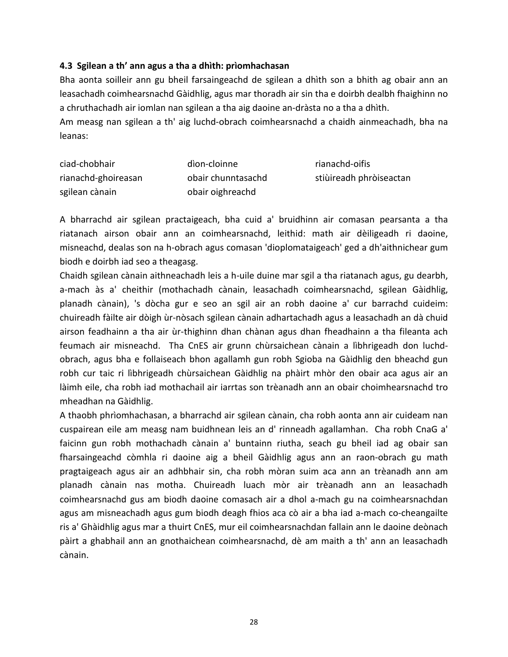#### **4.3 Sgilean a th' ann agus a tha a dhìth: prìomhachasan**

Bha aonta soilleir ann gu bheil farsaingeachd de sgilean a dhìth son a bhith ag obair ann an leasachadh coimhearsnachd Gàidhlig, agus mar thoradh air sin tha e doirbh dealbh fhaighinn no a chruthachadh air iomlan nan sgilean a tha aig daoine an-dràsta no a tha a dhìth.

Am measg nan sgilean a th' aig luchd-obrach coimhearsnachd a chaidh ainmeachadh, bha na leanas:

| ciad-chobhair       | dìon-cloinne       | rianachd-oifis          |
|---------------------|--------------------|-------------------------|
| rianachd-ghoireasan | obair chunntasachd | stiùireadh phròiseactan |
| sgilean cànain      | obair oighreachd   |                         |

A bharrachd air sgilean practaigeach, bha cuid a' bruidhinn air comasan pearsanta a tha riatanach airson obair ann an coimhearsnachd, leithid: math air dèiligeadh ri daoine, misneachd, dealas son na h-obrach agus comasan 'dioplomataigeach' ged a dh'aithnichear gum biodh e doirbh iad seo a theagasg.

Chaidh sgilean cànain aithneachadh leis a h-uile duine mar sgil a tha riatanach agus, gu dearbh, a-mach às a' cheithir (mothachadh cànain, leasachadh coimhearsnachd, sgilean Gàidhlig, planadh cànain), 's dòcha gur e seo an sgil air an robh daoine a' cur barrachd cuideim: chuireadh fàilte air dòigh ùr-nòsach sgilean cànain adhartachadh agus a leasachadh an dà chuid airson feadhainn a tha air ùr-thighinn dhan chànan agus dhan fheadhainn a tha fileanta ach feumach air misneachd. Tha CnES air grunn chùrsaichean cànain a lìbhrigeadh don luchdobrach, agus bha e follaiseach bhon agallamh gun robh Sgioba na Gàidhlig den bheachd gun robh cur taic ri lìbhrigeadh chùrsaichean Gàidhlig na phàirt mhòr den obair aca agus air an làimh eile, cha robh iad mothachail air iarrtas son trèanadh ann an obair choimhearsnachd tro mheadhan na Gàidhlig.

A thaobh phrìomhachasan, a bharrachd air sgilean cànain, cha robh aonta ann air cuideam nan cuspairean eile am measg nam buidhnean leis an d' rinneadh agallamhan. Cha robh CnaG a' faicinn gun robh mothachadh cànain a' buntainn riutha, seach gu bheil iad ag obair san fharsaingeachd còmhla ri daoine aig a bheil Gàidhlig agus ann an raon-obrach gu math pragtaigeach agus air an adhbhair sin, cha robh mòran suim aca ann an trèanadh ann am planadh cànain nas motha. Chuireadh luach mòr air trèanadh ann an leasachadh coimhearsnachd gus am biodh daoine comasach air a dhol a-mach gu na coimhearsnachdan agus am misneachadh agus gum biodh deagh fhios aca cò air a bha iad a-mach co-cheangailte ris a' Ghàidhlig agus mar a thuirt CnES, mur eil coimhearsnachdan fallain ann le daoine deònach pàirt a ghabhail ann an gnothaichean coimhearsnachd, dè am maith a th' ann an leasachadh cànain.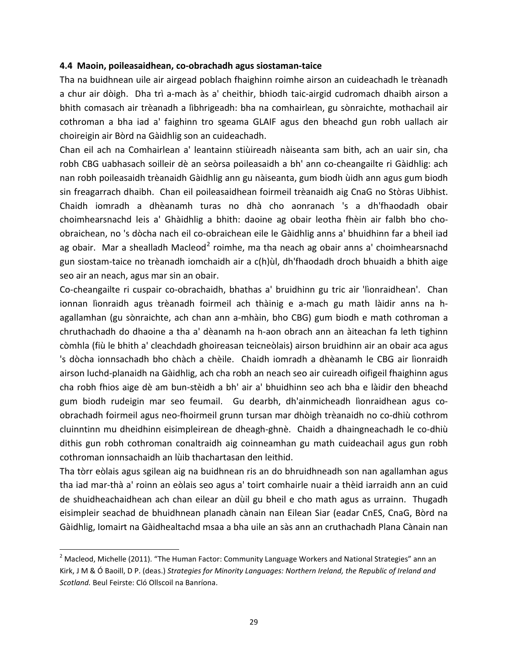#### **4.4 Maoin, poileasaidhean, co-obrachadh agus siostaman-taice**

Tha na buidhnean uile air airgead poblach fhaighinn roimhe airson an cuideachadh le trèanadh a chur air dòigh. Dha trì a-mach às a' cheithir, bhiodh taic-airgid cudromach dhaibh airson a bhith comasach air trèanadh a lìbhrigeadh: bha na comhairlean, gu sònraichte, mothachail air cothroman a bha iad a' faighinn tro sgeama GLAIF agus den bheachd gun robh uallach air choireigin air Bòrd na Gàidhlig son an cuideachadh.

Chan eil ach na Comhairlean a' leantainn stiùireadh nàiseanta sam bith, ach an uair sin, cha robh CBG uabhasach soilleir dè an seòrsa poileasaidh a bh' ann co-cheangailte ri Gàidhlig: ach nan robh poileasaidh trèanaidh Gàidhlig ann gu nàiseanta, gum biodh ùidh ann agus gum biodh sin freagarrach dhaibh. Chan eil poileasaidhean foirmeil trèanaidh aig CnaG no Stòras Uibhist. Chaidh iomradh a dhèanamh turas no dhà cho aonranach 's a dh'fhaodadh obair choimhearsnachd leis a' Ghàidhlig a bhith: daoine ag obair leotha fhèin air falbh bho choobraichean, no 's dòcha nach eil co-obraichean eile le Gàidhlig anns a' bhuidhinn far a bheil iad ag obair. Mar a shealladh Macleod<sup>[2](#page-29-0)</sup> roimhe, ma tha neach ag obair anns a' choimhearsnachd gun siostam-taice no trèanadh iomchaidh air a c(h)ùl, dh'fhaodadh droch bhuaidh a bhith aige seo air an neach, agus mar sin an obair.

Co-cheangailte ri cuspair co-obrachaidh, bhathas a' bruidhinn gu tric air 'lìonraidhean'. Chan ionnan lìonraidh agus trèanadh foirmeil ach thàinig e a-mach gu math làidir anns na hagallamhan (gu sònraichte, ach chan ann a-mhàin, bho CBG) gum biodh e math cothroman a chruthachadh do dhaoine a tha a' dèanamh na h-aon obrach ann an àiteachan fa leth tighinn còmhla (fiù le bhith a' cleachdadh ghoireasan teicneòlais) airson bruidhinn air an obair aca agus 's dòcha ionnsachadh bho chàch a chèile. Chaidh iomradh a dhèanamh le CBG air lìonraidh airson luchd-planaidh na Gàidhlig, ach cha robh an neach seo air cuireadh oifigeil fhaighinn agus cha robh fhios aige dè am bun-stèidh a bh' air a' bhuidhinn seo ach bha e làidir den bheachd gum biodh rudeigin mar seo feumail. Gu dearbh, dh'ainmicheadh lìonraidhean agus coobrachadh foirmeil agus neo-fhoirmeil grunn tursan mar dhòigh trèanaidh no co-dhiù cothrom cluinntinn mu dheidhinn eisimpleirean de dheagh-ghnè. Chaidh a dhaingneachadh le co-dhiù dithis gun robh cothroman conaltraidh aig coinneamhan gu math cuideachail agus gun robh cothroman ionnsachaidh an lùib thachartasan den leithid.

Tha tòrr eòlais agus sgilean aig na buidhnean ris an do bhruidhneadh son nan agallamhan agus tha iad mar-thà a' roinn an eòlais seo agus a' toirt comhairle nuair a thèid iarraidh ann an cuid de shuidheachaidhean ach chan eilear an dùil gu bheil e cho math agus as urrainn. Thugadh eisimpleir seachad de bhuidhnean planadh cànain nan Eilean Siar (eadar CnES, CnaG, Bòrd na Gàidhlig, Iomairt na Gàidhealtachd msaa a bha uile an sàs ann an cruthachadh Plana Cànain nan

 $\overline{\phantom{a}}$ 

<span id="page-29-0"></span><sup>&</sup>lt;sup>2</sup> Macleod, Michelle (2011). "The Human Factor: Community Language Workers and National Strategies" ann an Kirk, J M & Ó Baoill, D P. (deas.) *Strategies for Minority Languages: Northern Ireland, the Republic of Ireland and Scotland.* Beul Feirste: Cló Ollscoil na Banríona.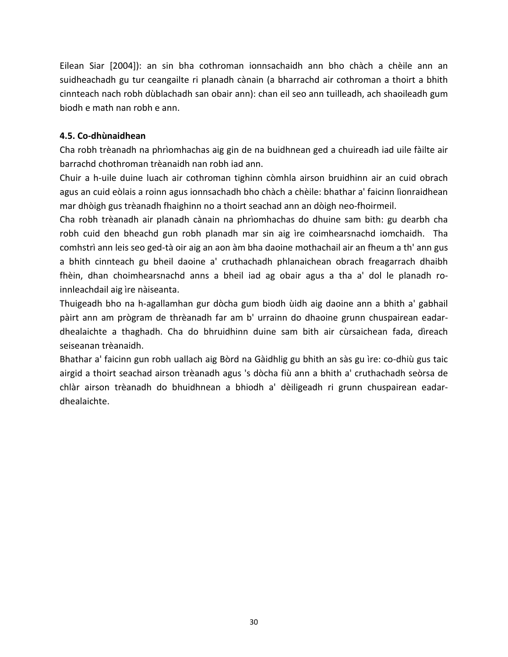Eilean Siar [2004]): an sin bha cothroman ionnsachaidh ann bho chàch a chèile ann an suidheachadh gu tur ceangailte ri planadh cànain (a bharrachd air cothroman a thoirt a bhith cinnteach nach robh dùblachadh san obair ann): chan eil seo ann tuilleadh, ach shaoileadh gum biodh e math nan robh e ann.

# **4.5. Co-dhùnaidhean**

Cha robh trèanadh na phrìomhachas aig gin de na buidhnean ged a chuireadh iad uile fàilte air barrachd chothroman trèanaidh nan robh iad ann.

Chuir a h-uile duine luach air cothroman tighinn còmhla airson bruidhinn air an cuid obrach agus an cuid eòlais a roinn agus ionnsachadh bho chàch a chèile: bhathar a' faicinn lìonraidhean mar dhòigh gus trèanadh fhaighinn no a thoirt seachad ann an dòigh neo-fhoirmeil.

Cha robh trèanadh air planadh cànain na phrìomhachas do dhuine sam bith: gu dearbh cha robh cuid den bheachd gun robh planadh mar sin aig ìre coimhearsnachd iomchaidh. Tha comhstrì ann leis seo ged-tà oir aig an aon àm bha daoine mothachail air an fheum a th' ann gus a bhith cinnteach gu bheil daoine a' cruthachadh phlanaichean obrach freagarrach dhaibh fhèin, dhan choimhearsnachd anns a bheil iad ag obair agus a tha a' dol le planadh roinnleachdail aig ìre nàiseanta.

Thuigeadh bho na h-agallamhan gur dòcha gum biodh ùidh aig daoine ann a bhith a' gabhail pàirt ann am prògram de thrèanadh far am b' urrainn do dhaoine grunn chuspairean eadardhealaichte a thaghadh. Cha do bhruidhinn duine sam bith air cùrsaichean fada, dìreach seiseanan trèanaidh.

Bhathar a' faicinn gun robh uallach aig Bòrd na Gàidhlig gu bhith an sàs gu ìre: co-dhiù gus taic airgid a thoirt seachad airson trèanadh agus 's dòcha fiù ann a bhith a' cruthachadh seòrsa de chlàr airson trèanadh do bhuidhnean a bhiodh a' dèiligeadh ri grunn chuspairean eadardhealaichte.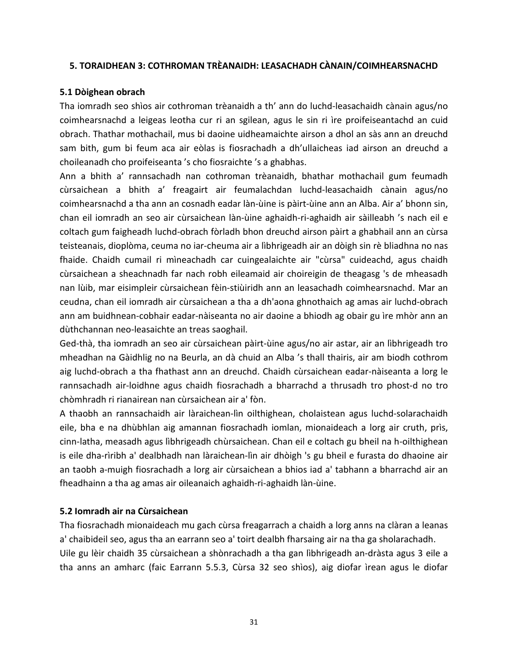#### **5. TORAIDHEAN 3: COTHROMAN TRÈANAIDH: LEASACHADH CÀNAIN/COIMHEARSNACHD**

#### **5.1 Dòighean obrach**

Tha iomradh seo shìos air cothroman trèanaidh a th' ann do luchd-leasachaidh cànain agus/no coimhearsnachd a leigeas leotha cur ri an sgilean, agus le sin ri ìre proifeiseantachd an cuid obrach. Thathar mothachail, mus bi daoine uidheamaichte airson a dhol an sàs ann an dreuchd sam bith, gum bi feum aca air eòlas is fiosrachadh a dh'ullaicheas iad airson an dreuchd a choileanadh cho proifeiseanta 's cho fiosraichte 's a ghabhas.

Ann a bhith a' rannsachadh nan cothroman trèanaidh, bhathar mothachail gum feumadh cùrsaichean a bhith a' freagairt air feumalachdan luchd-leasachaidh cànain agus/no coimhearsnachd a tha ann an cosnadh eadar làn-ùine is pàirt-ùine ann an Alba. Air a' bhonn sin, chan eil iomradh an seo air cùrsaichean làn-ùine aghaidh-ri-aghaidh air sàilleabh 's nach eil e coltach gum faigheadh luchd-obrach fòrladh bhon dreuchd airson pàirt a ghabhail ann an cùrsa teisteanais, dioplòma, ceuma no iar-cheuma air a lìbhrigeadh air an dòigh sin rè bliadhna no nas fhaide. Chaidh cumail ri mìneachadh car cuingealaichte air "cùrsa" cuideachd, agus chaidh cùrsaichean a sheachnadh far nach robh eileamaid air choireigin de theagasg 's de mheasadh nan lùib, mar eisimpleir cùrsaichean fèin-stiùiridh ann an leasachadh coimhearsnachd. Mar an ceudna, chan eil iomradh air cùrsaichean a tha a dh'aona ghnothaich ag amas air luchd-obrach ann am buidhnean-cobhair eadar-nàiseanta no air daoine a bhiodh ag obair gu ìre mhòr ann an dùthchannan neo-leasaichte an treas saoghail.

Ged-thà, tha iomradh an seo air cùrsaichean pàirt-ùine agus/no air astar, air an lìbhrigeadh tro mheadhan na Gàidhlig no na Beurla, an dà chuid an Alba 's thall thairis, air am biodh cothrom aig luchd-obrach a tha fhathast ann an dreuchd. Chaidh cùrsaichean eadar-nàiseanta a lorg le rannsachadh air-loidhne agus chaidh fiosrachadh a bharrachd a thrusadh tro phost-d no tro chòmhradh ri rianairean nan cùrsaichean air a' fòn.

A thaobh an rannsachaidh air làraichean-lìn oilthighean, cholaistean agus luchd-solarachaidh eile, bha e na dhùbhlan aig amannan fiosrachadh iomlan, mionaideach a lorg air cruth, prìs, cinn-latha, measadh agus lìbhrigeadh chùrsaichean. Chan eil e coltach gu bheil na h-oilthighean is eile dha-rìribh a' dealbhadh nan làraichean-lìn air dhòigh 's gu bheil e furasta do dhaoine air an taobh a-muigh fiosrachadh a lorg air cùrsaichean a bhios iad a' tabhann a bharrachd air an fheadhainn a tha ag amas air oileanaich aghaidh-ri-aghaidh làn-ùine.

### **5.2 Iomradh air na Cùrsaichean**

Tha fiosrachadh mionaideach mu gach cùrsa freagarrach a chaidh a lorg anns na clàran a leanas a' chaibideil seo, agus tha an earrann seo a' toirt dealbh fharsaing air na tha ga sholarachadh. Uile gu lèir chaidh 35 cùrsaichean a shònrachadh a tha gan lìbhrigeadh an-dràsta agus 3 eile a tha anns an amharc (faic Earrann 5.5.3, Cùrsa 32 seo shìos), aig diofar ìrean agus le diofar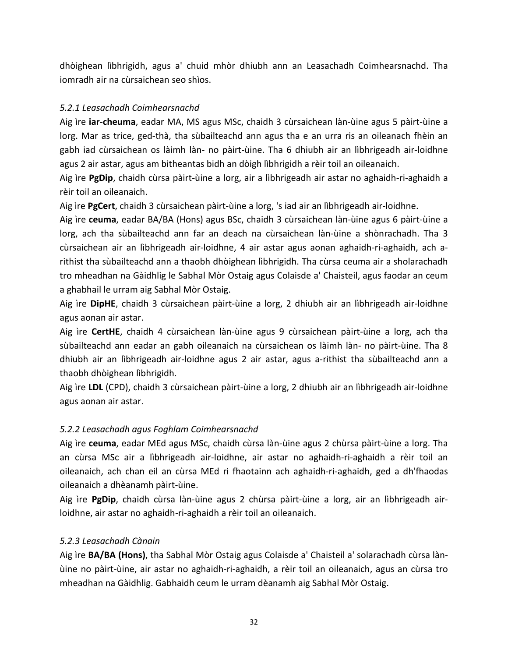dhòighean lìbhrigidh, agus a' chuid mhòr dhiubh ann an Leasachadh Coimhearsnachd. Tha iomradh air na cùrsaichean seo shìos.

### *5.2.1 Leasachadh Coimhearsnachd*

Aig ìre **iar-cheuma**, eadar MA, MS agus MSc, chaidh 3 cùrsaichean làn-ùine agus 5 pàirt-ùine a lorg. Mar as trice, ged-thà, tha sùbailteachd ann agus tha e an urra ris an oileanach fhèin an gabh iad cùrsaichean os làimh làn- no pàirt-ùine. Tha 6 dhiubh air an lìbhrigeadh air-loidhne agus 2 air astar, agus am bitheantas bidh an dòigh lìbhrigidh a rèir toil an oileanaich.

Aig ìre **PgDip**, chaidh cùrsa pàirt-ùine a lorg, air a lìbhrigeadh air astar no aghaidh-ri-aghaidh a rèir toil an oileanaich.

Aig ìre **PgCert**, chaidh 3 cùrsaichean pàirt-ùine a lorg, 's iad air an lìbhrigeadh air-loidhne.

Aig ìre **ceuma**, eadar BA/BA (Hons) agus BSc, chaidh 3 cùrsaichean làn-ùine agus 6 pàirt-ùine a lorg, ach tha sùbailteachd ann far an deach na cùrsaichean làn-ùine a shònrachadh. Tha 3 cùrsaichean air an lìbhrigeadh air-loidhne, 4 air astar agus aonan aghaidh-ri-aghaidh, ach arithist tha sùbailteachd ann a thaobh dhòighean lìbhrigidh. Tha cùrsa ceuma air a sholarachadh tro mheadhan na Gàidhlig le Sabhal Mòr Ostaig agus Colaisde a' Chaisteil, agus faodar an ceum a ghabhail le urram aig Sabhal Mòr Ostaig.

Aig ìre **DipHE**, chaidh 3 cùrsaichean pàirt-ùine a lorg, 2 dhiubh air an lìbhrigeadh air-loidhne agus aonan air astar.

Aig ìre **CertHE**, chaidh 4 cùrsaichean làn-ùine agus 9 cùrsaichean pàirt-ùine a lorg, ach tha sùbailteachd ann eadar an gabh oileanaich na cùrsaichean os làimh làn- no pàirt-ùine. Tha 8 dhiubh air an lìbhrigeadh air-loidhne agus 2 air astar, agus a-rithist tha sùbailteachd ann a thaobh dhòighean lìbhrigidh.

Aig ìre **LDL** (CPD), chaidh 3 cùrsaichean pàirt-ùine a lorg, 2 dhiubh air an lìbhrigeadh air-loidhne agus aonan air astar.

## *5.2.2 Leasachadh agus Foghlam Coimhearsnachd*

Aig ìre **ceuma**, eadar MEd agus MSc, chaidh cùrsa làn-ùine agus 2 chùrsa pàirt-ùine a lorg. Tha an cùrsa MSc air a lìbhrigeadh air-loidhne, air astar no aghaidh-ri-aghaidh a rèir toil an oileanaich, ach chan eil an cùrsa MEd ri fhaotainn ach aghaidh-ri-aghaidh, ged a dh'fhaodas oileanaich a dhèanamh pàirt-ùine.

Aig ìre **PgDip**, chaidh cùrsa làn-ùine agus 2 chùrsa pàirt-ùine a lorg, air an lìbhrigeadh airloidhne, air astar no aghaidh-ri-aghaidh a rèir toil an oileanaich.

## *5.2.3 Leasachadh Cànain*

Aig ìre **BA/BA (Hons)**, tha Sabhal Mòr Ostaig agus Colaisde a' Chaisteil a' solarachadh cùrsa lànùine no pàirt-ùine, air astar no aghaidh-ri-aghaidh, a rèir toil an oileanaich, agus an cùrsa tro mheadhan na Gàidhlig. Gabhaidh ceum le urram dèanamh aig Sabhal Mòr Ostaig.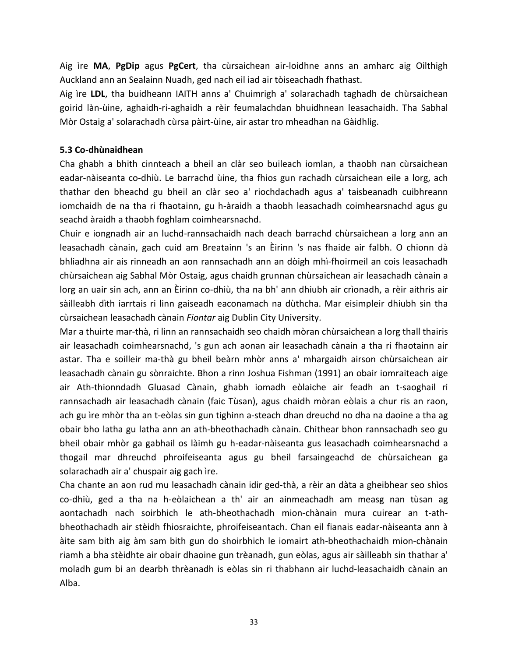Aig ìre **MA**, **PgDip** agus **PgCert**, tha cùrsaichean air-loidhne anns an amharc aig Oilthigh Auckland ann an Sealainn Nuadh, ged nach eil iad air tòiseachadh fhathast.

Aig ìre **LDL**, tha buidheann IAITH anns a' Chuimrigh a' solarachadh taghadh de chùrsaichean goirid làn-ùine, aghaidh-ri-aghaidh a rèir feumalachdan bhuidhnean leasachaidh. Tha Sabhal Mòr Ostaig a' solarachadh cùrsa pàirt-ùine, air astar tro mheadhan na Gàidhlig.

### **5.3 Co-dhùnaidhean**

Cha ghabh a bhith cinnteach a bheil an clàr seo buileach iomlan, a thaobh nan cùrsaichean eadar-nàiseanta co-dhiù. Le barrachd ùine, tha fhios gun rachadh cùrsaichean eile a lorg, ach thathar den bheachd gu bheil an clàr seo a' riochdachadh agus a' taisbeanadh cuibhreann iomchaidh de na tha ri fhaotainn, gu h-àraidh a thaobh leasachadh coimhearsnachd agus gu seachd àraidh a thaobh foghlam coimhearsnachd.

Chuir e iongnadh air an luchd-rannsachaidh nach deach barrachd chùrsaichean a lorg ann an leasachadh cànain, gach cuid am Breatainn 's an Èirinn 's nas fhaide air falbh. O chionn dà bhliadhna air ais rinneadh an aon rannsachadh ann an dòigh mhì-fhoirmeil an cois leasachadh chùrsaichean aig Sabhal Mòr Ostaig, agus chaidh grunnan chùrsaichean air leasachadh cànain a lorg an uair sin ach, ann an Èirinn co-dhiù, tha na bh' ann dhiubh air crìonadh, a rèir aithris air sàilleabh dìth iarrtais ri linn gaiseadh eaconamach na dùthcha. Mar eisimpleir dhiubh sin tha cùrsaichean leasachadh cànain *Fiontar* aig Dublin City University.

Mar a thuirte mar-thà, ri linn an rannsachaidh seo chaidh mòran chùrsaichean a lorg thall thairis air leasachadh coimhearsnachd, 's gun ach aonan air leasachadh cànain a tha ri fhaotainn air astar. Tha e soilleir ma-thà gu bheil beàrn mhòr anns a' mhargaidh airson chùrsaichean air leasachadh cànain gu sònraichte. Bhon a rinn Joshua Fishman (1991) an obair iomraiteach aige air Ath-thionndadh Gluasad Cànain, ghabh iomadh eòlaiche air feadh an t-saoghail ri rannsachadh air leasachadh cànain (faic Tùsan), agus chaidh mòran eòlais a chur ris an raon, ach gu ìre mhòr tha an t-eòlas sin gun tighinn a-steach dhan dreuchd no dha na daoine a tha ag obair bho latha gu latha ann an ath-bheothachadh cànain. Chithear bhon rannsachadh seo gu bheil obair mhòr ga gabhail os làimh gu h-eadar-nàiseanta gus leasachadh coimhearsnachd a thogail mar dhreuchd phroifeiseanta agus gu bheil farsaingeachd de chùrsaichean ga solarachadh air a' chuspair aig gach ìre.

Cha chante an aon rud mu leasachadh cànain idir ged-thà, a rèir an dàta a gheibhear seo shìos co-dhiù, ged a tha na h-eòlaichean a th' air an ainmeachadh am measg nan tùsan ag aontachadh nach soirbhich le ath-bheothachadh mion-chànain mura cuirear an t-athbheothachadh air stèidh fhiosraichte, phroifeiseantach. Chan eil fianais eadar-nàiseanta ann à àite sam bith aig àm sam bith gun do shoirbhich le iomairt ath-bheothachaidh mion-chànain riamh a bha stèidhte air obair dhaoine gun trèanadh, gun eòlas, agus air sàilleabh sin thathar a' moladh gum bi an dearbh thrèanadh is eòlas sin ri thabhann air luchd-leasachaidh cànain an Alba.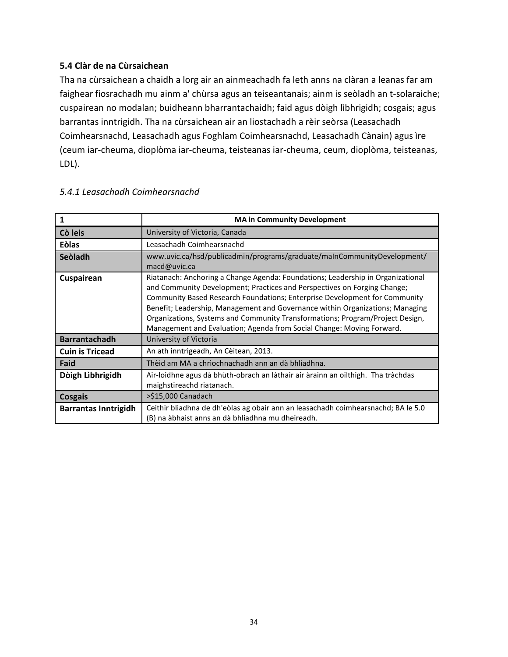### **5.4 Clàr de na Cùrsaichean**

Tha na cùrsaichean a chaidh a lorg air an ainmeachadh fa leth anns na clàran a leanas far am faighear fiosrachadh mu ainm a' chùrsa agus an teiseantanais; ainm is seòladh an t-solaraiche; cuspairean no modalan; buidheann bharrantachaidh; faid agus dòigh lìbhrigidh; cosgais; agus barrantas inntrigidh. Tha na cùrsaichean air an liostachadh a rèir seòrsa (Leasachadh Coimhearsnachd, Leasachadh agus Foghlam Coimhearsnachd, Leasachadh Cànain) agus ìre (ceum iar-cheuma, dioplòma iar-cheuma, teisteanas iar-cheuma, ceum, dioplòma, teisteanas, LDL).

| 1                           | <b>MA in Community Development</b>                                                                                                                                                                                                                                                                                                                                                                                                                                                          |
|-----------------------------|---------------------------------------------------------------------------------------------------------------------------------------------------------------------------------------------------------------------------------------------------------------------------------------------------------------------------------------------------------------------------------------------------------------------------------------------------------------------------------------------|
| Cò leis                     | University of Victoria, Canada                                                                                                                                                                                                                                                                                                                                                                                                                                                              |
| Eòlas                       | Leasachadh Coimhearsnachd                                                                                                                                                                                                                                                                                                                                                                                                                                                                   |
| Seòladh                     | www.uvic.ca/hsd/publicadmin/programs/graduate/maInCommunityDevelopment/<br>macd@uvic.ca                                                                                                                                                                                                                                                                                                                                                                                                     |
| Cuspairean                  | Riatanach: Anchoring a Change Agenda: Foundations; Leadership in Organizational<br>and Community Development; Practices and Perspectives on Forging Change;<br><b>Community Based Research Foundations; Enterprise Development for Community</b><br>Benefit; Leadership, Management and Governance within Organizations; Managing<br>Organizations, Systems and Community Transformations; Program/Project Design,<br>Management and Evaluation; Agenda from Social Change: Moving Forward. |
| <b>Barrantachadh</b>        | University of Victoria                                                                                                                                                                                                                                                                                                                                                                                                                                                                      |
| <b>Cuin is Tricead</b>      | An ath inntrigeadh, An Cèitean, 2013.                                                                                                                                                                                                                                                                                                                                                                                                                                                       |
| Faid                        | Thèid am MA a chrìochnachadh ann an dà bhliadhna.                                                                                                                                                                                                                                                                                                                                                                                                                                           |
| Dòigh Lìbhrigidh            | Air-loidhne agus dà bhùth-obrach an làthair air àrainn an oilthigh. Tha tràchdas<br>maighstireachd riatanach.                                                                                                                                                                                                                                                                                                                                                                               |
| <b>Cosgais</b>              | >\$15,000 Canadach                                                                                                                                                                                                                                                                                                                                                                                                                                                                          |
| <b>Barrantas Inntrigidh</b> | Ceithir bliadhna de dh'eòlas ag obair ann an leasachadh coimhearsnachd; BA le 5.0<br>(B) na àbhaist anns an dà bhliadhna mu dheireadh.                                                                                                                                                                                                                                                                                                                                                      |

### *5.4.1 Leasachadh Coimhearsnachd*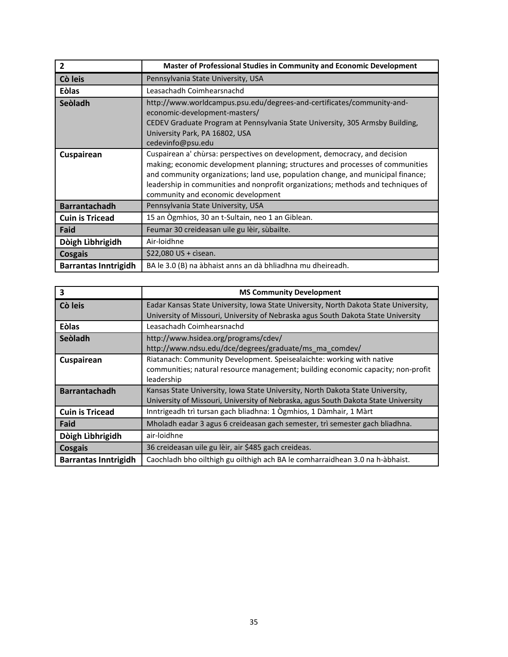| $\overline{2}$              | Master of Professional Studies in Community and Economic Development                                                                                                                                                                                                                                                                                                       |
|-----------------------------|----------------------------------------------------------------------------------------------------------------------------------------------------------------------------------------------------------------------------------------------------------------------------------------------------------------------------------------------------------------------------|
| Cò leis                     | Pennsylvania State University, USA                                                                                                                                                                                                                                                                                                                                         |
| <b>Eòlas</b>                | Leasachadh Coimhearsnachd                                                                                                                                                                                                                                                                                                                                                  |
| Seòladh                     | http://www.worldcampus.psu.edu/degrees-and-certificates/community-and-<br>economic-development-masters/<br>CEDEV Graduate Program at Pennsylvania State University, 305 Armsby Building,<br>University Park, PA 16802, USA<br>cedevinfo@psu.edu                                                                                                                            |
| Cuspairean                  | Cuspairean a' chùrsa: perspectives on development, democracy, and decision<br>making; economic development planning; structures and processes of communities<br>and community organizations; land use, population change, and municipal finance;<br>leadership in communities and nonprofit organizations; methods and techniques of<br>community and economic development |
| <b>Barrantachadh</b>        | Pennsylvania State University, USA                                                                                                                                                                                                                                                                                                                                         |
| <b>Cuin is Tricead</b>      | 15 an Ogmhios, 30 an t-Sultain, neo 1 an Giblean.                                                                                                                                                                                                                                                                                                                          |
| Faid                        | Feumar 30 creideasan uile gu lèir, sùbailte.                                                                                                                                                                                                                                                                                                                               |
| Dòigh Lìbhrigidh            | Air-loidhne                                                                                                                                                                                                                                                                                                                                                                |
| <b>Cosgais</b>              | \$22,080 US + cisean.                                                                                                                                                                                                                                                                                                                                                      |
| <b>Barrantas Inntrigidh</b> | BA le 3.0 (B) na àbhaist anns an dà bhliadhna mu dheireadh.                                                                                                                                                                                                                                                                                                                |

| 3                           | <b>MS Community Development</b>                                                                                                                                           |
|-----------------------------|---------------------------------------------------------------------------------------------------------------------------------------------------------------------------|
| Cò leis                     | Eadar Kansas State University, Iowa State University, North Dakota State University,<br>University of Missouri, University of Nebraska agus South Dakota State University |
| <b>Eòlas</b>                | Leasachadh Coimhearsnachd                                                                                                                                                 |
| Seòladh                     | http://www.hsidea.org/programs/cdev/<br>http://www.ndsu.edu/dce/degrees/graduate/ms ma comdev/                                                                            |
| Cuspairean                  | Riatanach: Community Development. Speisealaichte: working with native<br>communities; natural resource management; building economic capacity; non-profit<br>leadership   |
| <b>Barrantachadh</b>        | Kansas State University, Iowa State University, North Dakota State University,<br>University of Missouri, University of Nebraska, agus South Dakota State University      |
| <b>Cuin is Tricead</b>      | Inntrigeadh trì tursan gach bliadhna: 1 Ògmhios, 1 Dàmhair, 1 Màrt                                                                                                        |
| Faid                        | Mholadh eadar 3 agus 6 creideasan gach semester, trì semester gach bliadhna.                                                                                              |
| Dòigh Lìbhrigidh            | air-loidhne                                                                                                                                                               |
| Cosgais                     | 36 creideasan uile gu lèir, air \$485 gach creideas.                                                                                                                      |
| <b>Barrantas Inntrigidh</b> | Caochladh bho oilthigh gu oilthigh ach BA le comharraidhean 3.0 na h-àbhaist.                                                                                             |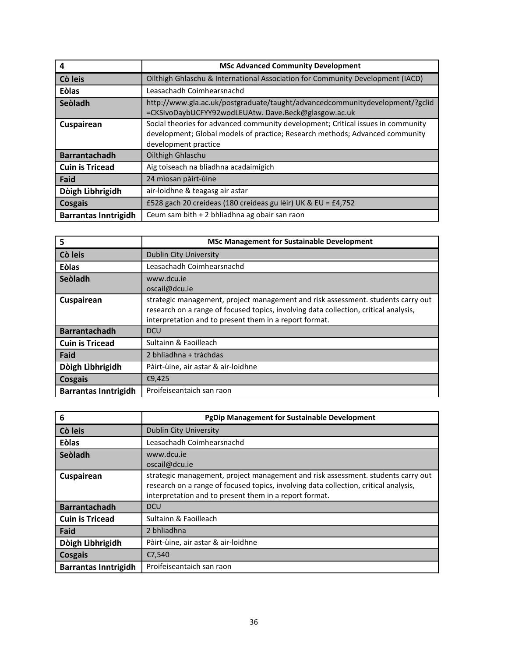| 4                           | <b>MSc Advanced Community Development</b>                                                                                                                                                |
|-----------------------------|------------------------------------------------------------------------------------------------------------------------------------------------------------------------------------------|
| Cò leis                     | Oilthigh Ghlaschu & International Association for Community Development (IACD)                                                                                                           |
| <b>Eòlas</b>                | Leasachadh Coimhearsnachd                                                                                                                                                                |
| Seòladh                     | http://www.gla.ac.uk/postgraduate/taught/advancedcommunitydevelopment/?gclid<br>=CKSIvoDaybUCFYY92wodLEUAtw. Dave.Beck@glasgow.ac.uk                                                     |
| Cuspairean                  | Social theories for advanced community development; Critical issues in community<br>development; Global models of practice; Research methods; Advanced community<br>development practice |
| <b>Barrantachadh</b>        | Oilthigh Ghlaschu                                                                                                                                                                        |
| <b>Cuin is Tricead</b>      | Aig toiseach na bliadhna acadaimigich                                                                                                                                                    |
| Faid                        | 24 mìosan pàirt-ùine                                                                                                                                                                     |
| Dòigh Lìbhrigidh            | air-loidhne & teagasg air astar                                                                                                                                                          |
| Cosgais                     | £528 gach 20 creideas (180 creideas gu lèir) UK & EU = £4,752                                                                                                                            |
| <b>Barrantas Inntrigidh</b> | Ceum sam bith + 2 bhliadhna ag obair san raon                                                                                                                                            |

| 5                           | <b>MSc Management for Sustainable Development</b>                                                                                                                                                                                  |
|-----------------------------|------------------------------------------------------------------------------------------------------------------------------------------------------------------------------------------------------------------------------------|
| Cò leis                     | <b>Dublin City University</b>                                                                                                                                                                                                      |
| <b>Eòlas</b>                | Leasachadh Coimhearsnachd                                                                                                                                                                                                          |
| Seòladh                     | www.dcu.je<br>oscail@dcu.ie                                                                                                                                                                                                        |
| Cuspairean                  | strategic management, project management and risk assessment. students carry out<br>research on a range of focused topics, involving data collection, critical analysis,<br>interpretation and to present them in a report format. |
| <b>Barrantachadh</b>        | <b>DCU</b>                                                                                                                                                                                                                         |
| <b>Cuin is Tricead</b>      | Sultainn & Faoilleach                                                                                                                                                                                                              |
| Faid                        | 2 bhliadhna + tràchdas                                                                                                                                                                                                             |
| Dòigh Lìbhrigidh            | Pàirt-ùine, air astar & air-loidhne                                                                                                                                                                                                |
| Cosgais                     | €9,425                                                                                                                                                                                                                             |
| <b>Barrantas Inntrigidh</b> | Proifeiseantaich san raon                                                                                                                                                                                                          |

| 6                           | <b>PgDip Management for Sustainable Development</b>                                                                                                                                                                                |
|-----------------------------|------------------------------------------------------------------------------------------------------------------------------------------------------------------------------------------------------------------------------------|
| Cò leis                     | <b>Dublin City University</b>                                                                                                                                                                                                      |
| <b>Eòlas</b>                | Leasachadh Coimhearsnachd                                                                                                                                                                                                          |
| Seòladh                     | www.dcu.je<br>oscail@dcu.ie                                                                                                                                                                                                        |
| Cuspairean                  | strategic management, project management and risk assessment. students carry out<br>research on a range of focused topics, involving data collection, critical analysis,<br>interpretation and to present them in a report format. |
| <b>Barrantachadh</b>        | <b>DCU</b>                                                                                                                                                                                                                         |
| <b>Cuin is Tricead</b>      | Sultainn & Faoilleach                                                                                                                                                                                                              |
| Faid                        | 2 bhliadhna                                                                                                                                                                                                                        |
| Dòigh Lìbhrigidh            | Pàirt-ùine, air astar & air-loidhne                                                                                                                                                                                                |
| <b>Cosgais</b>              | €7,540                                                                                                                                                                                                                             |
| <b>Barrantas Inntrigidh</b> | Proifeiseantaich san raon                                                                                                                                                                                                          |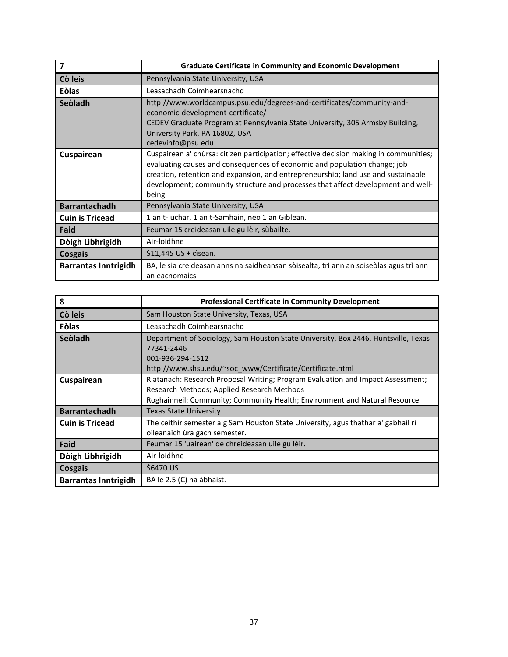| $\overline{\mathbf{z}}$     | <b>Graduate Certificate in Community and Economic Development</b>                                                                                                                                                                                                                                                                                     |
|-----------------------------|-------------------------------------------------------------------------------------------------------------------------------------------------------------------------------------------------------------------------------------------------------------------------------------------------------------------------------------------------------|
| Cò leis                     | Pennsylvania State University, USA                                                                                                                                                                                                                                                                                                                    |
| <b>Eòlas</b>                | Leasachadh Coimhearsnachd                                                                                                                                                                                                                                                                                                                             |
| Seòladh                     | http://www.worldcampus.psu.edu/degrees-and-certificates/community-and-<br>economic-development-certificate/<br>CEDEV Graduate Program at Pennsylvania State University, 305 Armsby Building,<br>University Park, PA 16802, USA<br>cedevinfo@psu.edu                                                                                                   |
| Cuspairean                  | Cuspairean a' chùrsa: citizen participation; effective decision making in communities;<br>evaluating causes and consequences of economic and population change; job<br>creation, retention and expansion, and entrepreneurship; land use and sustainable<br>development; community structure and processes that affect development and well-<br>being |
| <b>Barrantachadh</b>        | Pennsylvania State University, USA                                                                                                                                                                                                                                                                                                                    |
| <b>Cuin is Tricead</b>      | 1 an t-Iuchar, 1 an t-Samhain, neo 1 an Giblean.                                                                                                                                                                                                                                                                                                      |
| Faid                        | Feumar 15 creideasan uile gu lèir, sùbailte.                                                                                                                                                                                                                                                                                                          |
| Dòigh Lìbhrigidh            | Air-loidhne                                                                                                                                                                                                                                                                                                                                           |
| <b>Cosgais</b>              | $$11,445$ US + cisean.                                                                                                                                                                                                                                                                                                                                |
| <b>Barrantas Inntrigidh</b> | BA, le sia creideasan anns na saidheansan sòisealta, trì ann an soiseòlas agus trì ann<br>an eacnomaics                                                                                                                                                                                                                                               |

| 8                           | <b>Professional Certificate in Community Development</b>                                                                                                                                                    |
|-----------------------------|-------------------------------------------------------------------------------------------------------------------------------------------------------------------------------------------------------------|
| Cò leis                     | Sam Houston State University, Texas, USA                                                                                                                                                                    |
| <b>Eòlas</b>                | Leasachadh Coimhearsnachd                                                                                                                                                                                   |
| Seòladh                     | Department of Sociology, Sam Houston State University, Box 2446, Huntsville, Texas<br>77341-2446<br>001-936-294-1512<br>http://www.shsu.edu/~soc_www/Certificate/Certificate.html                           |
| Cuspairean                  | Riatanach: Research Proposal Writing; Program Evaluation and Impact Assessment;<br>Research Methods; Applied Research Methods<br>Roghainneil: Community; Community Health; Environment and Natural Resource |
| <b>Barrantachadh</b>        | <b>Texas State University</b>                                                                                                                                                                               |
| <b>Cuin is Tricead</b>      | The ceithir semester aig Sam Houston State University, agus thathar a' gabhail ri<br>oileanaich ùra gach semester.                                                                                          |
| Faid                        | Feumar 15 'uairean' de chreideasan uile gu lèir.                                                                                                                                                            |
| Dòigh Lìbhrigidh            | Air-loidhne                                                                                                                                                                                                 |
| <b>Cosgais</b>              | \$6470 US                                                                                                                                                                                                   |
| <b>Barrantas Inntrigidh</b> | BA le 2.5 (C) na àbhaist.                                                                                                                                                                                   |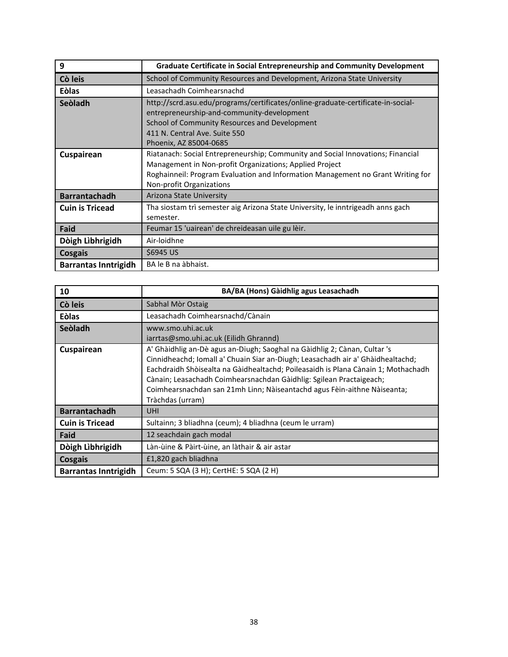| 9                           | <b>Graduate Certificate in Social Entrepreneurship and Community Development</b>                                                                                                                                                                          |
|-----------------------------|-----------------------------------------------------------------------------------------------------------------------------------------------------------------------------------------------------------------------------------------------------------|
| Cò leis                     | School of Community Resources and Development, Arizona State University                                                                                                                                                                                   |
| <b>Eòlas</b>                | Leasachadh Coimhearsnachd                                                                                                                                                                                                                                 |
| Seòladh                     | http://scrd.asu.edu/programs/certificates/online-graduate-certificate-in-social-<br>entrepreneurship-and-community-development<br>School of Community Resources and Development<br>411 N. Central Ave. Suite 550<br>Phoenix, AZ 85004-0685                |
| Cuspairean                  | Riatanach: Social Entrepreneurship; Community and Social Innovations; Financial<br>Management in Non-profit Organizations; Applied Project<br>Roghainneil: Program Evaluation and Information Management no Grant Writing for<br>Non-profit Organizations |
| <b>Barrantachadh</b>        | Arizona State University                                                                                                                                                                                                                                  |
| <b>Cuin is Tricead</b>      | Tha siostam trì semester aig Arizona State University, le inntrigeadh anns gach<br>semester.                                                                                                                                                              |
| Faid                        | Feumar 15 'uairean' de chreideasan uile gu lèir.                                                                                                                                                                                                          |
| Dòigh Lìbhrigidh            | Air-loidhne                                                                                                                                                                                                                                               |
| <b>Cosgais</b>              | \$6945 US                                                                                                                                                                                                                                                 |
| <b>Barrantas Inntrigidh</b> | BA le B na àbhaist.                                                                                                                                                                                                                                       |

| 10                          | BA/BA (Hons) Gàidhlig agus Leasachadh                                                                                                                                                                                                                                                                                                                                                                                    |
|-----------------------------|--------------------------------------------------------------------------------------------------------------------------------------------------------------------------------------------------------------------------------------------------------------------------------------------------------------------------------------------------------------------------------------------------------------------------|
| Cò leis                     | Sabhal Mòr Ostaig                                                                                                                                                                                                                                                                                                                                                                                                        |
| <b>Eòlas</b>                | Leasachadh Coimhearsnachd/Cànain                                                                                                                                                                                                                                                                                                                                                                                         |
| Seòladh                     | www.smo.uhi.ac.uk<br>iarrtas@smo.uhi.ac.uk (Eilidh Ghrannd)                                                                                                                                                                                                                                                                                                                                                              |
| Cuspairean                  | A' Ghàidhlig an-Dè agus an-Diugh; Saoghal na Gàidhlig 2; Cànan, Cultar 's<br>Cinnidheachd; Iomall a' Chuain Siar an-Diugh; Leasachadh air a' Ghàidhealtachd;<br>Eachdraidh Shòisealta na Gàidhealtachd; Poileasaidh is Plana Cànain 1; Mothachadh<br>Cànain; Leasachadh Coimhearsnachdan Gàidhlig: Sgilean Practaigeach;<br>Coimhearsnachdan san 21mh Linn; Nàiseantachd agus Fèin-aithne Nàiseanta;<br>Tràchdas (urram) |
| <b>Barrantachadh</b>        | <b>UHI</b>                                                                                                                                                                                                                                                                                                                                                                                                               |
| <b>Cuin is Tricead</b>      | Sultainn; 3 bliadhna (ceum); 4 bliadhna (ceum le urram)                                                                                                                                                                                                                                                                                                                                                                  |
| Faid                        | 12 seachdain gach modal                                                                                                                                                                                                                                                                                                                                                                                                  |
| Dòigh Lìbhrigidh            | Làn-ùine & Pàirt-ùine, an làthair & air astar                                                                                                                                                                                                                                                                                                                                                                            |
| Cosgais                     | £1,820 gach bliadhna                                                                                                                                                                                                                                                                                                                                                                                                     |
| <b>Barrantas Inntrigidh</b> | Ceum: 5 SQA (3 H); CertHE: 5 SQA (2 H)                                                                                                                                                                                                                                                                                                                                                                                   |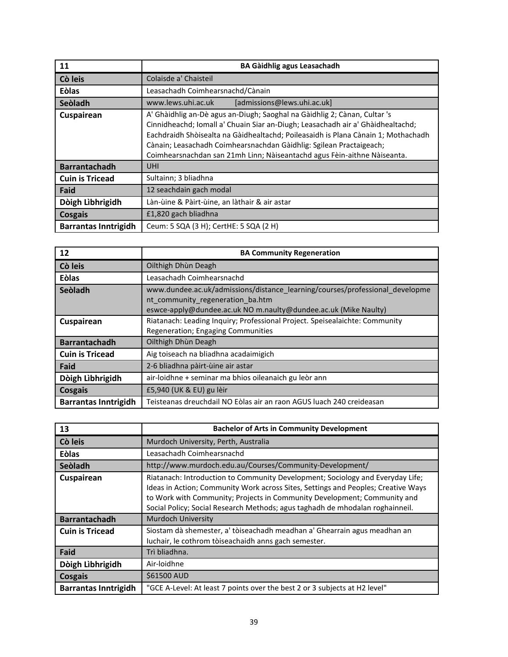| 11                          | <b>BA Gàidhlig agus Leasachadh</b>                                                                                                                                                                                                                                                                                                                                                                   |
|-----------------------------|------------------------------------------------------------------------------------------------------------------------------------------------------------------------------------------------------------------------------------------------------------------------------------------------------------------------------------------------------------------------------------------------------|
| Cò leis                     | Colaisde a' Chaisteil                                                                                                                                                                                                                                                                                                                                                                                |
| <b>Eòlas</b>                | Leasachadh Coimhearsnachd/Cànain                                                                                                                                                                                                                                                                                                                                                                     |
| Seòladh                     | [admissions@lews.uhi.ac.uk]<br>www.lews.uhi.ac.uk                                                                                                                                                                                                                                                                                                                                                    |
| Cuspairean                  | A' Ghàidhlig an-Dè agus an-Diugh; Saoghal na Gàidhlig 2; Cànan, Cultar 's<br>Cinnidheachd; Iomall a' Chuain Siar an-Diugh; Leasachadh air a' Ghàidhealtachd;<br>Eachdraidh Shòisealta na Gàidhealtachd; Poileasaidh is Plana Cànain 1; Mothachadh<br>Cànain; Leasachadh Coimhearsnachdan Gàidhlig: Sgilean Practaigeach;<br>Coimhearsnachdan san 21mh Linn; Nàiseantachd agus Fèin-aithne Nàiseanta. |
| <b>Barrantachadh</b>        | <b>UHI</b>                                                                                                                                                                                                                                                                                                                                                                                           |
| <b>Cuin is Tricead</b>      | Sultainn; 3 bliadhna                                                                                                                                                                                                                                                                                                                                                                                 |
| Faid                        | 12 seachdain gach modal                                                                                                                                                                                                                                                                                                                                                                              |
| Dòigh Lìbhrigidh            | Làn-ùine & Pàirt-ùine, an làthair & air astar                                                                                                                                                                                                                                                                                                                                                        |
| Cosgais                     | £1,820 gach bliadhna                                                                                                                                                                                                                                                                                                                                                                                 |
| <b>Barrantas Inntrigidh</b> | Ceum: 5 SQA (3 H); CertHE: 5 SQA (2 H)                                                                                                                                                                                                                                                                                                                                                               |

| 12                          | <b>BA Community Regeneration</b>                                                                                                                                                    |
|-----------------------------|-------------------------------------------------------------------------------------------------------------------------------------------------------------------------------------|
| Cò leis                     | Oilthigh Dhùn Deagh                                                                                                                                                                 |
| <b>Eòlas</b>                | Leasachadh Coimhearsnachd                                                                                                                                                           |
| Seòladh                     | www.dundee.ac.uk/admissions/distance learning/courses/professional developme<br>nt community regeneration ba.htm<br>eswce-apply@dundee.ac.uk NO m.naulty@dundee.ac.uk (Mike Naulty) |
| Cuspairean                  | Riatanach: Leading Inquiry; Professional Project. Speisealaichte: Community<br>Regeneration; Engaging Communities                                                                   |
| <b>Barrantachadh</b>        | Oilthigh Dhùn Deagh                                                                                                                                                                 |
| <b>Cuin is Tricead</b>      | Aig toiseach na bliadhna acadaimigich                                                                                                                                               |
| Faid                        | 2-6 bliadhna pàirt-ùine air astar                                                                                                                                                   |
| Dòigh Lìbhrigidh            | air-loidhne + seminar ma bhios oileanaich gu leòr ann                                                                                                                               |
| Cosgais                     | £5,940 (UK & EU) gu lèir                                                                                                                                                            |
| <b>Barrantas Inntrigidh</b> | Teisteanas dreuchdail NO Eòlas air an raon AGUS luach 240 creideasan                                                                                                                |

| 13                          | <b>Bachelor of Arts in Community Development</b>                                                                                                                                                                                                                                                                                 |
|-----------------------------|----------------------------------------------------------------------------------------------------------------------------------------------------------------------------------------------------------------------------------------------------------------------------------------------------------------------------------|
| Cò leis                     | Murdoch University, Perth, Australia                                                                                                                                                                                                                                                                                             |
| <b>Eòlas</b>                | Leasachadh Coimhearsnachd                                                                                                                                                                                                                                                                                                        |
| Seòladh                     | http://www.murdoch.edu.au/Courses/Community-Development/                                                                                                                                                                                                                                                                         |
| Cuspairean                  | Riatanach: Introduction to Community Development; Sociology and Everyday Life;<br>Ideas in Action; Community Work across Sites, Settings and Peoples; Creative Ways<br>to Work with Community; Projects in Community Development; Community and<br>Social Policy; Social Research Methods; agus taghadh de mhodalan roghainneil. |
| <b>Barrantachadh</b>        | <b>Murdoch University</b>                                                                                                                                                                                                                                                                                                        |
| <b>Cuin is Tricead</b>      | Siostam dà shemester, a' tòiseachadh meadhan a' Ghearrain agus meadhan an<br>luchair, le cothrom tòiseachaidh anns gach semester.                                                                                                                                                                                                |
| Faid                        | Trì bliadhna.                                                                                                                                                                                                                                                                                                                    |
| Dòigh Lìbhrigidh            | Air-loidhne                                                                                                                                                                                                                                                                                                                      |
| Cosgais                     | \$61500 AUD                                                                                                                                                                                                                                                                                                                      |
| <b>Barrantas Inntrigidh</b> | "GCE A-Level: At least 7 points over the best 2 or 3 subjects at H2 level"                                                                                                                                                                                                                                                       |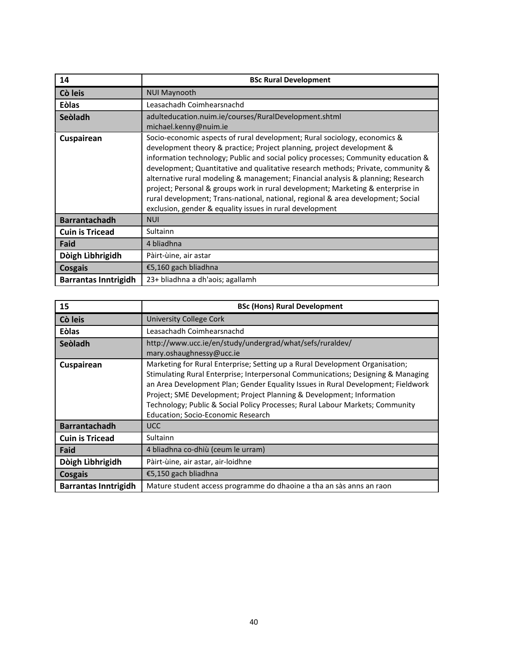| 14                          | <b>BSc Rural Development</b>                                                                                                                                                                                                                                                                                                                                                                                                                                                                                                                                                                                                                        |
|-----------------------------|-----------------------------------------------------------------------------------------------------------------------------------------------------------------------------------------------------------------------------------------------------------------------------------------------------------------------------------------------------------------------------------------------------------------------------------------------------------------------------------------------------------------------------------------------------------------------------------------------------------------------------------------------------|
| Cò leis                     | <b>NUI Maynooth</b>                                                                                                                                                                                                                                                                                                                                                                                                                                                                                                                                                                                                                                 |
| Eòlas                       | Leasachadh Coimhearsnachd                                                                                                                                                                                                                                                                                                                                                                                                                                                                                                                                                                                                                           |
| Seòladh                     | adulteducation.nuim.ie/courses/RuralDevelopment.shtml<br>michael.kenny@nuim.ie                                                                                                                                                                                                                                                                                                                                                                                                                                                                                                                                                                      |
| Cuspairean                  | Socio-economic aspects of rural development; Rural sociology, economics &<br>development theory & practice; Project planning, project development &<br>information technology; Public and social policy processes; Community education &<br>development; Quantitative and qualitative research methods; Private, community &<br>alternative rural modeling & management; Financial analysis & planning; Research<br>project; Personal & groups work in rural development; Marketing & enterprise in<br>rural development; Trans-national, national, regional & area development; Social<br>exclusion, gender & equality issues in rural development |
| <b>Barrantachadh</b>        | <b>NUI</b>                                                                                                                                                                                                                                                                                                                                                                                                                                                                                                                                                                                                                                          |
| <b>Cuin is Tricead</b>      | Sultainn                                                                                                                                                                                                                                                                                                                                                                                                                                                                                                                                                                                                                                            |
| Faid                        | 4 bliadhna                                                                                                                                                                                                                                                                                                                                                                                                                                                                                                                                                                                                                                          |
| Dòigh Lìbhrigidh            | Pàirt-ùine, air astar                                                                                                                                                                                                                                                                                                                                                                                                                                                                                                                                                                                                                               |
| <b>Cosgais</b>              | €5,160 gach bliadhna                                                                                                                                                                                                                                                                                                                                                                                                                                                                                                                                                                                                                                |
| <b>Barrantas Inntrigidh</b> | 23+ bliadhna a dh'aois; agallamh                                                                                                                                                                                                                                                                                                                                                                                                                                                                                                                                                                                                                    |

| 15                          | <b>BSc (Hons) Rural Development</b>                                                                                                                                                                                                                                                                                                                                                                                                                         |
|-----------------------------|-------------------------------------------------------------------------------------------------------------------------------------------------------------------------------------------------------------------------------------------------------------------------------------------------------------------------------------------------------------------------------------------------------------------------------------------------------------|
| Cò leis                     | <b>University College Cork</b>                                                                                                                                                                                                                                                                                                                                                                                                                              |
| Eòlas                       | Leasachadh Coimhearsnachd                                                                                                                                                                                                                                                                                                                                                                                                                                   |
| Seòladh                     | http://www.ucc.ie/en/study/undergrad/what/sefs/ruraldev/<br>mary.oshaughnessy@ucc.ie                                                                                                                                                                                                                                                                                                                                                                        |
| Cuspairean                  | Marketing for Rural Enterprise; Setting up a Rural Development Organisation;<br>Stimulating Rural Enterprise; Interpersonal Communications; Designing & Managing<br>an Area Development Plan; Gender Equality Issues in Rural Development; Fieldwork<br>Project; SME Development; Project Planning & Development; Information<br>Technology; Public & Social Policy Processes; Rural Labour Markets; Community<br><b>Education; Socio-Economic Research</b> |
| <b>Barrantachadh</b>        | <b>UCC</b>                                                                                                                                                                                                                                                                                                                                                                                                                                                  |
| <b>Cuin is Tricead</b>      | Sultainn                                                                                                                                                                                                                                                                                                                                                                                                                                                    |
| Faid                        | 4 bliadhna co-dhiù (ceum le urram)                                                                                                                                                                                                                                                                                                                                                                                                                          |
| Dòigh Lìbhrigidh            | Pàirt-ùine, air astar, air-loidhne                                                                                                                                                                                                                                                                                                                                                                                                                          |
| Cosgais                     | €5,150 gach bliadhna                                                                                                                                                                                                                                                                                                                                                                                                                                        |
| <b>Barrantas Inntrigidh</b> | Mature student access programme do dhaoine a tha an sàs anns an raon                                                                                                                                                                                                                                                                                                                                                                                        |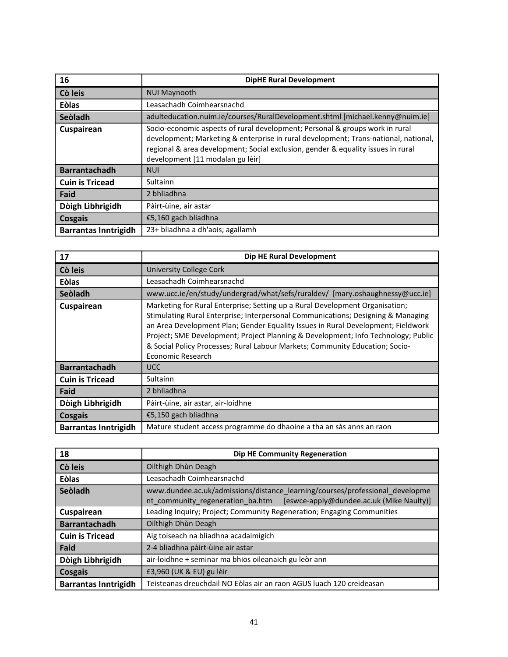| 16                          | <b>DipHE Rural Development</b>                                                                                                                                                                                                                                                              |
|-----------------------------|---------------------------------------------------------------------------------------------------------------------------------------------------------------------------------------------------------------------------------------------------------------------------------------------|
| Cò leis                     | <b>NUI Maynooth</b>                                                                                                                                                                                                                                                                         |
| <b>Eòlas</b>                | Leasachadh Coimhearsnachd                                                                                                                                                                                                                                                                   |
| Seòladh                     | adulteducation.nuim.ie/courses/RuralDevelopment.shtml [michael.kenny@nuim.ie]                                                                                                                                                                                                               |
| Cuspairean                  | Socio-economic aspects of rural development; Personal & groups work in rural<br>development; Marketing & enterprise in rural development; Trans-national, national,<br>regional & area development; Social exclusion, gender & equality issues in rural<br>development [11 modalan gu lèir] |
| <b>Barrantachadh</b>        | <b>NUI</b>                                                                                                                                                                                                                                                                                  |
| <b>Cuin is Tricead</b>      | <b>Sultainn</b>                                                                                                                                                                                                                                                                             |
| Faid                        | 2 bhliadhna                                                                                                                                                                                                                                                                                 |
| Dòigh Lìbhrigidh            | Pàirt-ùine, air astar                                                                                                                                                                                                                                                                       |
| Cosgais                     | €5,160 gach bliadhna                                                                                                                                                                                                                                                                        |
| <b>Barrantas Inntrigidh</b> | 23+ bliadhna a dh'aois; agallamh                                                                                                                                                                                                                                                            |

| 17                          | Dip HE Rural Development                                                                                                                                                                                                                                                                                                                                                                                                                       |
|-----------------------------|------------------------------------------------------------------------------------------------------------------------------------------------------------------------------------------------------------------------------------------------------------------------------------------------------------------------------------------------------------------------------------------------------------------------------------------------|
| Cò leis                     | <b>University College Cork</b>                                                                                                                                                                                                                                                                                                                                                                                                                 |
| <b>Eòlas</b>                | Leasachadh Coimhearsnachd                                                                                                                                                                                                                                                                                                                                                                                                                      |
| Seòladh                     | www.ucc.ie/en/study/undergrad/what/sefs/ruraldev/ [mary.oshaughnessy@ucc.ie]                                                                                                                                                                                                                                                                                                                                                                   |
| Cuspairean                  | Marketing for Rural Enterprise; Setting up a Rural Development Organisation;<br>Stimulating Rural Enterprise; Interpersonal Communications; Designing & Managing<br>an Area Development Plan; Gender Equality Issues in Rural Development; Fieldwork<br>Project; SME Development; Project Planning & Development; Info Technology; Public<br>& Social Policy Processes; Rural Labour Markets; Community Education; Socio-<br>Economic Research |
| <b>Barrantachadh</b>        | UCC.                                                                                                                                                                                                                                                                                                                                                                                                                                           |
| <b>Cuin is Tricead</b>      | Sultainn                                                                                                                                                                                                                                                                                                                                                                                                                                       |
| Faid                        | 2 bhliadhna                                                                                                                                                                                                                                                                                                                                                                                                                                    |
| Dòigh Lìbhrigidh            | Pàirt-ùine, air astar, air-loidhne                                                                                                                                                                                                                                                                                                                                                                                                             |
| Cosgais                     | €5,150 gach bliadhna                                                                                                                                                                                                                                                                                                                                                                                                                           |
| <b>Barrantas Inntrigidh</b> | Mature student access programme do dhaoine a tha an sàs anns an raon                                                                                                                                                                                                                                                                                                                                                                           |

| 18                          | <b>Dip HE Community Regeneration</b>                                                                                                                         |
|-----------------------------|--------------------------------------------------------------------------------------------------------------------------------------------------------------|
| Cò leis                     | Oilthigh Dhùn Deagh                                                                                                                                          |
| <b>Eòlas</b>                | Leasachadh Coimhearsnachd                                                                                                                                    |
| Seòladh                     | www.dundee.ac.uk/admissions/distance learning/courses/professional developme<br>[eswce-apply@dundee.ac.uk (Mike Naulty)]<br>nt community regeneration ba.htm |
| Cuspairean                  | Leading Inquiry; Project; Community Regeneration; Engaging Communities                                                                                       |
| <b>Barrantachadh</b>        | Oilthigh Dhùn Deagh                                                                                                                                          |
| <b>Cuin is Tricead</b>      | Aig toiseach na bliadhna acadaimigich                                                                                                                        |
| Faid                        | 2-4 bliadhna pàirt-ùine air astar                                                                                                                            |
| Dòigh Lìbhrigidh            | air-loidhne + seminar ma bhios oileanaich gu leòr ann                                                                                                        |
| <b>Cosgais</b>              | £3,960 (UK & EU) gu lèir                                                                                                                                     |
| <b>Barrantas Inntrigidh</b> | Teisteanas dreuchdail NO Eòlas air an raon AGUS luach 120 creideasan                                                                                         |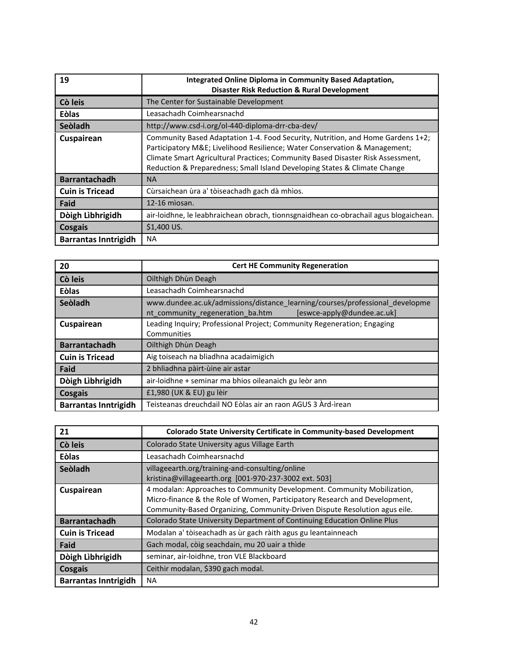| 19                          | Integrated Online Diploma in Community Based Adaptation,<br><b>Disaster Risk Reduction &amp; Rural Development</b>                                                                                                                                                                                                           |
|-----------------------------|------------------------------------------------------------------------------------------------------------------------------------------------------------------------------------------------------------------------------------------------------------------------------------------------------------------------------|
| Cò leis                     | The Center for Sustainable Development                                                                                                                                                                                                                                                                                       |
| <b>Eòlas</b>                | Leasachadh Coimhearsnachd                                                                                                                                                                                                                                                                                                    |
| Seòladh                     | http://www.csd-i.org/ol-440-diploma-drr-cba-dev/                                                                                                                                                                                                                                                                             |
| Cuspairean                  | Community Based Adaptation 1-4. Food Security, Nutrition, and Home Gardens 1+2;<br>Participatory M&E Livelihood Resilience; Water Conservation & Management;<br>Climate Smart Agricultural Practices; Community Based Disaster Risk Assessment,<br>Reduction & Preparedness; Small Island Developing States & Climate Change |
| <b>Barrantachadh</b>        | <b>NA</b>                                                                                                                                                                                                                                                                                                                    |
| <b>Cuin is Tricead</b>      | Cùrsaichean ùra a' tòiseachadh gach dà mhìos.                                                                                                                                                                                                                                                                                |
| Faid                        | 12-16 miosan.                                                                                                                                                                                                                                                                                                                |
| Dòigh Lìbhrigidh            | air-loidhne, le leabhraichean obrach, tionnsgnaidhean co-obrachail agus blogaichean.                                                                                                                                                                                                                                         |
| Cosgais                     | \$1,400 US.                                                                                                                                                                                                                                                                                                                  |
| <b>Barrantas Inntrigidh</b> | <b>NA</b>                                                                                                                                                                                                                                                                                                                    |

| 20                          | <b>Cert HE Community Regeneration</b>                                                                                                          |
|-----------------------------|------------------------------------------------------------------------------------------------------------------------------------------------|
| Cò leis                     | Oilthigh Dhùn Deagh                                                                                                                            |
| <b>Eòlas</b>                | Leasachadh Coimhearsnachd                                                                                                                      |
| Seòladh                     | www.dundee.ac.uk/admissions/distance learning/courses/professional developme<br>[eswce-apply@dundee.ac.uk]<br>nt community regeneration ba.htm |
| Cuspairean                  | Leading Inquiry; Professional Project; Community Regeneration; Engaging<br>Communities                                                         |
| <b>Barrantachadh</b>        | Oilthigh Dhùn Deagh                                                                                                                            |
| <b>Cuin is Tricead</b>      | Aig toiseach na bliadhna acadaimigich                                                                                                          |
| Faid                        | 2 bhliadhna pàirt-ùine air astar                                                                                                               |
| Dòigh Lìbhrigidh            | air-loidhne + seminar ma bhios oileanaich gu leòr ann                                                                                          |
| Cosgais                     | £1,980 (UK & EU) gu lèir                                                                                                                       |
| <b>Barrantas Inntrigidh</b> | Teisteanas dreuchdail NO Eòlas air an raon AGUS 3 Àrd-ìrean                                                                                    |

| 21                          | <b>Colorado State University Certificate in Community-based Development</b>                                                                                                                                                         |
|-----------------------------|-------------------------------------------------------------------------------------------------------------------------------------------------------------------------------------------------------------------------------------|
| Cò leis                     | Colorado State University agus Village Earth                                                                                                                                                                                        |
| <b>Eòlas</b>                | Leasachadh Coimhearsnachd                                                                                                                                                                                                           |
| Seòladh                     | villageearth.org/training-and-consulting/online<br>kristina@villageearth.org [001-970-237-3002 ext. 503]                                                                                                                            |
| Cuspairean                  | 4 modalan: Approaches to Community Development. Community Mobilization,<br>Micro-finance & the Role of Women, Participatory Research and Development,<br>Community-Based Organizing, Community-Driven Dispute Resolution agus eile. |
| <b>Barrantachadh</b>        | Colorado State University Department of Continuing Education Online Plus                                                                                                                                                            |
| <b>Cuin is Tricead</b>      | Modalan a' tòiseachadh as ùr gach ràith agus gu leantainneach                                                                                                                                                                       |
| Faid                        | Gach modal, còig seachdain, mu 20 uair a thìde                                                                                                                                                                                      |
| Dòigh Lìbhrigidh            | seminar, air-loidhne, tron VLE Blackboard                                                                                                                                                                                           |
| Cosgais                     | Ceithir modalan, \$390 gach modal.                                                                                                                                                                                                  |
| <b>Barrantas Inntrigidh</b> | <b>NA</b>                                                                                                                                                                                                                           |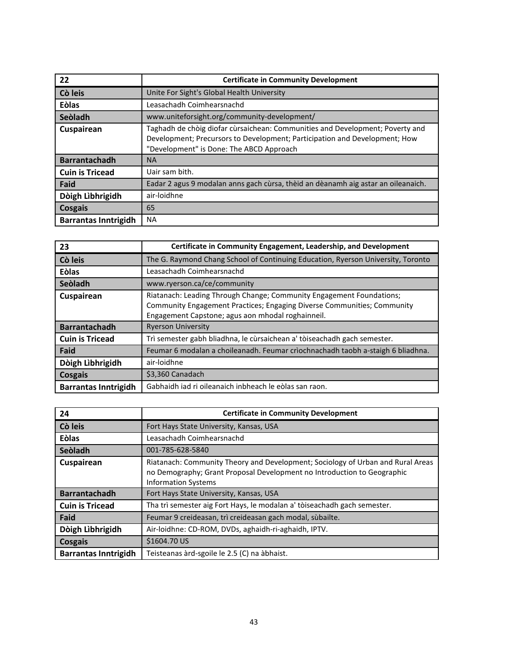| 22                          | <b>Certificate in Community Development</b>                                                                                                                                                             |
|-----------------------------|---------------------------------------------------------------------------------------------------------------------------------------------------------------------------------------------------------|
| Cò leis                     | Unite For Sight's Global Health University                                                                                                                                                              |
| <b>Eòlas</b>                | Leasachadh Coimhearsnachd                                                                                                                                                                               |
| Seòladh                     | www.uniteforsight.org/community-development/                                                                                                                                                            |
| Cuspairean                  | Taghadh de chòig diofar cùrsaichean: Communities and Development; Poverty and<br>Development; Precursors to Development; Participation and Development; How<br>"Development" is Done: The ABCD Approach |
| <b>Barrantachadh</b>        | <b>NA</b>                                                                                                                                                                                               |
| <b>Cuin is Tricead</b>      | Uair sam bith.                                                                                                                                                                                          |
| Faid                        | Eadar 2 agus 9 modalan anns gach cùrsa, thèid an dèanamh aig astar an oileanaich.                                                                                                                       |
| Dòigh Lìbhrigidh            | air-loidhne                                                                                                                                                                                             |
| Cosgais                     | 65                                                                                                                                                                                                      |
| <b>Barrantas Inntrigidh</b> | <b>NA</b>                                                                                                                                                                                               |

| 23                          | Certificate in Community Engagement, Leadership, and Development                                                                                                                                     |
|-----------------------------|------------------------------------------------------------------------------------------------------------------------------------------------------------------------------------------------------|
| Cò leis                     | The G. Raymond Chang School of Continuing Education, Ryerson University, Toronto                                                                                                                     |
| <b>Eòlas</b>                | Leasachadh Coimhearsnachd                                                                                                                                                                            |
| Seòladh                     | www.ryerson.ca/ce/community                                                                                                                                                                          |
| Cuspairean                  | Riatanach: Leading Through Change; Community Engagement Foundations;<br>Community Engagement Practices; Engaging Diverse Communities; Community<br>Engagement Capstone; agus aon mhodal roghainneil. |
| <b>Barrantachadh</b>        | <b>Ryerson University</b>                                                                                                                                                                            |
| <b>Cuin is Tricead</b>      | Trì semester gabh bliadhna, le cùrsaichean a' tòiseachadh gach semester.                                                                                                                             |
| Faid                        | Feumar 6 modalan a choileanadh. Feumar crìochnachadh taobh a-staigh 6 bliadhna.                                                                                                                      |
| Dòigh Lìbhrigidh            | air-loidhne                                                                                                                                                                                          |
| Cosgais                     | \$3,360 Canadach                                                                                                                                                                                     |
| <b>Barrantas Inntrigidh</b> | Gabhaidh iad ri oileanaich inbheach le eòlas san raon.                                                                                                                                               |

| 24                          | <b>Certificate in Community Development</b>                                                                                                                                              |
|-----------------------------|------------------------------------------------------------------------------------------------------------------------------------------------------------------------------------------|
| Cò leis                     | Fort Hays State University, Kansas, USA                                                                                                                                                  |
| <b>Eòlas</b>                | Leasachadh Coimhearsnachd                                                                                                                                                                |
| Seòladh                     | 001-785-628-5840                                                                                                                                                                         |
| Cuspairean                  | Riatanach: Community Theory and Development; Sociology of Urban and Rural Areas<br>no Demography; Grant Proposal Development no Introduction to Geographic<br><b>Information Systems</b> |
| <b>Barrantachadh</b>        | Fort Hays State University, Kansas, USA                                                                                                                                                  |
| <b>Cuin is Tricead</b>      | Tha trì semester aig Fort Hays, le modalan a' tòiseachadh gach semester.                                                                                                                 |
| Faid                        | Feumar 9 creideasan, trì creideasan gach modal, sùbailte.                                                                                                                                |
| Dòigh Lìbhrigidh            | Air-loidhne: CD-ROM, DVDs, aghaidh-ri-aghaidh, IPTV.                                                                                                                                     |
| Cosgais                     | \$1604.70 US                                                                                                                                                                             |
| <b>Barrantas Inntrigidh</b> | Teisteanas àrd-sgoile le 2.5 (C) na àbhaist.                                                                                                                                             |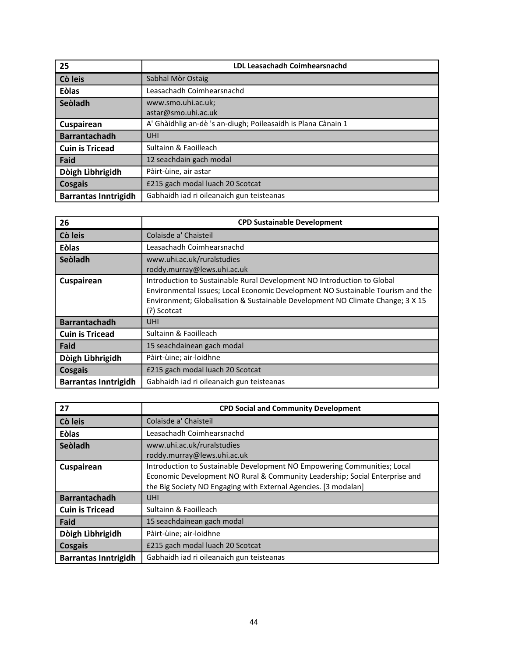| 25                          | <b>LDL Leasachadh Coimhearsnachd</b>                          |
|-----------------------------|---------------------------------------------------------------|
| Cò leis                     | Sabhal Mòr Ostaig                                             |
| <b>Eòlas</b>                | Leasachadh Coimhearsnachd                                     |
| Seòladh                     | www.smo.uhi.ac.uk;                                            |
|                             | astar@smo.uhi.ac.uk                                           |
| Cuspairean                  | A' Ghàidhlig an-dè 's an-diugh; Poileasaidh is Plana Cànain 1 |
| <b>Barrantachadh</b>        | <b>UHI</b>                                                    |
| <b>Cuin is Tricead</b>      | Sultainn & Faoilleach                                         |
| Faid                        | 12 seachdain gach modal                                       |
| Dòigh Lìbhrigidh            | Pàirt-ùine, air astar                                         |
| <b>Cosgais</b>              | £215 gach modal luach 20 Scotcat                              |
| <b>Barrantas Inntrigidh</b> | Gabhaidh iad ri oileanaich gun teisteanas                     |

| 26                          | <b>CPD Sustainable Development</b>                                                                                                                                                                                                                          |
|-----------------------------|-------------------------------------------------------------------------------------------------------------------------------------------------------------------------------------------------------------------------------------------------------------|
| Cò leis                     | Colaisde a' Chaisteil                                                                                                                                                                                                                                       |
| <b>Eòlas</b>                | Leasachadh Coimhearsnachd                                                                                                                                                                                                                                   |
| Seòladh                     | www.uhi.ac.uk/ruralstudies<br>roddy.murray@lews.uhi.ac.uk                                                                                                                                                                                                   |
| Cuspairean                  | Introduction to Sustainable Rural Development NO Introduction to Global<br>Environmental Issues; Local Economic Development NO Sustainable Tourism and the<br>Environment; Globalisation & Sustainable Development NO Climate Change; 3 X 15<br>(?) Scotcat |
| <b>Barrantachadh</b>        | <b>UHI</b>                                                                                                                                                                                                                                                  |
| <b>Cuin is Tricead</b>      | Sultainn & Faoilleach                                                                                                                                                                                                                                       |
| Faid                        | 15 seachdainean gach modal                                                                                                                                                                                                                                  |
| Dòigh Lìbhrigidh            | Pàirt-ùine; air-loidhne                                                                                                                                                                                                                                     |
| Cosgais                     | £215 gach modal luach 20 Scotcat                                                                                                                                                                                                                            |
| <b>Barrantas Inntrigidh</b> | Gabhaidh iad ri oileanaich gun teisteanas                                                                                                                                                                                                                   |

| 27                          | <b>CPD Social and Community Development</b>                                                                                                                                                                                |
|-----------------------------|----------------------------------------------------------------------------------------------------------------------------------------------------------------------------------------------------------------------------|
| Cò leis                     | Colaisde a' Chaisteil                                                                                                                                                                                                      |
| <b>Eòlas</b>                | Leasachadh Coimhearsnachd                                                                                                                                                                                                  |
| Seòladh                     | www.uhi.ac.uk/ruralstudies<br>roddy.murray@lews.uhi.ac.uk                                                                                                                                                                  |
| Cuspairean                  | Introduction to Sustainable Development NO Empowering Communities; Local<br>Economic Development NO Rural & Community Leadership; Social Enterprise and<br>the Big Society NO Engaging with External Agencies. [3 modalan] |
| <b>Barrantachadh</b>        | <b>UHI</b>                                                                                                                                                                                                                 |
| <b>Cuin is Tricead</b>      | Sultainn & Faoilleach                                                                                                                                                                                                      |
| Faid                        | 15 seachdainean gach modal                                                                                                                                                                                                 |
| Dòigh Lìbhrigidh            | Pàirt-ùine; air-loidhne                                                                                                                                                                                                    |
| Cosgais                     | £215 gach modal luach 20 Scotcat                                                                                                                                                                                           |
| <b>Barrantas Inntrigidh</b> | Gabhaidh iad ri oileanaich gun teisteanas                                                                                                                                                                                  |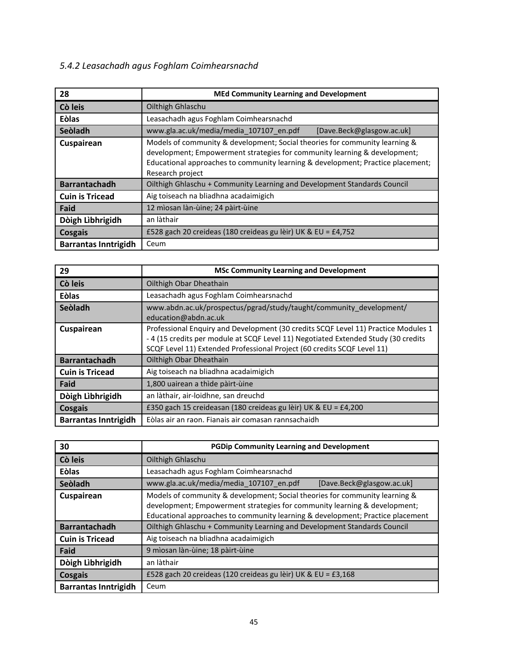# *5.4.2 Leasachadh agus Foghlam Coimhearsnachd*

| 28                          | <b>MEd Community Learning and Development</b>                                                                                                                                                                                                                   |  |  |  |
|-----------------------------|-----------------------------------------------------------------------------------------------------------------------------------------------------------------------------------------------------------------------------------------------------------------|--|--|--|
| Cò leis                     | Oilthigh Ghlaschu                                                                                                                                                                                                                                               |  |  |  |
| Eòlas                       | Leasachadh agus Foghlam Coimhearsnachd                                                                                                                                                                                                                          |  |  |  |
| Seòladh                     | www.gla.ac.uk/media/media 107107 en.pdf<br>[Dave.Beck@glasgow.ac.uk]                                                                                                                                                                                            |  |  |  |
| Cuspairean                  | Models of community & development; Social theories for community learning &<br>development; Empowerment strategies for community learning & development;<br>Educational approaches to community learning & development; Practice placement;<br>Research project |  |  |  |
| <b>Barrantachadh</b>        | Oilthigh Ghlaschu + Community Learning and Development Standards Council                                                                                                                                                                                        |  |  |  |
| <b>Cuin is Tricead</b>      | Aig toiseach na bliadhna acadaimigich                                                                                                                                                                                                                           |  |  |  |
| Faid                        | 12 mìosan làn-ùine; 24 pàirt-ùine                                                                                                                                                                                                                               |  |  |  |
| Dòigh Lìbhrigidh            | an làthair                                                                                                                                                                                                                                                      |  |  |  |
| Cosgais                     | £528 gach 20 creideas (180 creideas gu lèir) UK & EU = £4,752                                                                                                                                                                                                   |  |  |  |
| <b>Barrantas Inntrigidh</b> | Ceum                                                                                                                                                                                                                                                            |  |  |  |

| 29                          | <b>MSc Community Learning and Development</b>                                                                                                                                                                                                       |
|-----------------------------|-----------------------------------------------------------------------------------------------------------------------------------------------------------------------------------------------------------------------------------------------------|
| Cò leis                     | Oilthigh Obar Dheathain                                                                                                                                                                                                                             |
| <b>Eòlas</b>                | Leasachadh agus Foghlam Coimhearsnachd                                                                                                                                                                                                              |
| Seòladh                     | www.abdn.ac.uk/prospectus/pgrad/study/taught/community development/<br>education@abdn.ac.uk                                                                                                                                                         |
| Cuspairean                  | Professional Enquiry and Development (30 credits SCQF Level 11) Practice Modules 1<br>- 4 (15 credits per module at SCQF Level 11) Negotiated Extended Study (30 credits<br>SCQF Level 11) Extended Professional Project (60 credits SCQF Level 11) |
| <b>Barrantachadh</b>        | Oilthigh Obar Dheathain                                                                                                                                                                                                                             |
| <b>Cuin is Tricead</b>      | Aig toiseach na bliadhna acadaimigich                                                                                                                                                                                                               |
| Faid                        | 1,800 uairean a thìde pàirt-ùine                                                                                                                                                                                                                    |
| Dòigh Lìbhrigidh            | an làthair, air-loidhne, san dreuchd                                                                                                                                                                                                                |
| Cosgais                     | £350 gach 15 creideasan (180 creideas gu lèir) UK & EU = £4,200                                                                                                                                                                                     |
| <b>Barrantas Inntrigidh</b> | Eòlas air an raon. Fianais air comasan rannsachaidh                                                                                                                                                                                                 |

| 30                          | <b>PGDip Community Learning and Development</b>                                                                                                                                                                                            |  |  |  |
|-----------------------------|--------------------------------------------------------------------------------------------------------------------------------------------------------------------------------------------------------------------------------------------|--|--|--|
| Cò leis                     | Oilthigh Ghlaschu                                                                                                                                                                                                                          |  |  |  |
| <b>Eòlas</b>                | Leasachadh agus Foghlam Coimhearsnachd                                                                                                                                                                                                     |  |  |  |
| Seòladh                     | www.gla.ac.uk/media/media 107107 en.pdf<br>[Dave.Beck@glasgow.ac.uk]                                                                                                                                                                       |  |  |  |
| Cuspairean                  | Models of community & development; Social theories for community learning &<br>development; Empowerment strategies for community learning & development;<br>Educational approaches to community learning & development; Practice placement |  |  |  |
| <b>Barrantachadh</b>        | Oilthigh Ghlaschu + Community Learning and Development Standards Council                                                                                                                                                                   |  |  |  |
| <b>Cuin is Tricead</b>      | Aig toiseach na bliadhna acadaimigich                                                                                                                                                                                                      |  |  |  |
| Faid                        | 9 mìosan làn-ùine; 18 pàirt-ùine                                                                                                                                                                                                           |  |  |  |
| Dòigh Lìbhrigidh            | an làthair                                                                                                                                                                                                                                 |  |  |  |
| Cosgais                     | £528 gach 20 creideas (120 creideas gu lèir) UK & EU = £3,168                                                                                                                                                                              |  |  |  |
| <b>Barrantas Inntrigidh</b> | Ceum                                                                                                                                                                                                                                       |  |  |  |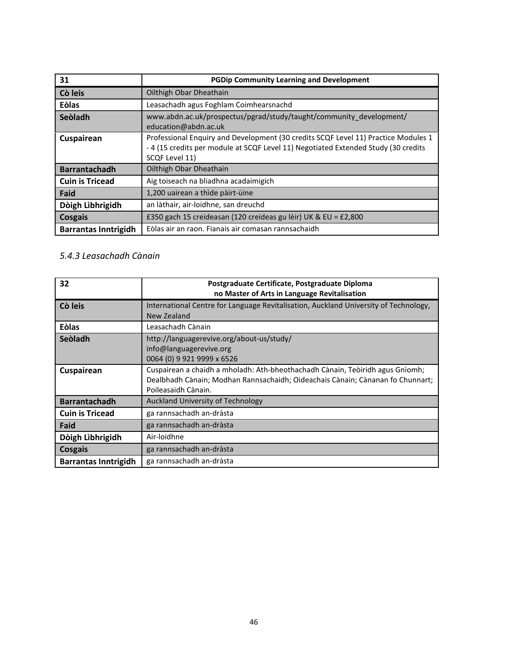| 31                          | <b>PGDip Community Learning and Development</b>                                                                                                                                            |
|-----------------------------|--------------------------------------------------------------------------------------------------------------------------------------------------------------------------------------------|
| Cò leis                     | Oilthigh Obar Dheathain                                                                                                                                                                    |
| <b>Eòlas</b>                | Leasachadh agus Foghlam Coimhearsnachd                                                                                                                                                     |
| Seòladh                     | www.abdn.ac.uk/prospectus/pgrad/study/taught/community development/<br>education@abdn.ac.uk                                                                                                |
| Cuspairean                  | Professional Enquiry and Development (30 credits SCQF Level 11) Practice Modules 1<br>- 4 (15 credits per module at SCQF Level 11) Negotiated Extended Study (30 credits<br>SCQF Level 11) |
| <b>Barrantachadh</b>        | Oilthigh Obar Dheathain                                                                                                                                                                    |
| <b>Cuin is Tricead</b>      | Aig toiseach na bliadhna acadaimigich                                                                                                                                                      |
| Faid                        | 1,200 uairean a thìde pàirt-ùine                                                                                                                                                           |
| Dòigh Lìbhrigidh            | an làthair, air-loidhne, san dreuchd                                                                                                                                                       |
| Cosgais                     | £350 gach 15 creideasan (120 creideas gu lèir) UK & EU = £2,800                                                                                                                            |
| <b>Barrantas Inntrigidh</b> | Eòlas air an raon. Fianais air comasan rannsachaidh                                                                                                                                        |

# *5.4.3 Leasachadh Cànain*

| 32                          | Postgraduate Certificate, Postgraduate Diploma<br>no Master of Arts in Language Revitalisation                                                                                         |  |  |  |
|-----------------------------|----------------------------------------------------------------------------------------------------------------------------------------------------------------------------------------|--|--|--|
| Cò leis                     | International Centre for Language Revitalisation, Auckland University of Technology,<br>New Zealand                                                                                    |  |  |  |
| <b>Eòlas</b>                | Leasachadh Cànain                                                                                                                                                                      |  |  |  |
| Seòladh                     | http://languagerevive.org/about-us/study/<br>info@languagerevive.org<br>0064 (0) 9 921 9999 x 6526                                                                                     |  |  |  |
| Cuspairean                  | Cuspairean a chaidh a mholadh: Ath-bheothachadh Cànain, Teòiridh agus Gnìomh;<br>Dealbhadh Cànain; Modhan Rannsachaidh; Oideachais Cànain; Cànanan fo Chunnart;<br>Poileasaidh Cànain. |  |  |  |
| <b>Barrantachadh</b>        | Auckland University of Technology                                                                                                                                                      |  |  |  |
| <b>Cuin is Tricead</b>      | ga rannsachadh an-dràsta                                                                                                                                                               |  |  |  |
| Faid                        | ga rannsachadh an-dràsta                                                                                                                                                               |  |  |  |
| Dòigh Lìbhrigidh            | Air-loidhne                                                                                                                                                                            |  |  |  |
| Cosgais                     | ga rannsachadh an-dràsta                                                                                                                                                               |  |  |  |
| <b>Barrantas Inntrigidh</b> | ga rannsachadh an-dràsta                                                                                                                                                               |  |  |  |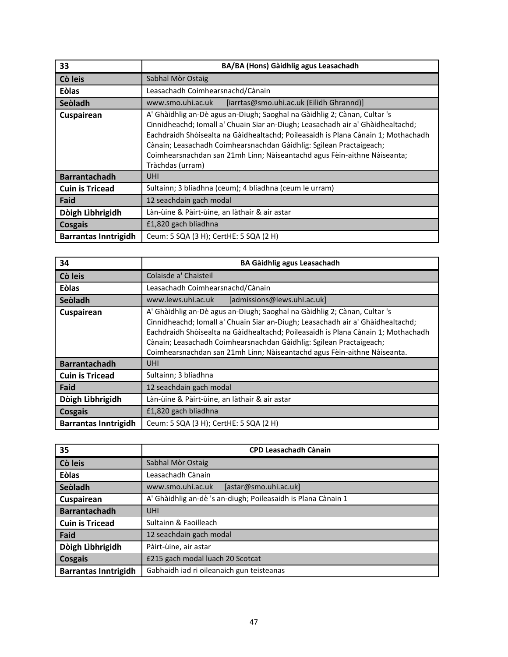| 33                          | BA/BA (Hons) Gàidhlig agus Leasachadh                                                                                                                                                                                                                                                                                                                                                                                    |  |  |  |  |
|-----------------------------|--------------------------------------------------------------------------------------------------------------------------------------------------------------------------------------------------------------------------------------------------------------------------------------------------------------------------------------------------------------------------------------------------------------------------|--|--|--|--|
| Cò leis                     | Sabhal Mòr Ostaig                                                                                                                                                                                                                                                                                                                                                                                                        |  |  |  |  |
| Eòlas                       | Leasachadh Coimhearsnachd/Cànain                                                                                                                                                                                                                                                                                                                                                                                         |  |  |  |  |
| Seòladh                     | www.smo.uhi.ac.uk<br>[iarrtas@smo.uhi.ac.uk (Eilidh Ghrannd)]                                                                                                                                                                                                                                                                                                                                                            |  |  |  |  |
| Cuspairean                  | A' Ghàidhlig an-Dè agus an-Diugh; Saoghal na Gàidhlig 2; Cànan, Cultar 's<br>Cinnidheachd; Iomall a' Chuain Siar an-Diugh; Leasachadh air a' Ghàidhealtachd;<br>Eachdraidh Shòisealta na Gàidhealtachd; Poileasaidh is Plana Cànain 1; Mothachadh<br>Cànain; Leasachadh Coimhearsnachdan Gàidhlig: Sgilean Practaigeach;<br>Coimhearsnachdan san 21mh Linn; Nàiseantachd agus Fèin-aithne Nàiseanta;<br>Tràchdas (urram) |  |  |  |  |
| <b>Barrantachadh</b>        | <b>UHI</b>                                                                                                                                                                                                                                                                                                                                                                                                               |  |  |  |  |
| <b>Cuin is Tricead</b>      | Sultainn; 3 bliadhna (ceum); 4 bliadhna (ceum le urram)                                                                                                                                                                                                                                                                                                                                                                  |  |  |  |  |
| Faid                        | 12 seachdain gach modal                                                                                                                                                                                                                                                                                                                                                                                                  |  |  |  |  |
| Dòigh Lìbhrigidh            | Làn-ùine & Pàirt-ùine, an làthair & air astar                                                                                                                                                                                                                                                                                                                                                                            |  |  |  |  |
| Cosgais                     | £1,820 gach bliadhna                                                                                                                                                                                                                                                                                                                                                                                                     |  |  |  |  |
| <b>Barrantas Inntrigidh</b> | Ceum: 5 SQA (3 H); CertHE: 5 SQA (2 H)                                                                                                                                                                                                                                                                                                                                                                                   |  |  |  |  |

| 34                          | <b>BA Gàidhlig agus Leasachadh</b>                                                                                                                                                                                                                                                                                                                                                                   |  |  |  |  |
|-----------------------------|------------------------------------------------------------------------------------------------------------------------------------------------------------------------------------------------------------------------------------------------------------------------------------------------------------------------------------------------------------------------------------------------------|--|--|--|--|
| Cò leis                     | Colaisde a' Chaisteil                                                                                                                                                                                                                                                                                                                                                                                |  |  |  |  |
| <b>Eòlas</b>                | Leasachadh Coimhearsnachd/Cànain                                                                                                                                                                                                                                                                                                                                                                     |  |  |  |  |
| Seòladh                     | www.lews.uhi.ac.uk<br>[admissions@lews.uhi.ac.uk]                                                                                                                                                                                                                                                                                                                                                    |  |  |  |  |
| Cuspairean                  | A' Ghàidhlig an-Dè agus an-Diugh; Saoghal na Gàidhlig 2; Cànan, Cultar 's<br>Cinnidheachd; Iomall a' Chuain Siar an-Diugh; Leasachadh air a' Ghàidhealtachd;<br>Eachdraidh Shòisealta na Gàidhealtachd; Poileasaidh is Plana Cànain 1; Mothachadh<br>Cànain; Leasachadh Coimhearsnachdan Gàidhlig: Sgilean Practaigeach;<br>Coimhearsnachdan san 21mh Linn; Nàiseantachd agus Fèin-aithne Nàiseanta. |  |  |  |  |
| <b>Barrantachadh</b>        | <b>UHI</b>                                                                                                                                                                                                                                                                                                                                                                                           |  |  |  |  |
| <b>Cuin is Tricead</b>      | Sultainn; 3 bliadhna                                                                                                                                                                                                                                                                                                                                                                                 |  |  |  |  |
| Faid                        | 12 seachdain gach modal                                                                                                                                                                                                                                                                                                                                                                              |  |  |  |  |
| Dòigh Lìbhrigidh            | Làn-ùine & Pàirt-ùine, an làthair & air astar                                                                                                                                                                                                                                                                                                                                                        |  |  |  |  |
| Cosgais                     | £1,820 gach bliadhna                                                                                                                                                                                                                                                                                                                                                                                 |  |  |  |  |
| <b>Barrantas Inntrigidh</b> | Ceum: 5 SQA (3 H); CertHE: 5 SQA (2 H)                                                                                                                                                                                                                                                                                                                                                               |  |  |  |  |

| 35                          | <b>CPD Leasachadh Cànain</b>                                  |  |  |
|-----------------------------|---------------------------------------------------------------|--|--|
| Cò leis                     | Sabhal Mòr Ostaig                                             |  |  |
| <b>Eòlas</b>                | Leasachadh Cànain                                             |  |  |
| Seòladh                     | [astar@smo.uhi.ac.uk]<br>www.smo.uhi.ac.uk                    |  |  |
| Cuspairean                  | A' Ghàidhlig an-dè 's an-diugh; Poileasaidh is Plana Cànain 1 |  |  |
| <b>Barrantachadh</b>        | <b>UHI</b>                                                    |  |  |
| <b>Cuin is Tricead</b>      | Sultainn & Faoilleach                                         |  |  |
| Faid                        | 12 seachdain gach modal                                       |  |  |
| Dòigh Lìbhrigidh            | Pàirt-ùine, air astar                                         |  |  |
| Cosgais                     | £215 gach modal luach 20 Scotcat                              |  |  |
| <b>Barrantas Inntrigidh</b> | Gabhaidh iad ri oileanaich gun teisteanas                     |  |  |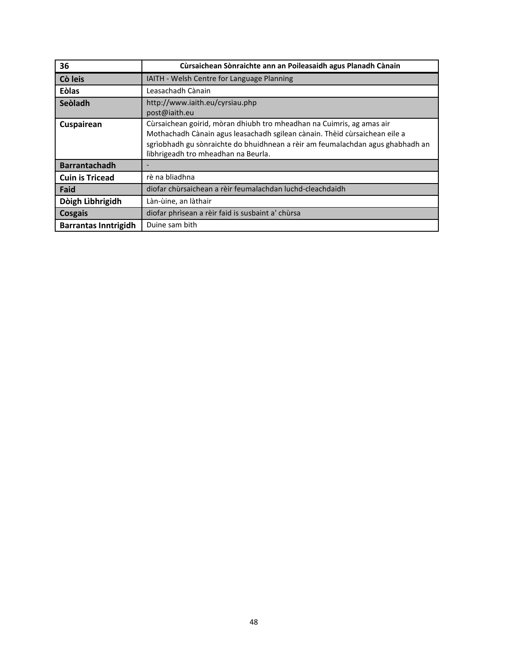| 36                          | Cùrsaichean Sònraichte ann an Poileasaidh agus Planadh Cànain                                                                                                                                                                                                                |  |  |  |  |
|-----------------------------|------------------------------------------------------------------------------------------------------------------------------------------------------------------------------------------------------------------------------------------------------------------------------|--|--|--|--|
| Cò leis                     | IAITH - Welsh Centre for Language Planning                                                                                                                                                                                                                                   |  |  |  |  |
| Eòlas                       | Leasachadh Cànain                                                                                                                                                                                                                                                            |  |  |  |  |
| Seòladh                     | http://www.iaith.eu/cyrsiau.php<br>post@iaith.eu                                                                                                                                                                                                                             |  |  |  |  |
| Cuspairean                  | Cùrsaichean goirid, mòran dhiubh tro mheadhan na Cuimris, ag amas air<br>Mothachadh Cànain agus leasachadh sgilean cànain. Thèid cùrsaichean eile a<br>sgrìobhadh gu sònraichte do bhuidhnean a rèir am feumalachdan agus ghabhadh an<br>lìbhrigeadh tro mheadhan na Beurla. |  |  |  |  |
| <b>Barrantachadh</b>        |                                                                                                                                                                                                                                                                              |  |  |  |  |
| <b>Cuin is Tricead</b>      | rè na bliadhna                                                                                                                                                                                                                                                               |  |  |  |  |
| Faid                        | diofar chùrsaichean a rèir feumalachdan luchd-cleachdaidh                                                                                                                                                                                                                    |  |  |  |  |
| Dòigh Lìbhrigidh            | Làn-ùine, an làthair                                                                                                                                                                                                                                                         |  |  |  |  |
| Cosgais                     | diofar phrìsean a rèir faid is susbaint a' chùrsa                                                                                                                                                                                                                            |  |  |  |  |
| <b>Barrantas Inntrigidh</b> | Duine sam bith                                                                                                                                                                                                                                                               |  |  |  |  |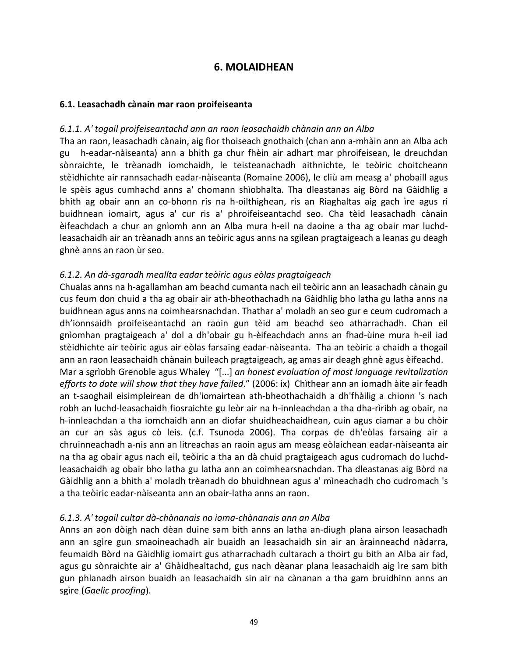# **6. MOLAIDHEAN**

## **6.1. Leasachadh cànain mar raon proifeiseanta**

### *6.1.1. A' togail proifeiseantachd ann an raon leasachaidh chànain ann an Alba*

Tha an raon, leasachadh cànain, aig fìor thoiseach gnothaich (chan ann a-mhàin ann an Alba ach gu h-eadar-nàiseanta) ann a bhith ga chur fhèin air adhart mar phroifeisean, le dreuchdan sònraichte, le trèanadh iomchaidh, le teisteanachadh aithnichte, le teòiric choitcheann stèidhichte air rannsachadh eadar-nàiseanta (Romaine 2006), le cliù am measg a' phobaill agus le spèis agus cumhachd anns a' chomann shìobhalta. Tha dleastanas aig Bòrd na Gàidhlig a bhith ag obair ann an co-bhonn ris na h-oilthighean, ris an Riaghaltas aig gach ìre agus ri buidhnean iomairt, agus a' cur ris a' phroifeiseantachd seo. Cha tèid leasachadh cànain èifeachdach a chur an gnìomh ann an Alba mura h-eil na daoine a tha ag obair mar luchdleasachaidh air an trèanadh anns an teòiric agus anns na sgilean pragtaigeach a leanas gu deagh ghnè anns an raon ùr seo.

## *6.1.2. An dà-sgaradh meallta eadar teòiric agus eòlas pragtaigeach*

Chualas anns na h-agallamhan am beachd cumanta nach eil teòiric ann an leasachadh cànain gu cus feum don chuid a tha ag obair air ath-bheothachadh na Gàidhlig bho latha gu latha anns na buidhnean agus anns na coimhearsnachdan. Thathar a' moladh an seo gur e ceum cudromach a dh'ionnsaidh proifeiseantachd an raoin gun tèid am beachd seo atharrachadh. Chan eil gnìomhan pragtaigeach a' dol a dh'obair gu h-èifeachdach anns an fhad-ùine mura h-eil iad stèidhichte air teòiric agus air eòlas farsaing eadar-nàiseanta. Tha an teòiric a chaidh a thogail ann an raon leasachaidh chànain buileach pragtaigeach, ag amas air deagh ghnè agus èifeachd. Mar a sgrìobh Grenoble agus Whaley "[...] *an honest evaluation of most language revitalization efforts to date will show that they have failed*." (2006: ix) Chìthear ann an iomadh àite air feadh an t-saoghail eisimpleirean de dh'iomairtean ath-bheothachaidh a dh'fhàilig a chionn 's nach robh an luchd-leasachaidh fiosraichte gu leòr air na h-innleachdan a tha dha-rìribh ag obair, na h-innleachdan a tha iomchaidh ann an diofar shuidheachaidhean, cuin agus ciamar a bu chòir an cur an sàs agus cò leis. (c.f. Tsunoda 2006). Tha corpas de dh'eòlas farsaing air a chruinneachadh a-nis ann an litreachas an raoin agus am measg eòlaichean eadar-nàiseanta air na tha ag obair agus nach eil, teòiric a tha an dà chuid pragtaigeach agus cudromach do luchdleasachaidh ag obair bho latha gu latha ann an coimhearsnachdan. Tha dleastanas aig Bòrd na Gàidhlig ann a bhith a' moladh trèanadh do bhuidhnean agus a' mìneachadh cho cudromach 's a tha teòiric eadar-nàiseanta ann an obair-latha anns an raon.

## *6.1.3. A' togail cultar dà-chànanais no ioma-chànanais ann an Alba*

Anns an aon dòigh nach dèan duine sam bith anns an latha an-diugh plana airson leasachadh ann an sgìre gun smaoineachadh air buaidh an leasachaidh sin air an àrainneachd nàdarra, feumaidh Bòrd na Gàidhlig iomairt gus atharrachadh cultarach a thoirt gu bith an Alba air fad, agus gu sònraichte air a' Ghàidhealtachd, gus nach dèanar plana leasachaidh aig ìre sam bith gun phlanadh airson buaidh an leasachaidh sin air na cànanan a tha gam bruidhinn anns an sgìre (*Gaelic proofing*).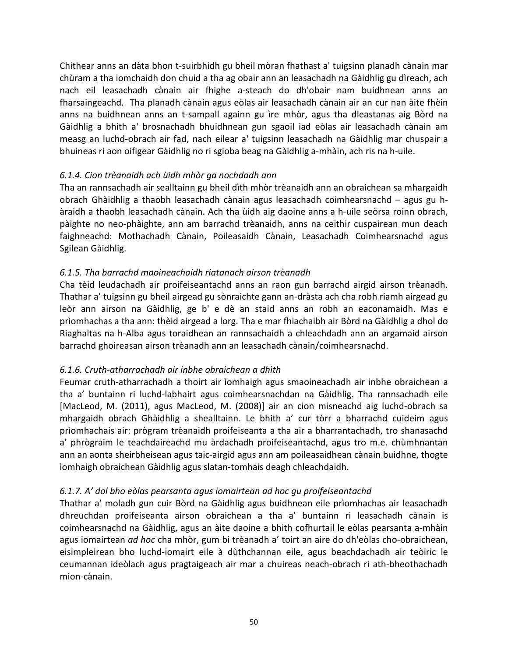Chithear anns an dàta bhon t-suirbhidh gu bheil mòran fhathast a' tuigsinn planadh cànain mar chùram a tha iomchaidh don chuid a tha ag obair ann an leasachadh na Gàidhlig gu dìreach, ach nach eil leasachadh cànain air fhighe a-steach do dh'obair nam buidhnean anns an fharsaingeachd. Tha planadh cànain agus eòlas air leasachadh cànain air an cur nan àite fhèin anns na buidhnean anns an t-sampall againn gu ìre mhòr, agus tha dleastanas aig Bòrd na Gàidhlig a bhith a' brosnachadh bhuidhnean gun sgaoil iad eòlas air leasachadh cànain am measg an luchd-obrach air fad, nach eilear a' tuigsinn leasachadh na Gàidhlig mar chuspair a bhuineas ri aon oifigear Gàidhlig no ri sgioba beag na Gàidhlig a-mhàin, ach ris na h-uile.

# *6.1.4. Cion trèanaidh ach ùidh mhòr ga nochdadh ann*

Tha an rannsachadh air sealltainn gu bheil dìth mhòr trèanaidh ann an obraichean sa mhargaidh obrach Ghàidhlig a thaobh leasachadh cànain agus leasachadh coimhearsnachd – agus gu hàraidh a thaobh leasachadh cànain. Ach tha ùidh aig daoine anns a h-uile seòrsa roinn obrach, pàighte no neo-phàighte, ann am barrachd trèanaidh, anns na ceithir cuspairean mun deach faighneachd: Mothachadh Cànain, Poileasaidh Cànain, Leasachadh Coimhearsnachd agus Sgilean Gàidhlig.

# *6.1.5. Tha barrachd maoineachaidh riatanach airson trèanadh*

Cha tèid leudachadh air proifeiseantachd anns an raon gun barrachd airgid airson trèanadh. Thathar a' tuigsinn gu bheil airgead gu sònraichte gann an-dràsta ach cha robh riamh airgead gu leòr ann airson na Gàidhlig, ge b' e dè an staid anns an robh an eaconamaidh. Mas e prìomhachas a tha ann: thèid airgead a lorg. Tha e mar fhiachaibh air Bòrd na Gàidhlig a dhol do Riaghaltas na h-Alba agus toraidhean an rannsachaidh a chleachdadh ann an argamaid airson barrachd ghoireasan airson trèanadh ann an leasachadh cànain/coimhearsnachd.

# *6.1.6. Cruth-atharrachadh air inbhe obraichean a dhìth*

Feumar cruth-atharrachadh a thoirt air ìomhaigh agus smaoineachadh air inbhe obraichean a tha a' buntainn ri luchd-labhairt agus coimhearsnachdan na Gàidhlig. Tha rannsachadh eile [MacLeod, M. (2011), agus MacLeod, M. (2008)] air an cion misneachd aig luchd-obrach sa mhargaidh obrach Ghàidhlig a shealltainn. Le bhith a' cur tòrr a bharrachd cuideim agus prìomhachais air: prògram trèanaidh proifeiseanta a tha air a bharrantachadh, tro shanasachd a' phrògraim le teachdaireachd mu àrdachadh proifeiseantachd, agus tro m.e. chùmhnantan ann an aonta sheirbheisean agus taic-airgid agus ann am poileasaidhean cànain buidhne, thogte ìomhaigh obraichean Gàidhlig agus slatan-tomhais deagh chleachdaidh.

# *6.1.7. A' dol bho eòlas pearsanta agus iomairtean ad hoc gu proifeiseantachd*

Thathar a' moladh gun cuir Bòrd na Gàidhlig agus buidhnean eile prìomhachas air leasachadh dhreuchdan proifeiseanta airson obraichean a tha a' buntainn ri leasachadh cànain is coimhearsnachd na Gàidhlig, agus an àite daoine a bhith cofhurtail le eòlas pearsanta a-mhàin agus iomairtean *ad hoc* cha mhòr, gum bi trèanadh a' toirt an aire do dh'eòlas cho-obraichean, eisimpleirean bho luchd-iomairt eile à dùthchannan eile, agus beachdachadh air teòiric le ceumannan ideòlach agus pragtaigeach air mar a chuireas neach-obrach ri ath-bheothachadh mion-cànain.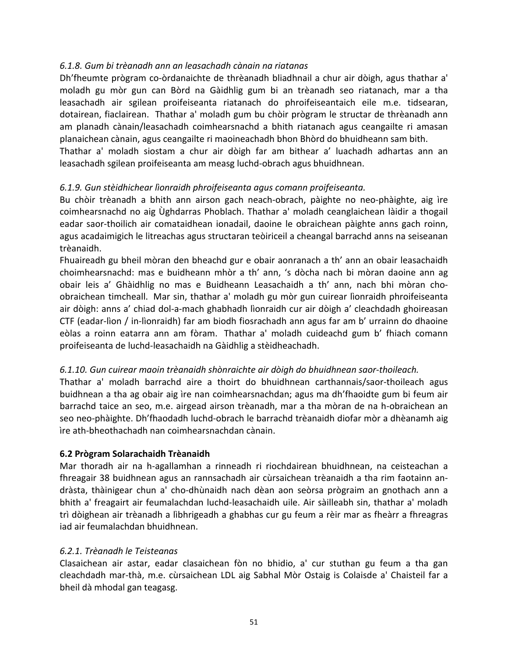# *6.1.8. Gum bi trèanadh ann an leasachadh cànain na riatanas*

Dh'fheumte prògram co-òrdanaichte de thrèanadh bliadhnail a chur air dòigh, agus thathar a' moladh gu mòr gun can Bòrd na Gàidhlig gum bi an trèanadh seo riatanach, mar a tha leasachadh air sgilean proifeiseanta riatanach do phroifeiseantaich eile m.e. tidsearan, dotairean, fiaclairean. Thathar a' moladh gum bu chòir prògram le structar de thrèanadh ann am planadh cànain/leasachadh coimhearsnachd a bhith riatanach agus ceangailte ri amasan planaichean cànain, agus ceangailte ri maoineachadh bhon Bhòrd do bhuidheann sam bith.

Thathar a' moladh siostam a chur air dòigh far am bithear a' luachadh adhartas ann an leasachadh sgilean proifeiseanta am measg luchd-obrach agus bhuidhnean.

# *6.1.9. Gun stèidhichear lìonraidh phroifeiseanta agus comann proifeiseanta.*

Bu chòir trèanadh a bhith ann airson gach neach-obrach, pàighte no neo-phàighte, aig ìre coimhearsnachd no aig Ùghdarras Phoblach. Thathar a' moladh ceanglaichean làidir a thogail eadar saor-thoilich air comataidhean ionadail, daoine le obraichean pàighte anns gach roinn, agus acadaimigich le litreachas agus structaran teòiriceil a cheangal barrachd anns na seiseanan trèanaidh.

Fhuaireadh gu bheil mòran den bheachd gur e obair aonranach a th' ann an obair leasachaidh choimhearsnachd: mas e buidheann mhòr a th' ann, 's dòcha nach bi mòran daoine ann ag obair leis a' Ghàidhlig no mas e Buidheann Leasachaidh a th' ann, nach bhi mòran choobraichean timcheall. Mar sin, thathar a' moladh gu mòr gun cuirear lìonraidh phroifeiseanta air dòigh: anns a' chiad dol-a-mach ghabhadh lìonraidh cur air dòigh a' cleachdadh ghoireasan CTF (eadar-lìon / in-lìonraidh) far am biodh fiosrachadh ann agus far am b' urrainn do dhaoine eòlas a roinn eatarra ann am fòram. Thathar a' moladh cuideachd gum b' fhiach comann proifeiseanta de luchd-leasachaidh na Gàidhlig a stèidheachadh.

# *6.1.10. Gun cuirear maoin trèanaidh shònraichte air dòigh do bhuidhnean saor-thoileach.*

Thathar a' moladh barrachd aire a thoirt do bhuidhnean carthannais/saor-thoileach agus buidhnean a tha ag obair aig ìre nan coimhearsnachdan; agus ma dh'fhaoidte gum bi feum air barrachd taice an seo, m.e. airgead airson trèanadh, mar a tha mòran de na h-obraichean an seo neo-phàighte. Dh'fhaodadh luchd-obrach le barrachd trèanaidh diofar mòr a dhèanamh aig ìre ath-bheothachadh nan coimhearsnachdan cànain.

# **6.2 Prògram Solarachaidh Trèanaidh**

Mar thoradh air na h-agallamhan a rinneadh ri riochdairean bhuidhnean, na ceisteachan a fhreagair 38 buidhnean agus an rannsachadh air cùrsaichean trèanaidh a tha rim faotainn andràsta, thàinigear chun a' cho-dhùnaidh nach dèan aon seòrsa prògraim an gnothach ann a bhith a' freagairt air feumalachdan luchd-leasachaidh uile. Air sàilleabh sin, thathar a' moladh trì dòighean air trèanadh a lìbhrigeadh a ghabhas cur gu feum a rèir mar as fheàrr a fhreagras iad air feumalachdan bhuidhnean.

# *6.2.1. Trèanadh le Teisteanas*

Clasaichean air astar, eadar clasaichean fòn no bhidio, a' cur stuthan gu feum a tha gan cleachdadh mar-thà, m.e. cùrsaichean LDL aig Sabhal Mòr Ostaig is Colaisde a' Chaisteil far a bheil dà mhodal gan teagasg.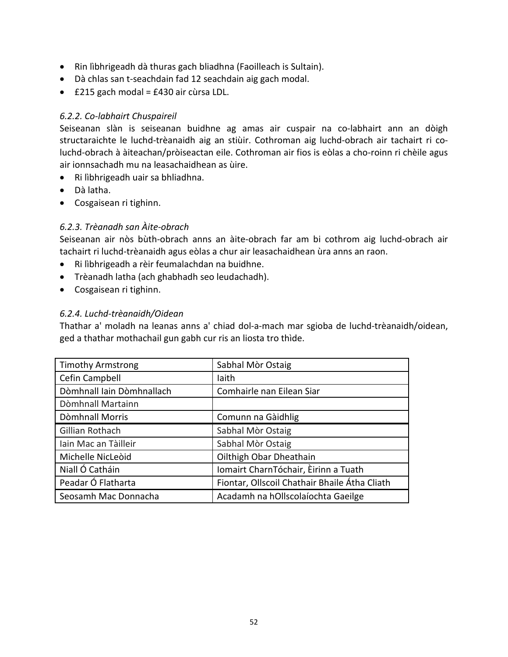- Rin lìbhrigeadh dà thuras gach bliadhna (Faoilleach is Sultain).
- Dà chlas san t-seachdain fad 12 seachdain aig gach modal.
- £215 gach modal = £430 air cùrsa LDL.

# *6.2.2. Co-labhairt Chuspaireil*

Seiseanan slàn is seiseanan buidhne ag amas air cuspair na co-labhairt ann an dòigh structaraichte le luchd-trèanaidh aig an stiùir. Cothroman aig luchd-obrach air tachairt ri coluchd-obrach à àiteachan/pròiseactan eile. Cothroman air fios is eòlas a cho-roinn ri chèile agus air ionnsachadh mu na leasachaidhean as ùire.

- Ri lìbhrigeadh uair sa bhliadhna.
- Dà latha.
- Cosgaisean ri tighinn.

# *6.2.3. Trèanadh san Àite-obrach*

Seiseanan air nòs bùth-obrach anns an àite-obrach far am bi cothrom aig luchd-obrach air tachairt ri luchd-trèanaidh agus eòlas a chur air leasachaidhean ùra anns an raon.

- Ri lìbhrigeadh a rèir feumalachdan na buidhne.
- Trèanadh latha (ach ghabhadh seo leudachadh).
- Cosgaisean ri tighinn.

## *6.2.4. Luchd-trèanaidh/Oidean*

Thathar a' moladh na leanas anns a' chiad dol-a-mach mar sgioba de luchd-trèanaidh/oidean, ged a thathar mothachail gun gabh cur ris an liosta tro thìde.

| <b>Timothy Armstrong</b>  | Sabhal Mòr Ostaig                             |
|---------------------------|-----------------------------------------------|
| Cefin Campbell            | laith                                         |
| Dòmhnall Iain Dòmhnallach | Comhairle nan Eilean Siar                     |
| Dòmhnall Martainn         |                                               |
| Dòmhnall Morris           | Comunn na Gàidhlig                            |
| Gillian Rothach           | Sabhal Mòr Ostaig                             |
| Iain Mac an Tàilleir      | Sabhal Mòr Ostaig                             |
| Michelle NicLeòid         | Oilthigh Obar Dheathain                       |
| Niall Ó Catháin           | Iomairt CharnTóchair, Èirinn a Tuath          |
| Peadar Ó Flatharta        | Fiontar, Ollscoil Chathair Bhaile Átha Cliath |
| Seosamh Mac Donnacha      | Acadamh na hOllscolaíochta Gaeilge            |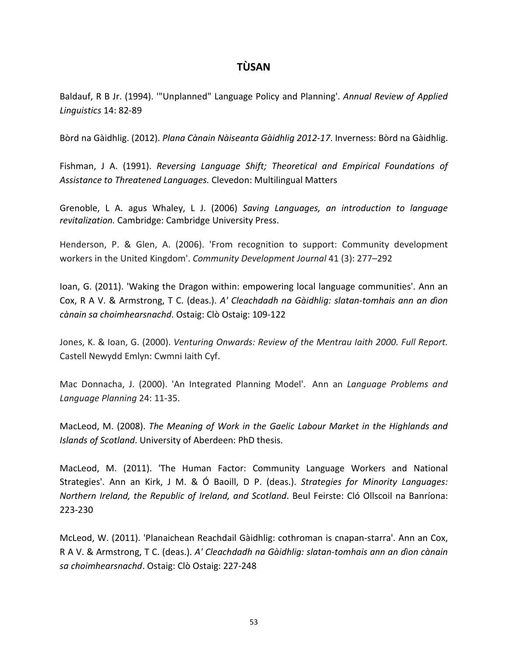# **TÙSAN**

Baldauf, R B Jr. (1994). '"Unplanned" Language Policy and Planning'. *Annual Review of Applied Linguistics* 14: 82-89

Bòrd na Gàidhlig. (2012). *Plana Cànain Nàiseanta Gàidhlig 2012-17*. Inverness: Bòrd na Gàidhlig.

Fishman, J A. (1991). *Reversing Language Shift; Theoretical and Empirical Foundations of Assistance to Threatened Languages.* Clevedon: Multilingual Matters

Grenoble, L A. agus Whaley, L J. (2006) *Saving Languages, an introduction to language revitalization.* Cambridge: Cambridge University Press.

Henderson, P. & Glen, A. (2006). 'From recognition to support: Community development workers in the United Kingdom'. *Community Development Journal* 41 (3): 277–292

Ioan, G. (2011). 'Waking the Dragon within: empowering local language communities'. Ann an Cox, R A V. & Armstrong, T C. (deas.). *A' Cleachdadh na Gàidhlig: slatan-tomhais ann an dìon cànain sa choimhearsnachd*. Ostaig: Clò Ostaig: 109-122

Jones, K. & Ioan, G. (2000). *Venturing Onwards: Review of the Mentrau Iaith 2000. Full Report.* Castell Newydd Emlyn: Cwmni Iaith Cyf.

Mac Donnacha, J. (2000). 'An Integrated Planning Model'. Ann an *Language Problems and Language Planning* 24: 11-35.

MacLeod, M. (2008). *The Meaning of Work in the Gaelic Labour Market in the Highlands and Islands of Scotland*. University of Aberdeen: PhD thesis.

MacLeod, M. (2011). 'The Human Factor: Community Language Workers and National Strategies'. Ann an Kirk, J M. & Ó Baoill, D P. (deas.). *Strategies for Minority Languages: Northern Ireland, the Republic of Ireland, and Scotland*. Beul Feirste: Cló Ollscoil na Banríona: 223-230

McLeod, W. (2011). 'Planaichean Reachdail Gàidhlig: cothroman is cnapan-starra'. Ann an Cox, R A V. & Armstrong, T C. (deas.). *A' Cleachdadh na Gàidhlig: slatan-tomhais ann an dìon cànain sa choimhearsnachd*. Ostaig: Clò Ostaig: 227-248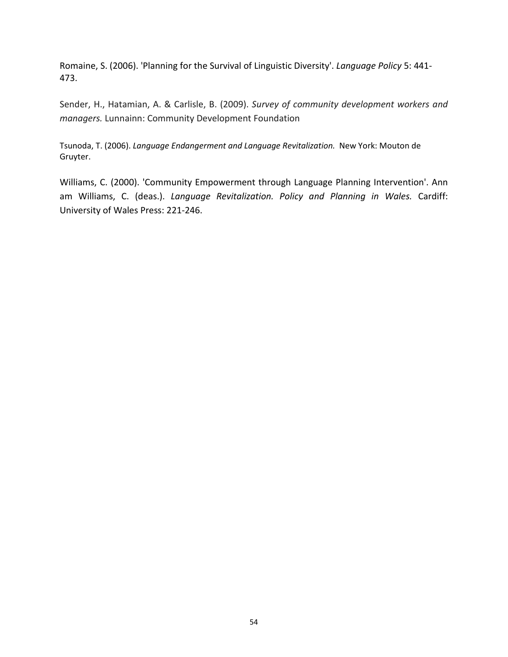Romaine, S. (2006). 'Planning for the Survival of Linguistic Diversity'. *Language Policy* 5: 441- 473.

Sender, H., Hatamian, A. & Carlisle, B. (2009). *Survey of community development workers and managers.* Lunnainn: Community Development Foundation

Tsunoda, T. (2006). *Language Endangerment and Language Revitalization.* New York: Mouton de Gruyter.

Williams, C. (2000). 'Community Empowerment through Language Planning Intervention'. Ann am Williams, C. (deas.). *Language Revitalization. Policy and Planning in Wales.* Cardiff: University of Wales Press: 221-246.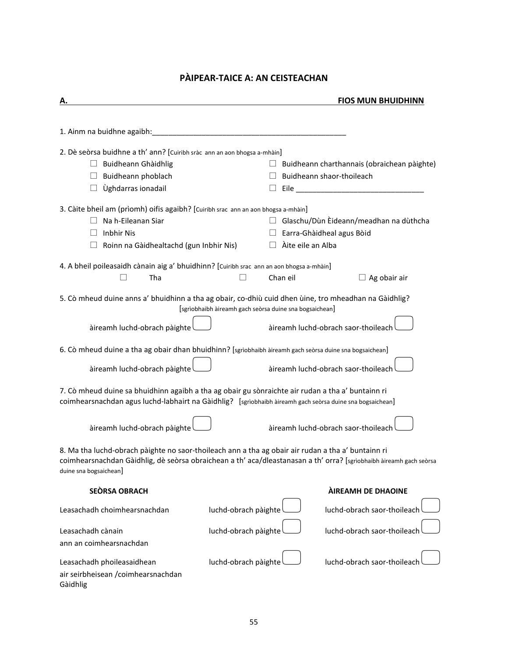# **PÀIPEAR-TAICE A: AN CEISTEACHAN**

| Α.                                                                                                                                                                                                                                                  |                                                         |                                     |  | <b>FIOS MUN BHUIDHINN</b>                                                                                                                                                                                                      |
|-----------------------------------------------------------------------------------------------------------------------------------------------------------------------------------------------------------------------------------------------------|---------------------------------------------------------|-------------------------------------|--|--------------------------------------------------------------------------------------------------------------------------------------------------------------------------------------------------------------------------------|
|                                                                                                                                                                                                                                                     |                                                         |                                     |  |                                                                                                                                                                                                                                |
| 1. Ainm na buidhne agaibh:                                                                                                                                                                                                                          |                                                         |                                     |  |                                                                                                                                                                                                                                |
| 2. Dè seòrsa buidhne a th' ann? [Cuiribh sràc ann an aon bhogsa a-mhàin]                                                                                                                                                                            |                                                         |                                     |  |                                                                                                                                                                                                                                |
| Buidheann Ghàidhlig                                                                                                                                                                                                                                 |                                                         |                                     |  | Buidheann charthannais (obraichean pàighte)                                                                                                                                                                                    |
| Buidheann phoblach                                                                                                                                                                                                                                  |                                                         | Buidheann shaor-thoileach           |  |                                                                                                                                                                                                                                |
| Ùghdarras ionadail                                                                                                                                                                                                                                  |                                                         |                                     |  | Eile and the contract of the contract of the contract of the contract of the contract of the contract of the contract of the contract of the contract of the contract of the contract of the contract of the contract of the c |
| 3. Càite bheil am (prìomh) oifis agaibh? [Cuiribh srac ann an aon bhogsa a-mhàin]                                                                                                                                                                   |                                                         |                                     |  |                                                                                                                                                                                                                                |
| Na h-Eileanan Siar                                                                                                                                                                                                                                  |                                                         |                                     |  | $\Box$ Glaschu/Dùn Èideann/meadhan na dùthcha                                                                                                                                                                                  |
| <b>Inbhir Nis</b>                                                                                                                                                                                                                                   |                                                         | Earra-Ghàidheal agus Bòid           |  |                                                                                                                                                                                                                                |
| Roinn na Gàidhealtachd (gun Inbhir Nis)                                                                                                                                                                                                             | $\Box$                                                  | Àite eile an Alba                   |  |                                                                                                                                                                                                                                |
| 4. A bheil poileasaidh cànain aig a' bhuidhinn? [Cuiribh srac ann an aon bhogsa a-mhàin]                                                                                                                                                            |                                                         |                                     |  |                                                                                                                                                                                                                                |
| Tha                                                                                                                                                                                                                                                 |                                                         | Chan eil                            |  | $\Box$ Ag obair air                                                                                                                                                                                                            |
| 5. Cò mheud duine anns a' bhuidhinn a tha ag obair, co-dhiù cuid dhen ùine, tro mheadhan na Gàidhlig?                                                                                                                                               | [sgrìobhaibh àireamh gach seòrsa duine sna bogsaichean] |                                     |  |                                                                                                                                                                                                                                |
| àireamh luchd-obrach pàighte                                                                                                                                                                                                                        |                                                         | àireamh luchd-obrach saor-thoileach |  |                                                                                                                                                                                                                                |
| 6. Cò mheud duine a tha ag obair dhan bhuidhinn? [sgrìobhaibh àireamh gach seòrsa duine sna bogsaichean]                                                                                                                                            |                                                         |                                     |  |                                                                                                                                                                                                                                |
| àireamh luchd-obrach pàighte                                                                                                                                                                                                                        |                                                         | àireamh luchd-obrach saor-thoileach |  |                                                                                                                                                                                                                                |
| 7. Cò mheud duine sa bhuidhinn agaibh a tha ag obair gu sònraichte air rudan a tha a' buntainn ri<br>coimhearsnachdan agus luchd-labhairt na Gàidhlig? [sgrìobhaibh àireamh gach seòrsa duine sna bogsaichean]                                      |                                                         |                                     |  |                                                                                                                                                                                                                                |
| àireamh luchd-obrach pàighte                                                                                                                                                                                                                        |                                                         | àireamh luchd-obrach saor-thoileach |  |                                                                                                                                                                                                                                |
| 8. Ma tha luchd-obrach pàighte no saor-thoileach ann a tha ag obair air rudan a tha a' buntainn ri<br>coimhearsnachdan Gàidhlig, dè seòrsa obraichean a th' aca/dleastanasan a th' orra? [sgrìobhaibh àireamh gach seòrsa<br>duine sna bogsaichean] |                                                         |                                     |  |                                                                                                                                                                                                                                |
| <b>SEÒRSA OBRACH</b>                                                                                                                                                                                                                                |                                                         |                                     |  | <b>AIREAMH DE DHAOINE</b>                                                                                                                                                                                                      |
| Leasachadh choimhearsnachdan                                                                                                                                                                                                                        | luchd-obrach pàighte                                    |                                     |  | luchd-obrach saor-thoileach                                                                                                                                                                                                    |
| Leasachadh cànain                                                                                                                                                                                                                                   | luchd-obrach pàighte                                    |                                     |  | luchd-obrach saor-thoileach                                                                                                                                                                                                    |
| ann an coimhearsnachdan                                                                                                                                                                                                                             |                                                         |                                     |  |                                                                                                                                                                                                                                |
|                                                                                                                                                                                                                                                     |                                                         |                                     |  |                                                                                                                                                                                                                                |
| Leasachadh phoileasaidhean                                                                                                                                                                                                                          | luchd-obrach pàighte                                    |                                     |  | luchd-obrach saor-thoileach                                                                                                                                                                                                    |
| air seirbheisean /coimhearsnachdan<br>Gàidhlig                                                                                                                                                                                                      |                                                         |                                     |  |                                                                                                                                                                                                                                |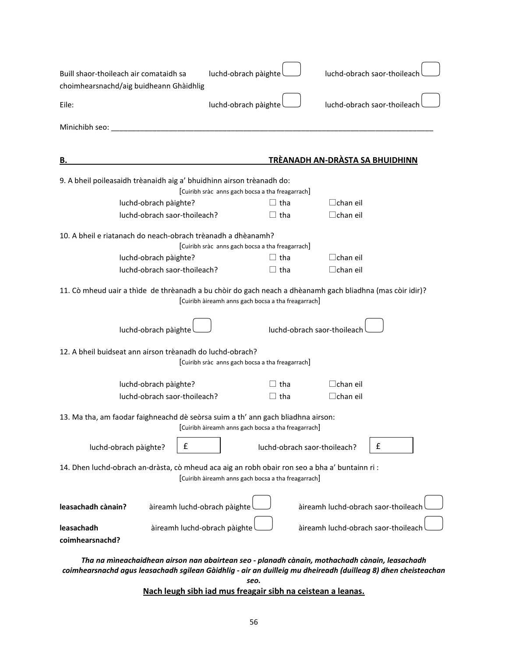| Buill shaor-thoileach air comataidh sa<br>choimhearsnachd/aig buidheann Ghàidhlig                                                                     | luchd-obrach pàighte                                |                                     | luchd-obrach saor-thoileach |  |  |
|-------------------------------------------------------------------------------------------------------------------------------------------------------|-----------------------------------------------------|-------------------------------------|-----------------------------|--|--|
| Eile:                                                                                                                                                 | luchd-obrach pàighte                                |                                     | luchd-obrach saor-thoileach |  |  |
| Mìnichibh seo: _<br><u> 1980 - John Stone, Amerikaansk politiker († 1901)</u>                                                                         |                                                     |                                     |                             |  |  |
|                                                                                                                                                       |                                                     |                                     |                             |  |  |
| в.                                                                                                                                                    |                                                     | TRÈANADH AN-DRÀSTA SA BHUIDHINN     |                             |  |  |
| 9. A bheil poileasaidh trèanaidh aig a' bhuidhinn airson trèanadh do:                                                                                 | [Cuiribh sràc anns gach bocsa a tha freagarrach]    |                                     |                             |  |  |
| luchd-obrach pàighte?                                                                                                                                 | $\sqcup$ tha                                        | $\Box$ chan eil                     |                             |  |  |
| luchd-obrach saor-thoileach?                                                                                                                          | tha                                                 | $\Box$ chan eil                     |                             |  |  |
|                                                                                                                                                       |                                                     |                                     |                             |  |  |
| 10. A bheil e riatanach do neach-obrach trèanadh a dhèanamh?                                                                                          |                                                     |                                     |                             |  |  |
|                                                                                                                                                       | [Cuiribh sràc anns gach bocsa a tha freagarrach]    |                                     |                             |  |  |
| luchd-obrach pàighte?                                                                                                                                 | tha                                                 | $\Box$ chan eil                     |                             |  |  |
| luchd-obrach saor-thoileach?                                                                                                                          | $\Box$ tha                                          | $\Box$ chan eil                     |                             |  |  |
| 11. Cò mheud uair a thìde de thrèanadh a bu chòir do gach neach a dhèanamh gach bliadhna (mas còir idir)?                                             | [Cuiribh àireamh anns gach bocsa a tha freagarrach] |                                     |                             |  |  |
| luchd-obrach pàighte                                                                                                                                  |                                                     | luchd-obrach saor-thoileach         |                             |  |  |
| 12. A bheil buidseat ann airson trèanadh do luchd-obrach?                                                                                             | [Cuiribh sràc anns gach bocsa a tha freagarrach]    |                                     |                             |  |  |
| luchd-obrach pàighte?                                                                                                                                 | $\sqcup$ tha                                        | $\Box$ chan eil                     |                             |  |  |
| luchd-obrach saor-thoileach?                                                                                                                          | tha                                                 | $\Box$ chan eil                     |                             |  |  |
|                                                                                                                                                       |                                                     |                                     |                             |  |  |
| 13. Ma tha, am faodar faighneachd dè seòrsa suim a th' ann gach bliadhna airson:<br>[Cuiribh àireamh anns gach bocsa a tha freagarrach]               |                                                     |                                     |                             |  |  |
| £<br>luchd-obrach pàighte?                                                                                                                            |                                                     | luchd-obrach saor-thoileach?        | £                           |  |  |
| 14. Dhen luchd-obrach an-dràsta, cò mheud aca aig an robh obair ron seo a bha a' buntainn ri :<br>[Cuiribh àireamh anns gach bocsa a tha freagarrach] |                                                     |                                     |                             |  |  |
| leasachadh cànain?<br>àireamh luchd-obrach pàighte                                                                                                    |                                                     | àireamh luchd-obrach saor-thoileach |                             |  |  |
| àireamh luchd-obrach pàighte<br>leasachadh                                                                                                            |                                                     | àireamh luchd-obrach saor-thoileacl |                             |  |  |
| coimhearsnachd?                                                                                                                                       |                                                     |                                     |                             |  |  |
|                                                                                                                                                       |                                                     |                                     |                             |  |  |
| Tha na mìneachaidhean airson nan abairtean seo - planadh cànain, mothachadh cànain, leasachadh                                                        |                                                     |                                     |                             |  |  |

*coimhearsnachd agus leasachadh sgilean Gàidhlig - air an duilleig mu dheireadh (duilleag 8) dhen cheisteachan* 

*seo.*

# **Nach leugh sibh iad mus freagair sibh na ceistean a leanas.**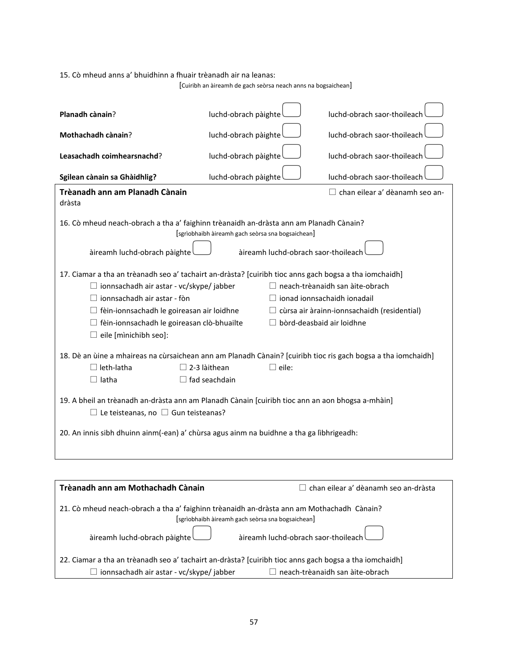15. Cò mheud anns a' bhuidhinn a fhuair trèanadh air na leanas:

[Cuiribh an àireamh de gach seòrsa neach anns na bogsaichean]

| Planadh cànain?                                                                                                                                                                                                                                                                                                                                                                                                                                                                                               | luchd-obrach pàighte                                                                     | luchd-obrach saor-thoileach                 |  |  |  |
|---------------------------------------------------------------------------------------------------------------------------------------------------------------------------------------------------------------------------------------------------------------------------------------------------------------------------------------------------------------------------------------------------------------------------------------------------------------------------------------------------------------|------------------------------------------------------------------------------------------|---------------------------------------------|--|--|--|
| Mothachadh cànain?                                                                                                                                                                                                                                                                                                                                                                                                                                                                                            | luchd-obrach pàighte                                                                     | luchd-obrach saor-thoileach                 |  |  |  |
| Leasachadh coimhearsnachd?                                                                                                                                                                                                                                                                                                                                                                                                                                                                                    | luchd-obrach pàighte                                                                     | luchd-obrach saor-thoileach                 |  |  |  |
| Sgilean cànain sa Ghàidhlig?                                                                                                                                                                                                                                                                                                                                                                                                                                                                                  | luchd-obrach pàighte                                                                     | luchd-obrach saor-thoileach                 |  |  |  |
| Trèanadh ann am Planadh Cànain<br>dràsta                                                                                                                                                                                                                                                                                                                                                                                                                                                                      |                                                                                          | □ chan eilear a' dèanamh seo an-            |  |  |  |
| 16. Cò mheud neach-obrach a tha a' faighinn trèanaidh an-dràsta ann am Planadh Cànain?<br>àireamh luchd-obrach pàighte                                                                                                                                                                                                                                                                                                                                                                                        | [sgrìobhaibh àireamh gach seòrsa sna bogsaichean]<br>àireamh luchd-obrach saor-thoileach |                                             |  |  |  |
| 17. Ciamar a tha an trèanadh seo a' tachairt an-dràsta? [cuiribh tioc anns gach bogsa a tha iomchaidh]<br>$\Box$ ionnsachadh air astar - vc/skype/ jabber<br>$\Box$ neach-trèanaidh san àite-obrach<br>$\Box$ ionnsachadh air astar - fòn<br>$\Box$ ionad ionnsachaidh ionadail<br>$\Box$ fèin-ionnsachadh le goireasan air loidhne<br>$\Box$ cùrsa air àrainn-ionnsachaidh (residential)<br>$\Box$ bòrd-deasbaid air loidhne<br>□ fèin-ionnsachadh le goireasan clò-bhuailte<br>$\Box$ eile [minichibh seo]: |                                                                                          |                                             |  |  |  |
| 18. Dè an ùine a mhaireas na cùrsaichean ann am Planadh Cànain? [cuiribh tioc ris gach bogsa a tha iomchaidh]<br>$\Box$ leth-latha<br>$\Box$ latha                                                                                                                                                                                                                                                                                                                                                            | $\Box$ 2-3 làithean<br>$\square$ eile:<br>$\Box$ fad seachdain                           |                                             |  |  |  |
| 19. A bheil an trèanadh an-dràsta ann am Planadh Cànain [cuiribh tioc ann an aon bhogsa a-mhàin]<br>$\Box$ Le teisteanas, no $\Box$ Gun teisteanas?                                                                                                                                                                                                                                                                                                                                                           |                                                                                          |                                             |  |  |  |
| 20. An innis sibh dhuinn ainm(-ean) a' chùrsa agus ainm na buidhne a tha ga lìbhrigeadh:                                                                                                                                                                                                                                                                                                                                                                                                                      |                                                                                          |                                             |  |  |  |
|                                                                                                                                                                                                                                                                                                                                                                                                                                                                                                               |                                                                                          |                                             |  |  |  |
| Trèanadh ann am Mothachadh Cànain                                                                                                                                                                                                                                                                                                                                                                                                                                                                             |                                                                                          | $\Box$ chan eilear a' dèanamh seo an-dràsta |  |  |  |
| 21. Cò mheud neach-obrach a tha a' faighinn trèanaidh an-dràsta ann am Mothachadh Cànain?                                                                                                                                                                                                                                                                                                                                                                                                                     |                                                                                          |                                             |  |  |  |

 [sgrìobhaibh àireamh gach seòrsa sna bogsaichean] àireamh luchd-obrach pàighte àireamh luchd-obrach saor-thoileach

| [22. Ciamar a tha an trèanadh seo a' tachairt an-dràsta? [cuiribh tioc anns gach bogsa a tha iomchaidh] |                                        |
|---------------------------------------------------------------------------------------------------------|----------------------------------------|
| $\Box$ ionnsachadh air astar - vc/skype/ jabber                                                         | $\Box$ neach-trèanaidh san àite-obrach |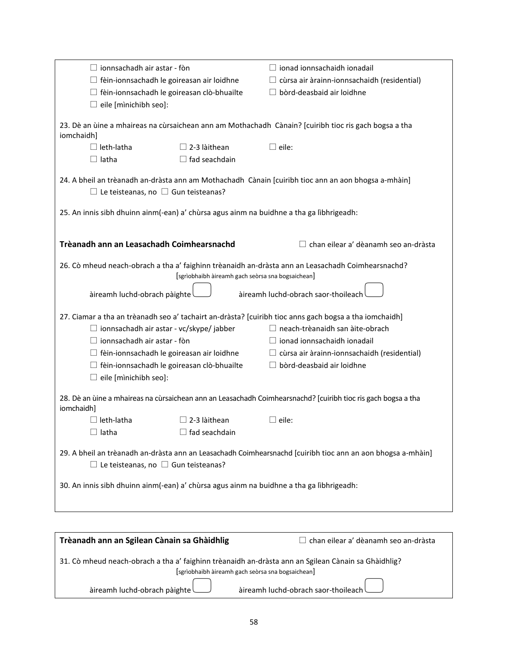|              | $\Box$ ionnsachadh air astar - fòn              |                                                   | $\Box$ ionad ionnsachaidh ionadail                                                                            |
|--------------|-------------------------------------------------|---------------------------------------------------|---------------------------------------------------------------------------------------------------------------|
|              |                                                 | $\Box$ fèin-ionnsachadh le goireasan air loidhne  | cùrsa air àrainn-ionnsachaidh (residential)                                                                   |
|              |                                                 | $\Box$ fèin-ionnsachadh le goireasan clò-bhuailte | $\Box$ bòrd-deasbaid air loidhne                                                                              |
|              | $\Box$ eile [minichibh seo]:                    |                                                   |                                                                                                               |
|              |                                                 |                                                   |                                                                                                               |
| iomchaidh]   |                                                 |                                                   | 23. Dè an ùine a mhaireas na cùrsaichean ann am Mothachadh Cànain? [cuiribh tioc ris gach bogsa a tha         |
|              | $\Box$ leth-latha                               | $\Box$ 2-3 làithean                               | $\Box$ eile:                                                                                                  |
| $\Box$ latha |                                                 | $\Box$ fad seachdain                              |                                                                                                               |
|              |                                                 |                                                   |                                                                                                               |
|              | $\Box$ Le teisteanas, no $\Box$ Gun teisteanas? |                                                   | 24. A bheil an trèanadh an-dràsta ann am Mothachadh Cànain [cuiribh tioc ann an aon bhogsa a-mhàin]           |
|              |                                                 |                                                   | 25. An innis sibh dhuinn ainm(-ean) a' chùrsa agus ainm na buidhne a tha ga lìbhrigeadh:                      |
|              |                                                 |                                                   |                                                                                                               |
|              |                                                 |                                                   |                                                                                                               |
|              | Trèanadh ann an Leasachadh Coimhearsnachd       |                                                   | $\Box$ chan eilear a' dèanamh seo an-dràsta                                                                   |
|              |                                                 | [sgrìobhaibh àireamh gach seòrsa sna bogsaichean] | 26. Cò mheud neach-obrach a tha a' faighinn trèanaidh an-dràsta ann an Leasachadh Coimhearsnachd?             |
|              |                                                 |                                                   |                                                                                                               |
|              | àireamh luchd-obrach pàighte                    |                                                   | àireamh luchd-obrach saor-thoileach                                                                           |
|              |                                                 |                                                   |                                                                                                               |
|              |                                                 |                                                   | 27. Ciamar a tha an trèanadh seo a' tachairt an-dràsta? [cuiribh tioc anns gach bogsa a tha iomchaidh]        |
|              | $\Box$ ionnsachadh air astar - vc/skype/ jabber |                                                   | $\Box$ neach-trèanaidh san àite-obrach                                                                        |
|              | $\Box$ ionnsachadh air astar - fòn              |                                                   | $\Box$ ionad ionnsachaidh ionadail                                                                            |
|              |                                                 | $\Box$ fèin-ionnsachadh le goireasan air loidhne  | $\Box$ cùrsa air àrainn-ionnsachaidh (residential)                                                            |
|              |                                                 | $\Box$ fèin-ionnsachadh le goireasan clò-bhuailte | bòrd-deasbaid air loidhne                                                                                     |
|              | $\Box$ eile [minichibh seo]:                    |                                                   |                                                                                                               |
|              |                                                 |                                                   |                                                                                                               |
| iomchaidh]   |                                                 |                                                   | 28. Dè an ùine a mhaireas na cùrsaichean ann an Leasachadh Coimhearsnachd? [cuiribh tioc ris gach bogsa a tha |
|              | $\Box$ leth-latha                               | $\Box$ 2-3 làithean                               | $\lrcorner$ eile:                                                                                             |
| $\Box$ latha |                                                 | $\Box$ fad seachdain                              |                                                                                                               |
|              |                                                 |                                                   |                                                                                                               |
|              | $\Box$ Le teisteanas, no $\Box$ Gun teisteanas? |                                                   | 29. A bheil an trèanadh an-dràsta ann an Leasachadh Coimhearsnachd [cuiribh tioc ann an aon bhogsa a-mhàin]   |
|              |                                                 |                                                   |                                                                                                               |
|              |                                                 |                                                   | 30. An innis sibh dhuinn ainm(-ean) a' chùrsa agus ainm na buidhne a tha ga lìbhrigeadh:                      |
|              |                                                 |                                                   |                                                                                                               |
|              |                                                 |                                                   |                                                                                                               |
|              |                                                 |                                                   |                                                                                                               |
|              | Trèanadh ann an Sgilean Cànain sa Ghàidhlig     |                                                   | $\Box$ chan eilear a' dèanamh seo an-dràsta.                                                                  |

| <b>Produced all and officent canonical</b> sections in the                                          | $\Box$ спан спсага асананн эсо ан агазса          |
|-----------------------------------------------------------------------------------------------------|---------------------------------------------------|
| 31. Cò mheud neach-obrach a tha a' faighinn trèanaidh an-dràsta ann an Sgilean Cànain sa Ghàidhlig? | [sgrìobhaibh àireamh gach seòrsa sna bogsaichean] |
| aireamh luchd-obrach pàighte                                                                        | aireamh luchd-obrach saor-thoileach               |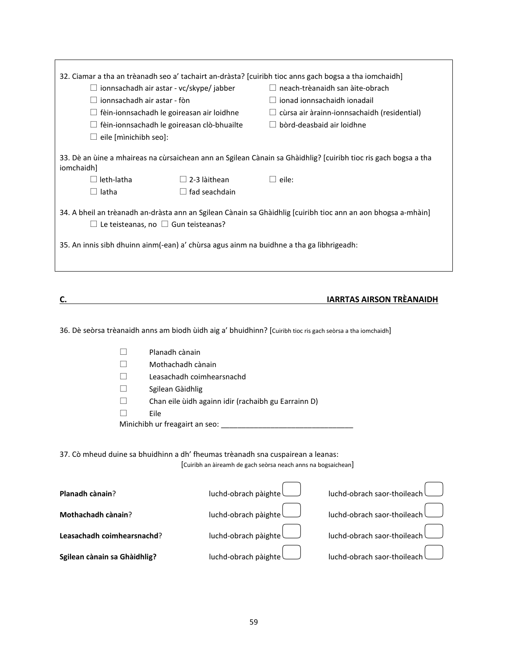| 32. Ciamar a tha an trèanadh seo a' tachairt an-dràsta? [cuiribh tioc anns gach bogsa a tha iomchaidh]<br>$\Box$ ionnsachadh air astar - vc/skype/ jabber<br>ionnsachadh air astar - fòn<br>$\Box$ fèin-ionnsachadh le goireasan air loidhne<br>$\Box$ fèin-ionnsachadh le goireasan clò-bhuailte<br>$\Box$ eile [minichibh seo]: |                           | $\Box$ bòrd-deasbaid air loidhne                              | $\Box$ neach-trèanaidh san àite-obrach<br>ionad ionnsachaidh ionadail<br>$\Box$ cùrsa air àrainn-ionnsachaidh (residential) |
|-----------------------------------------------------------------------------------------------------------------------------------------------------------------------------------------------------------------------------------------------------------------------------------------------------------------------------------|---------------------------|---------------------------------------------------------------|-----------------------------------------------------------------------------------------------------------------------------|
| 33. Dè an ùine a mhaireas na cùrsaichean ann an Sgilean Cànain sa Ghàidhlig? [cuiribh tioc ris gach bogsa a tha<br>iomchaidh]                                                                                                                                                                                                     |                           |                                                               |                                                                                                                             |
| $\Box$ leth-latha                                                                                                                                                                                                                                                                                                                 | $\Box$ 2-3 làithean       | $\Box$ eile:                                                  |                                                                                                                             |
| $\Box$ latha                                                                                                                                                                                                                                                                                                                      | $\Box$ fad seachdain      |                                                               |                                                                                                                             |
|                                                                                                                                                                                                                                                                                                                                   |                           |                                                               |                                                                                                                             |
| 34. A bheil an trèanadh an-dràsta ann an Sgilean Cànain sa Ghàidhlig [cuiribh tioc ann an aon bhogsa a-mhàin]<br>$\Box$ Le teisteanas, no $\Box$ Gun teisteanas?<br>35. An innis sibh dhuinn ainm(-ean) a' chùrsa agus ainm na buidhne a tha ga lìbhrigeadh:                                                                      |                           |                                                               |                                                                                                                             |
|                                                                                                                                                                                                                                                                                                                                   |                           |                                                               |                                                                                                                             |
|                                                                                                                                                                                                                                                                                                                                   |                           |                                                               |                                                                                                                             |
| 36. Dè seòrsa trèanaidh anns am biodh ùidh aig a' bhuidhinn? [Cuiribh tioc ris gach seòrsa a tha iomchaidh]                                                                                                                                                                                                                       |                           |                                                               | <b>IARRTAS AIRSON TRÈANAIDH</b>                                                                                             |
| Planadh cànain<br>ĪΙ                                                                                                                                                                                                                                                                                                              |                           |                                                               |                                                                                                                             |
|                                                                                                                                                                                                                                                                                                                                   |                           |                                                               |                                                                                                                             |
| Mothachadh cànain                                                                                                                                                                                                                                                                                                                 |                           |                                                               |                                                                                                                             |
|                                                                                                                                                                                                                                                                                                                                   | Leasachadh coimhearsnachd |                                                               |                                                                                                                             |
| Sgilean Gàidhlig                                                                                                                                                                                                                                                                                                                  |                           |                                                               |                                                                                                                             |
| $\Box$                                                                                                                                                                                                                                                                                                                            |                           | Chan eile ùidh againn idir (rachaibh gu Earrainn D)           |                                                                                                                             |
| Eile                                                                                                                                                                                                                                                                                                                              |                           |                                                               |                                                                                                                             |
|                                                                                                                                                                                                                                                                                                                                   |                           |                                                               |                                                                                                                             |
| Mìnichibh ur freagairt an seo:                                                                                                                                                                                                                                                                                                    |                           |                                                               |                                                                                                                             |
| 37. Cò mheud duine sa bhuidhinn a dh' fheumas trèanadh sna cuspairean a leanas:                                                                                                                                                                                                                                                   |                           | [Cuiribh an àireamh de gach seòrsa neach anns na bogsaichean] |                                                                                                                             |
| Planadh cànain?                                                                                                                                                                                                                                                                                                                   | luchd-obrach pàighte      |                                                               | luchd-obrach saor-thoileach                                                                                                 |
| Mothachadh cànain?                                                                                                                                                                                                                                                                                                                | luchd-obrach pàighte      |                                                               | luchd-obrach saor-thoileach                                                                                                 |
| Leasachadh coimhearsnachd?                                                                                                                                                                                                                                                                                                        | luchd-obrach pàighte      |                                                               | luchd-obrach saor-thoileach                                                                                                 |
| Sgilean cànain sa Ghàidhlig?                                                                                                                                                                                                                                                                                                      | luchd-obrach pàighte      |                                                               | luchd-obrach saor-thoileach                                                                                                 |
|                                                                                                                                                                                                                                                                                                                                   |                           |                                                               |                                                                                                                             |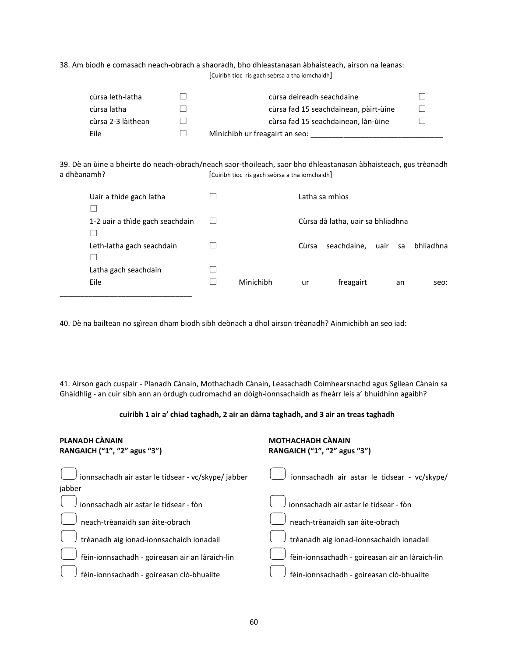38. Am biodh e comasach neach-obrach a shaoradh, bho dhleastanasan àbhaisteach, airson na leanas: [Cuiribh tioc ris gach seòrsa a tha iomchaidh]

| cùrsa leth-latha   | cùrsa deireadh seachdaine             |  |
|--------------------|---------------------------------------|--|
| cùrsa latha        | cùrsa fad 15 seachdainean, pàirt-ùine |  |
| cùrsa 2-3 làithean | cùrsa fad 15 seachdainean, làn-ùine   |  |
| Eile               | Mìnichibh ur freagairt an seo:        |  |

39. Dè an ùine a bheirte do neach-obrach/neach saor-thoileach, saor bho dhleastanasan àbhaisteach, gus trèanadh a dhèanamh? [Cuiribh tioc ris gach seòrsa a tha iomchaidh]

| Uair a thìde gach latha         |           |       | Latha sa mhìos                    |      |    |           |
|---------------------------------|-----------|-------|-----------------------------------|------|----|-----------|
| 1-2 uair a thìde gach seachdain |           |       | Cùrsa dà latha, uair sa bhliadhna |      |    |           |
| Leth-latha gach seachdain       |           | Cùrsa | seachdaine,                       | uair | sa | bhliadhna |
| Latha gach seachdain<br>Eile    | Mìnichibh | ur    | freagairt                         |      | an | seo:      |
|                                 |           |       |                                   |      |    |           |

40. Dè na bailtean no sgìrean dham biodh sibh deònach a dhol airson trèanadh? Ainmichibh an seo iad:

41. Airson gach cuspair - Planadh Cànain, Mothachadh Cànain, Leasachadh Coimhearsnachd agus Sgilean Cànain sa Ghàidhlig - an cuir sibh ann an òrdugh cudromachd an dòigh-ionnsachaidh as fheàrr leis a' bhuidhinn agaibh?

#### **cuiribh 1 air a' chiad taghadh, 2 air an dàrna taghadh, and 3 air an treas taghadh**

| <b>PLANADH CÀNAIN</b><br>RANGAICH ("1", "2" agus "3") | <b>MOTHACHADH CÀNAIN</b><br>RANGAICH ("1", "2" agus "3") |
|-------------------------------------------------------|----------------------------------------------------------|
| ionnsachadh air astar le tidsear - vc/skype/jabber    | ionnsachadh air astar le tidsear - vc/skype/             |
| jabber                                                |                                                          |
| ionnsachadh air astar le tidsear - fòn                | ionnsachadh air astar le tidsear - fòn                   |
| neach-trèanaidh san àite-obrach                       | neach-trèanaidh san àite-obrach                          |
| trèanadh aig ionad-ionnsachaidh ionadail              | trèanadh aig ionad-ionnsachaidh ionadail                 |
| fèin-ionnsachadh - goireasan air an làraich-lìn       | fèin-ionnsachadh - goireasan air an làraich-lìn          |
| fèin-ionnsachadh - goireasan clò-bhuailte             | fèin-ionnsachadh - goireasan clò-bhuailte                |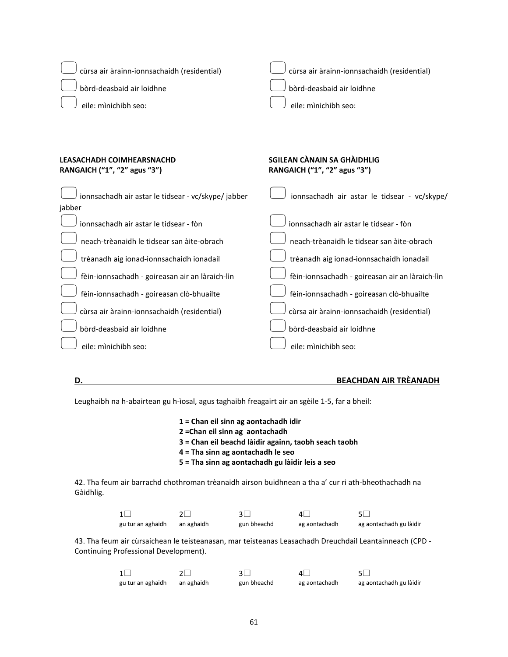| cùrsa air àrainn-ionnsachaidh (residential)                  | cùrsa air àrainn-ionnsachaidh (residential)     |
|--------------------------------------------------------------|-------------------------------------------------|
| bòrd-deasbaid air loidhne                                    | bòrd-deasbaid air loidhne                       |
| eile: mìnichibh seo:                                         | eile: mìnichibh seo:                            |
| <b>LEASACHADH COIMHEARSNACHD</b>                             | SGILEAN CÀNAIN SA GHÀIDHLIG                     |
| RANGAICH ("1", "2" agus "3")                                 | RANGAICH ("1", "2" agus "3")                    |
| ionnsachadh air astar le tidsear - vc/skype/jabber<br>jabber | ionnsachadh air astar le tidsear - vc/skype/    |
| jonnsachadh air astar le tidsear - fòn                       | jonnsachadh air astar le tidsear - fòn          |
| neach-trèanaidh le tidsear san àite-obrach                   | neach-trèanaidh le tidsear san àite-obrach      |
| trèanadh aig ionad-ionnsachaidh ionadail                     | trèanadh aig ionad-ionnsachaidh ionadail        |
| fèin-ionnsachadh - goireasan air an làraich-lìn              | fèin-ionnsachadh - goireasan air an làraich-lìn |
| fèin-ionnsachadh - goireasan clò-bhuailte                    | fèin-ionnsachadh - goireasan clò-bhuailte       |
| cùrsa air àrainn-ionnsachaidh (residential)                  | cùrsa air àrainn-ionnsachaidh (residential)     |
| bòrd-deasbaid air loidhne                                    | bòrd-deasbaid air loidhne                       |
| eile: minichibh seo:                                         | eile: mìnichibh seo:                            |

### **D. BEACHDAN AIR TRÈANADH**

Leughaibh na h-abairtean gu h-ìosal, agus taghaibh freagairt air an sgèile 1-5, far a bheil:

- **1 = Chan eil sinn ag aontachadh idir**
- **2 =Chan eil sinn ag aontachadh**
- **3 = Chan eil beachd làidir againn, taobh seach taobh**
- **4 = Tha sinn ag aontachadh le seo**
- **5 = Tha sinn ag aontachadh gu làidir leis a seo**

42. Tha feum air barrachd chothroman trèanaidh airson buidhnean a tha a' cur ri ath-bheothachadh na Gàidhlig.

|                   |            |             | ΔI            |                         |
|-------------------|------------|-------------|---------------|-------------------------|
| gu tur an aghaidh | an aghaidh | gun bheachd | ag aontachadh | ag aontachadh gu làidir |

43. Tha feum air cùrsaichean le teisteanasan, mar teisteanas Leasachadh Dreuchdail Leantainneach (CPD - Continuing Professional Development).

|                   |            |             | $\mathbf{A}$  | 51.                     |
|-------------------|------------|-------------|---------------|-------------------------|
| gu tur an aghaidh | an aghaidh | gun bheachd | ag aontachadh | ag aontachadh gu làidir |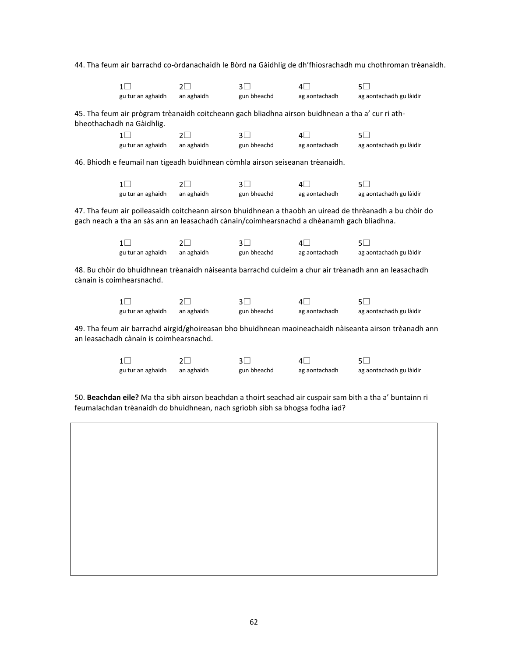44. Tha feum air barrachd co-òrdanachaidh le Bòrd na Gàidhlig de dh'fhiosrachadh mu chothroman trèanaidh.

|                                                                                                                                                   | $1\Box$                                                                                   | $2\Box$    | $3\Box$        | $4\Box$       | $5\Box$                                                                                                 |  |  |
|---------------------------------------------------------------------------------------------------------------------------------------------------|-------------------------------------------------------------------------------------------|------------|----------------|---------------|---------------------------------------------------------------------------------------------------------|--|--|
|                                                                                                                                                   | gu tur an aghaidh                                                                         | an aghaidh | gun bheachd    | ag aontachadh | ag aontachadh gu làidir                                                                                 |  |  |
| 45. Tha feum air prògram trèanaidh coitcheann gach bliadhna airson buidhnean a tha a' cur ri ath-<br>bheothachadh na Gàidhlig.                    |                                                                                           |            |                |               |                                                                                                         |  |  |
|                                                                                                                                                   | $1\Box$                                                                                   | $2\Box$    | $3\Box$        | 4⊟            | $5\Box$                                                                                                 |  |  |
|                                                                                                                                                   | gu tur an aghaidh                                                                         | an aghaidh | gun bheachd    | ag aontachadh | ag aontachadh gu làidir                                                                                 |  |  |
|                                                                                                                                                   | 46. Bhiodh e feumail nan tigeadh buidhnean còmhla airson seiseanan trèanaidh.             |            |                |               |                                                                                                         |  |  |
|                                                                                                                                                   | $1\Box$                                                                                   | $2\Box$    | 3 <sup>1</sup> | $4\Box$       | $5\Box$                                                                                                 |  |  |
|                                                                                                                                                   | gu tur an aghaidh                                                                         | an aghaidh | gun bheachd    | ag aontachadh | ag aontachadh gu làidir                                                                                 |  |  |
|                                                                                                                                                   | gach neach a tha an sàs ann an leasachadh cànain/coimhearsnachd a dhèanamh gach bliadhna. |            |                |               | 47. Tha feum air poileasaidh coitcheann airson bhuidhnean a thaobh an uiread de thrèanadh a bu chòir do |  |  |
|                                                                                                                                                   | $1\Box$                                                                                   | $2\Box$    | 3 <sup>1</sup> | $4\Box$       | 5⊡                                                                                                      |  |  |
|                                                                                                                                                   | gu tur an aghaidh                                                                         | an aghaidh | gun bheachd    | ag aontachadh | ag aontachadh gu làidir                                                                                 |  |  |
|                                                                                                                                                   | cànain is coimhearsnachd.                                                                 |            |                |               | 48. Bu chòir do bhuidhnean trèanaidh nàiseanta barrachd cuideim a chur air trèanadh ann an leasachadh   |  |  |
|                                                                                                                                                   | $1\Box$                                                                                   | $2\Box$    | $3\Box$        | $4\Box$       | $5\Box$                                                                                                 |  |  |
|                                                                                                                                                   | gu tur an aghaidh                                                                         | an aghaidh | gun bheachd    | ag aontachadh | ag aontachadh gu làidir                                                                                 |  |  |
| 49. Tha feum air barrachd airgid/ghoireasan bho bhuidhnean maoineachaidh nàiseanta airson trèanadh ann<br>an leasachadh cànain is coimhearsnachd. |                                                                                           |            |                |               |                                                                                                         |  |  |
|                                                                                                                                                   | $1\Box$                                                                                   | $2\Box$    | 3 <sup>1</sup> | $4\Box$       | 5⊡                                                                                                      |  |  |
|                                                                                                                                                   | gu tur an aghaidh                                                                         | an aghaidh | gun bheachd    | ag aontachadh | ag aontachadh gu làidir                                                                                 |  |  |

50. **Beachdan eile?** Ma tha sibh airson beachdan a thoirt seachad air cuspair sam bith a tha a' buntainn ri feumalachdan trèanaidh do bhuidhnean, nach sgrìobh sibh sa bhogsa fodha iad?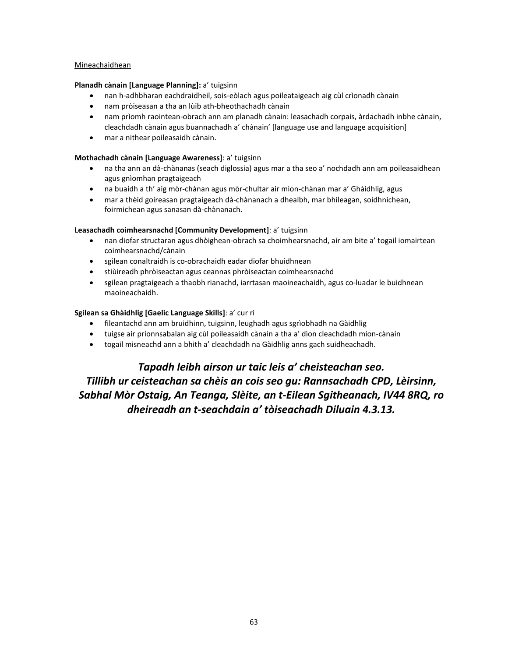#### Mìneachaidhean

### **Planadh cànain [Language Planning]:** a' tuigsinn

- nan h-adhbharan eachdraidheil, sois-eòlach agus poileataigeach aig cùl crìonadh cànain
- nam pròiseasan a tha an lùib ath-bheothachadh cànain
- nam prìomh raointean-obrach ann am planadh cànain: leasachadh corpais, àrdachadh inbhe cànain, cleachdadh cànain agus buannachadh a' chànain' [language use and language acquisition]
- mar a nithear poileasaidh cànain.

### **Mothachadh cànain [Language Awareness]**: a' tuigsinn

- na tha ann an dà-chànanas (seach diglossia) agus mar a tha seo a' nochdadh ann am poileasaidhean agus gnìomhan pragtaigeach
- na buaidh a th' aig mòr-chànan agus mòr-chultar air mion-chànan mar a' Ghàidhlig, agus
- mar a thèid goireasan pragtaigeach dà-chànanach a dhealbh, mar bhileagan, soidhnichean, foirmichean agus sanasan dà-chànanach.

#### **Leasachadh coimhearsnachd [Community Development]**: a' tuigsinn

- nan diofar structaran agus dhòighean-obrach sa choimhearsnachd, air am bite a' togail iomairtean coimhearsnachd/cànain
- sgilean conaltraidh is co-obrachaidh eadar diofar bhuidhnean
- stiùireadh phròiseactan agus ceannas phròiseactan coimhearsnachd
- sgilean pragtaigeach a thaobh rianachd, iarrtasan maoineachaidh, agus co-luadar le buidhnean maoineachaidh.

### **Sgilean sa Ghàidhlig [Gaelic Language Skills]**: a' cur ri

- fileantachd ann am bruidhinn, tuigsinn, leughadh agus sgrìobhadh na Gàidhlig
- tuigse air prionnsabalan aig cùl poileasaidh cànain a tha a' dìon cleachdadh mion-cànain
- togail misneachd ann a bhith a' cleachdadh na Gàidhlig anns gach suidheachadh.

## *Tapadh leibh airson ur taic leis a' cheisteachan seo.*

*Tillibh ur ceisteachan sa chèis an cois seo gu: Rannsachadh CPD, Lèirsinn, Sabhal Mòr Ostaig, An Teanga, Slèite, an t-Eilean Sgitheanach, IV44 8RQ, ro dheireadh an t-seachdain a' tòiseachadh Diluain 4.3.13.*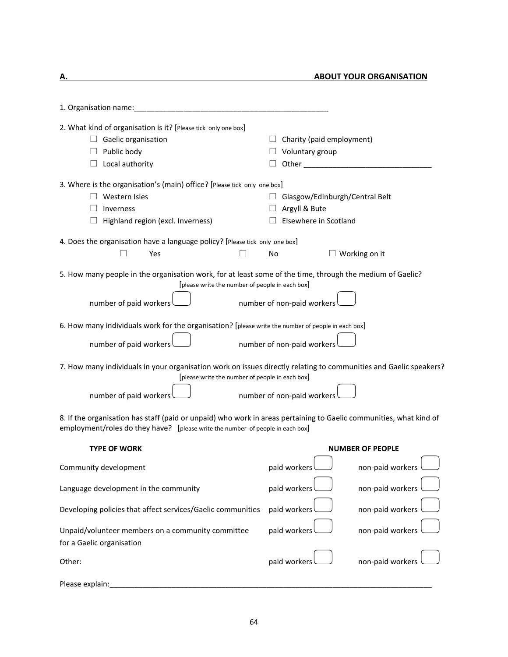**A.** ABOUT YOUR ORGANISATION

| 1. Organisation name:                                                                                                                                                                                |                                                                                 |                         |
|------------------------------------------------------------------------------------------------------------------------------------------------------------------------------------------------------|---------------------------------------------------------------------------------|-------------------------|
| 2. What kind of organisation is it? [Please tick only one box]<br>Gaelic organisation<br>Public body<br>Local authority                                                                              | $\Box$ Charity (paid employment)<br>$\Box$ Voluntary group<br>Other             |                         |
| 3. Where is the organisation's (main) office? [Please tick only one box]<br>Western Isles<br>Inverness<br>Highland region (excl. Inverness)                                                          | $\Box$ Glasgow/Edinburgh/Central Belt<br>Argyll & Bute<br>Elsewhere in Scotland |                         |
| 4. Does the organisation have a language policy? [Please tick only one box]<br>Yes                                                                                                                   | No                                                                              | Working on it           |
| 5. How many people in the organisation work, for at least some of the time, through the medium of Gaelic?<br>[please write the number of people in each box]                                         |                                                                                 |                         |
| number of paid workers                                                                                                                                                                               | number of non-paid workers                                                      |                         |
| 6. How many individuals work for the organisation? [please write the number of people in each box]<br>number of paid workers                                                                         | number of non-paid workers                                                      |                         |
| 7. How many individuals in your organisation work on issues directly relating to communities and Gaelic speakers?<br>[please write the number of people in each box]                                 |                                                                                 |                         |
| number of paid workers                                                                                                                                                                               | number of non-paid workers                                                      |                         |
| 8. If the organisation has staff (paid or unpaid) who work in areas pertaining to Gaelic communities, what kind of<br>employment/roles do they have? [please write the number of people in each box] |                                                                                 |                         |
| <b>TYPE OF WORK</b>                                                                                                                                                                                  |                                                                                 | <b>NUMBER OF PEOPLE</b> |
| Community development                                                                                                                                                                                | paid workers                                                                    | non-paid workers        |
| Language development in the community                                                                                                                                                                | paid workers                                                                    | non-paid workers        |
| Developing policies that affect services/Gaelic communities                                                                                                                                          | paid workers                                                                    | non-paid workers        |
| Unpaid/volunteer members on a community committee<br>for a Gaelic organisation                                                                                                                       | paid workers                                                                    | non-paid workers        |
| Other:                                                                                                                                                                                               | paid workers                                                                    | non-paid workers        |
| Please explain:                                                                                                                                                                                      |                                                                                 |                         |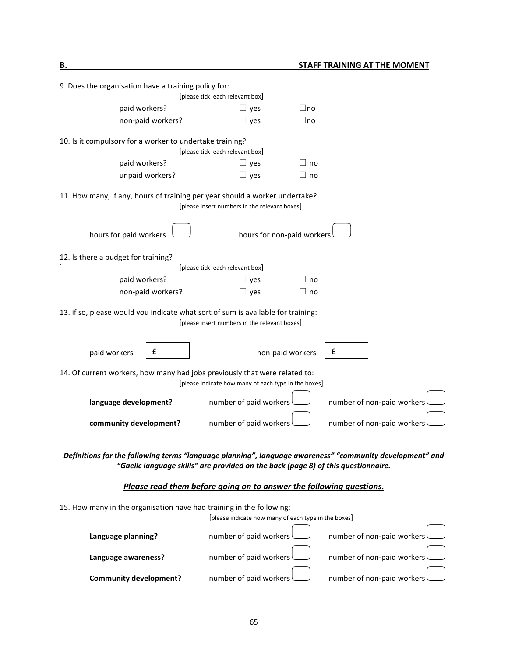| 9. Does the organisation have a training policy for:<br>[please tick each relevant box]                                                                                                       |                                                      |                            |  |  |  |
|-----------------------------------------------------------------------------------------------------------------------------------------------------------------------------------------------|------------------------------------------------------|----------------------------|--|--|--|
| paid workers?                                                                                                                                                                                 | $\Box$ yes                                           | $\sqcup$ no                |  |  |  |
| non-paid workers?                                                                                                                                                                             | $\Box$ yes                                           | $\Box$ no                  |  |  |  |
| 10. Is it compulsory for a worker to undertake training?                                                                                                                                      |                                                      |                            |  |  |  |
|                                                                                                                                                                                               | [please tick each relevant box]                      |                            |  |  |  |
| paid workers?                                                                                                                                                                                 | $\Box$ yes                                           | $\sqcup$ no                |  |  |  |
| unpaid workers?                                                                                                                                                                               | $\Box$ yes                                           | $\Box$ no                  |  |  |  |
| 11. How many, if any, hours of training per year should a worker undertake?                                                                                                                   | [please insert numbers in the relevant boxes]        |                            |  |  |  |
| hours for paid workers                                                                                                                                                                        | hours for non-paid workers                           |                            |  |  |  |
| 12. Is there a budget for training?                                                                                                                                                           | [please tick each relevant box]                      |                            |  |  |  |
| paid workers?                                                                                                                                                                                 | $\Box$ yes                                           | $\sqcup$ no                |  |  |  |
| non-paid workers?                                                                                                                                                                             | $\Box$ yes                                           | $\sqcup$ no                |  |  |  |
| 13. if so, please would you indicate what sort of sum is available for training:<br>[please insert numbers in the relevant boxes]                                                             |                                                      |                            |  |  |  |
| £<br>paid workers                                                                                                                                                                             | non-paid workers                                     | £                          |  |  |  |
| 14. Of current workers, how many had jobs previously that were related to:                                                                                                                    | [please indicate how many of each type in the boxes] |                            |  |  |  |
| language development?                                                                                                                                                                         | number of paid workers                               | number of non-paid workers |  |  |  |
| community development?                                                                                                                                                                        | number of paid workers                               | number of non-paid workers |  |  |  |
| Definitions for the following terms "language planning", language awareness" "community development" and<br>"Gaelic language skills" are provided on the back (page 8) of this questionnaire. |                                                      |                            |  |  |  |

# *Please read them before going on to answer the following questions.*

| 15. How many in the organisation have had training in the following: |                                                      |                                                                                                                  |  |
|----------------------------------------------------------------------|------------------------------------------------------|------------------------------------------------------------------------------------------------------------------|--|
|                                                                      | [please indicate how many of each type in the boxes] |                                                                                                                  |  |
| Language planning?                                                   |                                                      | number of paid workers (Sumber of non-paid workers number of non-paid workers (Sumber of non-paid workers $\Box$ |  |
| Language awareness?                                                  |                                                      | number of paid workers (edgen) number of non-paid workers (edgen)                                                |  |
| <b>Community development?</b>                                        |                                                      | number of paid workers (edgen) number of non-paid workers (edgen)                                                |  |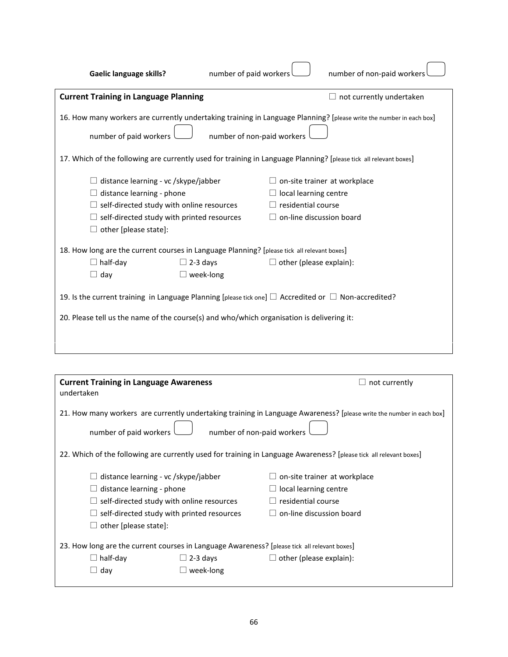| <b>Gaelic language skills?</b>                                                                                                                                                                                                                                                                                                                                                                                       | number of paid workers |                                                                                                                | number of non-paid workers      |
|----------------------------------------------------------------------------------------------------------------------------------------------------------------------------------------------------------------------------------------------------------------------------------------------------------------------------------------------------------------------------------------------------------------------|------------------------|----------------------------------------------------------------------------------------------------------------|---------------------------------|
| <b>Current Training in Language Planning</b>                                                                                                                                                                                                                                                                                                                                                                         |                        |                                                                                                                | $\Box$ not currently undertaken |
| 16. How many workers are currently undertaking training in Language Planning? [please write the number in each box]<br>number of non-paid workers<br>number of paid workers<br>17. Which of the following are currently used for training in Language Planning? [please tick all relevant boxes]                                                                                                                     |                        |                                                                                                                |                                 |
| $\Box$ distance learning - vc /skype/jabber<br>$\Box$ distance learning - phone<br>$\Box$ self-directed study with online resources<br>$\Box$ self-directed study with printed resources<br>other [please state]:                                                                                                                                                                                                    |                        | $\Box$ on-site trainer at workplace<br>local learning centre<br>residential course<br>on-line discussion board |                                 |
| 18. How long are the current courses in Language Planning? [please tick all relevant boxes]<br>$\Box$ half-day<br>$\Box$ 2-3 days<br>$\Box$ other (please explain):<br>$\Box$ week-long<br>$\Box$ day<br>19. Is the current training in Language Planning [please tick one] $\Box$ Accredited or $\Box$ Non-accredited?<br>20. Please tell us the name of the course(s) and who/which organisation is delivering it: |                        |                                                                                                                |                                 |

| <b>Current Training in Language Awareness</b>                                                |                                                      | not currently                                                                                                        |  |  |
|----------------------------------------------------------------------------------------------|------------------------------------------------------|----------------------------------------------------------------------------------------------------------------------|--|--|
| undertaken                                                                                   |                                                      |                                                                                                                      |  |  |
|                                                                                              |                                                      | 21. How many workers are currently undertaking training in Language Awareness? [please write the number in each box] |  |  |
|                                                                                              | number of non-paid workers<br>number of paid workers |                                                                                                                      |  |  |
|                                                                                              |                                                      | 22. Which of the following are currently used for training in Language Awareness? [please tick all relevant boxes]   |  |  |
| distance learning - vc /skype/jabber                                                         |                                                      | on-site trainer at workplace                                                                                         |  |  |
| distance learning - phone                                                                    |                                                      | local learning centre                                                                                                |  |  |
| self-directed study with online resources                                                    |                                                      | residential course                                                                                                   |  |  |
| self-directed study with printed resources                                                   |                                                      | on-line discussion board                                                                                             |  |  |
| other [please state]:<br>ш                                                                   |                                                      |                                                                                                                      |  |  |
| 23. How long are the current courses in Language Awareness? [please tick all relevant boxes] |                                                      |                                                                                                                      |  |  |
| $\Box$ half-day                                                                              | $\Box$ 2-3 days                                      | $\Box$ other (please explain):                                                                                       |  |  |
| day<br>$\Box$                                                                                | week-long                                            |                                                                                                                      |  |  |
|                                                                                              |                                                      |                                                                                                                      |  |  |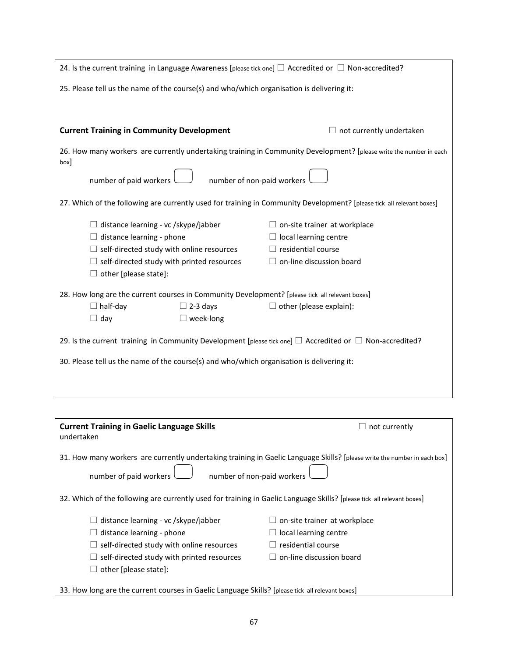| 24. Is the current training in Language Awareness [please tick one] $\Box$ Accredited or $\Box$ Non-accredited?            |                                     |  |  |
|----------------------------------------------------------------------------------------------------------------------------|-------------------------------------|--|--|
| 25. Please tell us the name of the course(s) and who/which organisation is delivering it:                                  |                                     |  |  |
|                                                                                                                            |                                     |  |  |
|                                                                                                                            |                                     |  |  |
| <b>Current Training in Community Development</b>                                                                           | $\Box$ not currently undertaken     |  |  |
| 26. How many workers are currently undertaking training in Community Development? [please write the number in each<br>box] |                                     |  |  |
| number of non-paid workers<br>number of paid workers                                                                       |                                     |  |  |
|                                                                                                                            |                                     |  |  |
| 27. Which of the following are currently used for training in Community Development? [please tick all relevant boxes]      |                                     |  |  |
| $\Box$ distance learning - vc /skype/jabber                                                                                | $\Box$ on-site trainer at workplace |  |  |
| $\Box$ distance learning - phone                                                                                           | $\Box$ local learning centre        |  |  |
| $\Box$ self-directed study with online resources                                                                           | $\Box$ residential course           |  |  |
| $\Box$ self-directed study with printed resources                                                                          | $\Box$ on-line discussion board     |  |  |
| $\Box$ other [please state]:                                                                                               |                                     |  |  |
| 28. How long are the current courses in Community Development? [please tick all relevant boxes]                            |                                     |  |  |
| $\Box$ half-day<br>$\Box$ 2-3 days                                                                                         | $\Box$ other (please explain):      |  |  |
| $\Box$ day<br>$\Box$ week-long                                                                                             |                                     |  |  |
| 29. Is the current training in Community Development [please tick one] $\Box$ Accredited or $\Box$ Non-accredited?         |                                     |  |  |
| 30. Please tell us the name of the course(s) and who/which organisation is delivering it:                                  |                                     |  |  |
|                                                                                                                            |                                     |  |  |
|                                                                                                                            |                                     |  |  |
|                                                                                                                            |                                     |  |  |

| <b>Current Training in Gaelic Language Skills</b><br>undertaken                                                                                                                  | not currently                |  |  |
|----------------------------------------------------------------------------------------------------------------------------------------------------------------------------------|------------------------------|--|--|
| 31. How many workers are currently undertaking training in Gaelic Language Skills? [please write the number in each box]<br>number of non-paid workers<br>number of paid workers |                              |  |  |
| 32. Which of the following are currently used for training in Gaelic Language Skills? [please tick all relevant boxes]                                                           |                              |  |  |
| distance learning - vc /skype/jabber                                                                                                                                             | on-site trainer at workplace |  |  |
| distance learning - phone                                                                                                                                                        | local learning centre        |  |  |
| self-directed study with online resources                                                                                                                                        | residential course           |  |  |
| self-directed study with printed resources                                                                                                                                       | on-line discussion board     |  |  |
| other [please state]:                                                                                                                                                            |                              |  |  |
| 33. How long are the current courses in Gaelic Language Skills? [please tick all relevant boxes]                                                                                 |                              |  |  |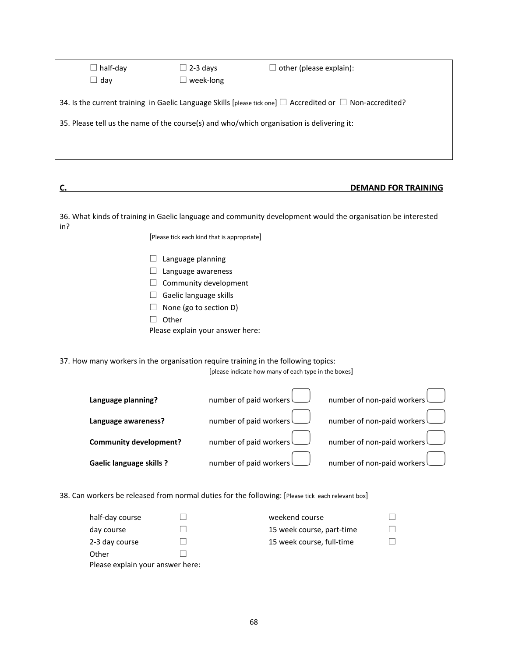| $\Box$ half-day                                                                           | $\Box$ 2-3 days  | $\Box$ other (please explain):                                                                                      |
|-------------------------------------------------------------------------------------------|------------------|---------------------------------------------------------------------------------------------------------------------|
| $\Box$ dav                                                                                | $\Box$ week-long |                                                                                                                     |
|                                                                                           |                  | 34. Is the current training in Gaelic Language Skills [please tick one] $\Box$ Accredited or $\Box$ Non-accredited? |
| 35. Please tell us the name of the course(s) and who/which organisation is delivering it: |                  |                                                                                                                     |
|                                                                                           |                  |                                                                                                                     |
|                                                                                           |                  |                                                                                                                     |

# **C. DEMAND FOR TRAINING**

36. What kinds of training in Gaelic language and community development would the organisation be interested in?

[Please tick each kind that is appropriate]

- $\Box$  Language planning
- $\Box$  Language awareness
- $\Box$  Community development
- $\Box$  Gaelic language skills
- $\Box$  None (go to section D)
- $\Box$  Other
- Please explain your answer here:

37. How many workers in the organisation require training in the following topics:

[please indicate how many of each type in the boxes]

| Language planning?              | number of paid workers number of non-paid workers                        |
|---------------------------------|--------------------------------------------------------------------------|
| Language awareness?             | number of paid workers<br>$\bigcup$ number of non-paid workers $\bigcup$ |
| <b>Community development?</b>   | number of paid workers<br>number of non-paid workers<br>$\Box$           |
| <b>Gaelic language skills ?</b> | number of paid workers number of non-paid workers until $\sum$           |

38. Can workers be released from normal duties for the following: [Please tick each relevant box]

| half-day course                  |  | weekend course            |  |
|----------------------------------|--|---------------------------|--|
| day course                       |  | 15 week course, part-time |  |
| 2-3 day course                   |  | 15 week course, full-time |  |
| Other                            |  |                           |  |
| Please explain your answer here: |  |                           |  |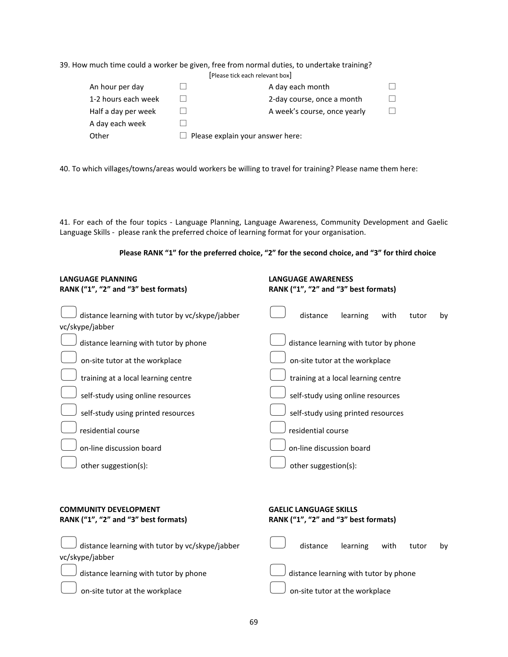|                     | 39. How much time could a worker be given, free from normal duties, to undertake training?<br>[Please tick each relevant box] |  |
|---------------------|-------------------------------------------------------------------------------------------------------------------------------|--|
| An hour per day     | A day each month                                                                                                              |  |
| 1-2 hours each week | 2-day course, once a month                                                                                                    |  |
| Half a day per week | A week's course, once yearly                                                                                                  |  |
| A day each week     |                                                                                                                               |  |
| Other               | Please explain your answer here:                                                                                              |  |

40. To which villages/towns/areas would workers be willing to travel for training? Please name them here:

41. For each of the four topics - Language Planning, Language Awareness, Community Development and Gaelic Language Skills - please rank the preferred choice of learning format for your organisation.

| Please RANK "1" for the preferred choice, "2" for the second choice, and "3" for third choice |  |  |
|-----------------------------------------------------------------------------------------------|--|--|
|-----------------------------------------------------------------------------------------------|--|--|

| <b>LANGUAGE PLANNING</b><br>RANK ("1", "2" and "3" best formats)   | <b>LANGUAGE AWARENESS</b><br>RANK ("1", "2" and "3" best formats) |
|--------------------------------------------------------------------|-------------------------------------------------------------------|
| distance learning with tutor by vc/skype/jabber<br>vc/skype/jabber | distance<br>learning<br>with<br>tutor<br>by                       |
| distance learning with tutor by phone                              | distance learning with tutor by phone                             |
| on-site tutor at the workplace                                     | on-site tutor at the workplace                                    |
| training at a local learning centre                                | training at a local learning centre                               |
| self-study using online resources                                  | self-study using online resources                                 |
| self-study using printed resources                                 | self-study using printed resources                                |
| residential course                                                 | residential course                                                |
| on-line discussion board                                           | on-line discussion board                                          |
| other suggestion(s):                                               | other suggestion(s):                                              |
|                                                                    |                                                                   |
| <b>COMMUNITY DEVELOPMENT</b>                                       | <b>GAELIC LANGUAGE SKILLS</b>                                     |

| RANK ("1", "2" and "3" best formats)                                                               | RANK ("1", "2" and "3" best formats)  |  |  |  |
|----------------------------------------------------------------------------------------------------|---------------------------------------|--|--|--|
| distance learning with tutor by vc/skype/jabber distance learning with tutor by<br>vc/skype/jabber |                                       |  |  |  |
| $\bigcup$ distance learning with tutor by phone                                                    | distance learning with tutor by phone |  |  |  |
| on-site tutor at the workplace                                                                     | on-site tutor at the workplace        |  |  |  |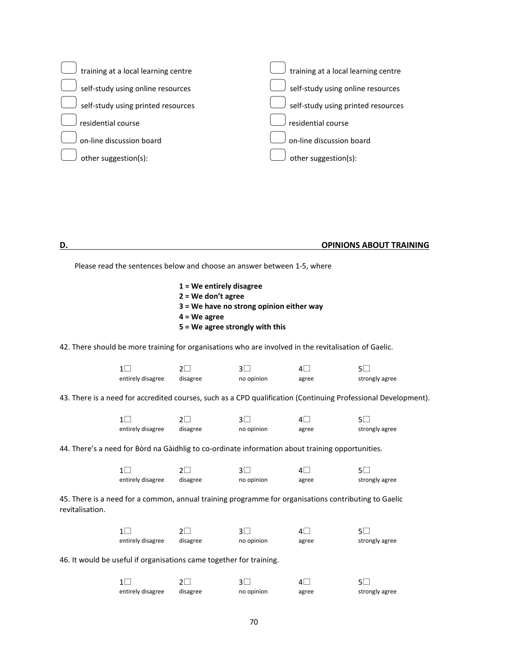

#### **D. OPINIONS ABOUT TRAINING**

Please read the sentences below and choose an answer between 1-5, where

**1 = We entirely disagree 2 = We don't agree 3 = We have no strong opinion either way 4 = We agree 5 = We agree strongly with this**

42. There should be more training for organisations who are involved in the revitalisation of Gaelic.

| entirely disagree | disagree | no opinion | agree | strongly agree |
|-------------------|----------|------------|-------|----------------|

43. There is a need for accredited courses, such as a CPD qualification (Continuing Professional Development).

|                   |          |            | ΔI    |                |
|-------------------|----------|------------|-------|----------------|
| entirely disagree | disagree | no opinion | agree | strongly agree |

44. There's a need for Bòrd na Gàidhlig to co-ordinate information about training opportunities.

| $1\Box$           |          |            | $\mathbf{A}$ |                |
|-------------------|----------|------------|--------------|----------------|
| entirely disagree | disagree | no opinion | agree        | strongly agree |

45. There is a need for a common, annual training programme for organisations contributing to Gaelic revitalisation.

|                   |          |            | $\vert$ | 51.            |
|-------------------|----------|------------|---------|----------------|
| entirely disagree | disagree | no opinion | agree   | strongly agree |

46. It would be useful if organisations came together for training.

| $1\Box$           |          |            | 41    |                |
|-------------------|----------|------------|-------|----------------|
| entirely disagree | disagree | no opinion | agree | strongly agree |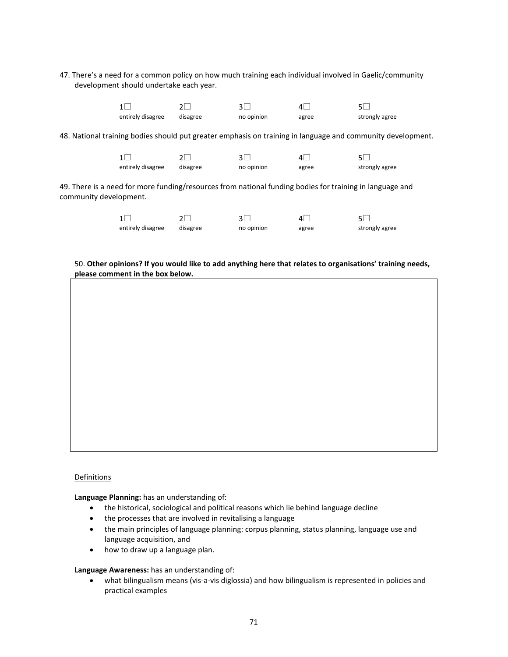47. There's a need for a common policy on how much training each individual involved in Gaelic/community development should undertake each year.

| entirely disagree | disagree | no opinion | agree | strongly agree |
|-------------------|----------|------------|-------|----------------|

48. National training bodies should put greater emphasis on training in language and community development.

|                   |          |            | $\vert$ |                |
|-------------------|----------|------------|---------|----------------|
| entirely disagree | disagree | no opinion | agree   | strongly agree |

49. There is a need for more funding/resources from national funding bodies for training in language and community development.

| $1\Box$           |          |            | 4∣    |                |
|-------------------|----------|------------|-------|----------------|
| entirely disagree | disagree | no opinion | agree | strongly agree |

#### 50. **Other opinions? If you would like to add anything here that relates to organisations' training needs, please comment in the box below.**

### **Definitions**

**Language Planning:** has an understanding of:

- the historical, sociological and political reasons which lie behind language decline
- the processes that are involved in revitalising a language
- the main principles of language planning: corpus planning, status planning, language use and language acquisition, and
- how to draw up a language plan.

**Language Awareness:** has an understanding of:

• what bilingualism means (vis-a-vis diglossia) and how bilingualism is represented in policies and practical examples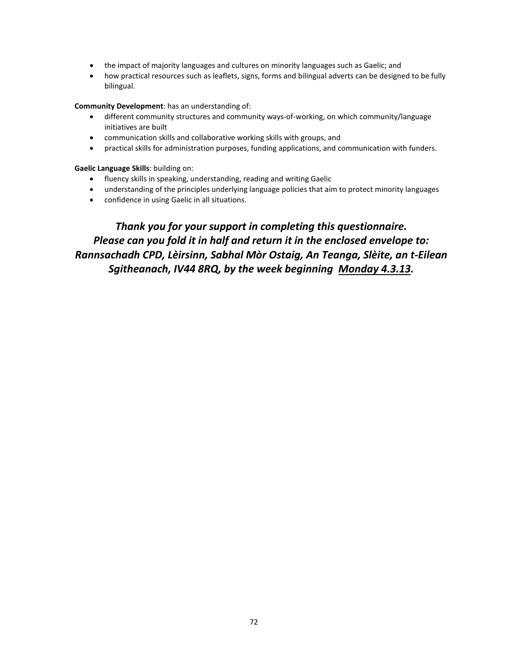- the impact of majority languages and cultures on minority languages such as Gaelic; and
- how practical resources such as leaflets, signs, forms and bilingual adverts can be designed to be fully bilingual.

**Community Development**: has an understanding of:

- different community structures and community ways-of-working, on which community/language initiatives are built
- communication skills and collaborative working skills with groups, and
- practical skills for administration purposes, funding applications, and communication with funders.

**Gaelic Language Skills**: building on:

- fluency skills in speaking, understanding, reading and writing Gaelic
- understanding of the principles underlying language policies that aim to protect minority languages
- confidence in using Gaelic in all situations.

*Thank you for your support in completing this questionnaire. Please can you fold it in half and return it in the enclosed envelope to: Rannsachadh CPD, Lèirsinn, Sabhal Mòr Ostaig, An Teanga, Slèite, an t-Eilean Sgitheanach, IV44 8RQ, by the week beginning Monday 4.3.13.*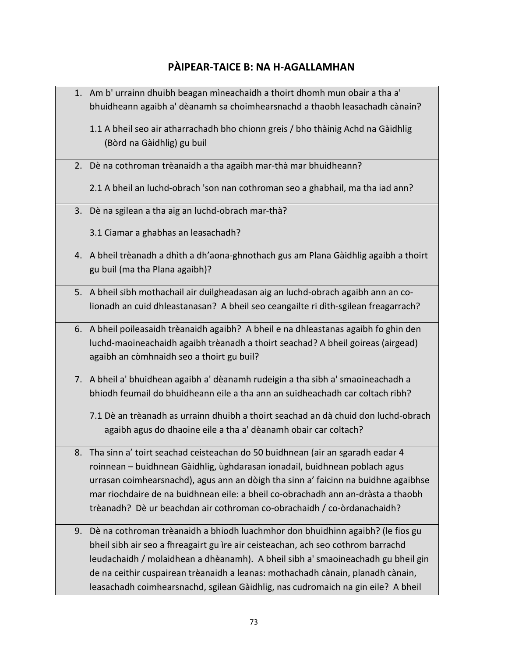## **PÀIPEAR-TAICE B: NA H-AGALLAMHAN**

- 1. Am b' urrainn dhuibh beagan mìneachaidh a thoirt dhomh mun obair a tha a' bhuidheann agaibh a' dèanamh sa choimhearsnachd a thaobh leasachadh cànain? 1.1 A bheil seo air atharrachadh bho chionn greis / bho thàinig Achd na Gàidhlig (Bòrd na Gàidhlig) gu buil 2. Dè na cothroman trèanaidh a tha agaibh mar-thà mar bhuidheann? 2.1 A bheil an luchd-obrach 'son nan cothroman seo a ghabhail, ma tha iad ann? 3. Dè na sgilean a tha aig an luchd-obrach mar-thà? 3.1 Ciamar a ghabhas an leasachadh? 4. A bheil trèanadh a dhìth a dh'aona-ghnothach gus am Plana Gàidhlig agaibh a thoirt gu buil (ma tha Plana agaibh)? 5. A bheil sibh mothachail air duilgheadasan aig an luchd-obrach agaibh ann an colionadh an cuid dhleastanasan? A bheil seo ceangailte ri dìth-sgilean freagarrach? 6. A bheil poileasaidh trèanaidh agaibh? A bheil e na dhleastanas agaibh fo ghin den luchd-maoineachaidh agaibh trèanadh a thoirt seachad? A bheil goireas (airgead) agaibh an còmhnaidh seo a thoirt gu buil? 7. A bheil a' bhuidhean agaibh a' dèanamh rudeigin a tha sibh a' smaoineachadh a bhiodh feumail do bhuidheann eile a tha ann an suidheachadh car coltach ribh? 7.1 Dè an trèanadh as urrainn dhuibh a thoirt seachad an dà chuid don luchd-obrach agaibh agus do dhaoine eile a tha a' dèanamh obair car coltach? 8. Tha sinn a' toirt seachad ceisteachan do 50 buidhnean (air an sgaradh eadar 4 roinnean – buidhnean Gàidhlig, ùghdarasan ionadail, buidhnean poblach agus urrasan coimhearsnachd), agus ann an dòigh tha sinn a' faicinn na buidhne agaibhse mar riochdaire de na buidhnean eile: a bheil co-obrachadh ann an-dràsta a thaobh trèanadh? Dè ur beachdan air cothroman co-obrachaidh / co-òrdanachaidh? 9. Dè na cothroman trèanaidh a bhiodh luachmhor don bhuidhinn agaibh? (le fios gu bheil sibh air seo a fhreagairt gu ìre air ceisteachan, ach seo cothrom barrachd leudachaidh / molaidhean a dhèanamh). A bheil sibh a' smaoineachadh gu bheil gin de na ceithir cuspairean trèanaidh a leanas: mothachadh cànain, planadh cànain,
	- leasachadh coimhearsnachd, sgilean Gàidhlig, nas cudromaich na gin eile? A bheil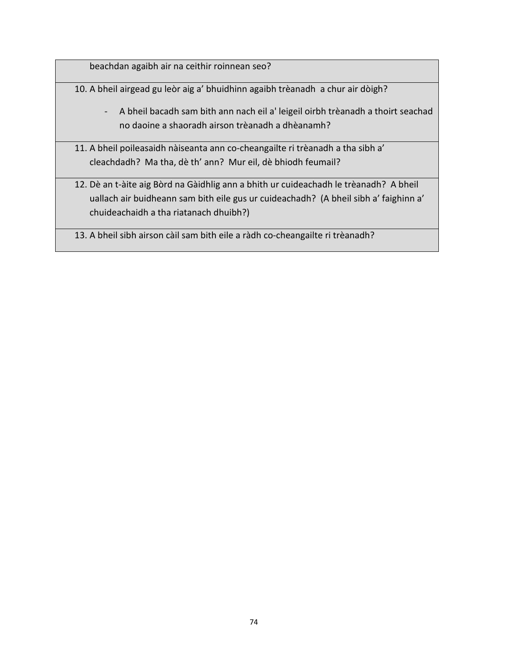beachdan agaibh air na ceithir roinnean seo?

10. A bheil airgead gu leòr aig a' bhuidhinn agaibh trèanadh a chur air dòigh?

- A bheil bacadh sam bith ann nach eil a' leigeil oirbh trèanadh a thoirt seachad no daoine a shaoradh airson trèanadh a dhèanamh?
- 11. A bheil poileasaidh nàiseanta ann co-cheangailte ri trèanadh a tha sibh a' cleachdadh? Ma tha, dè th' ann? Mur eil, dè bhiodh feumail?
- 12. Dè an t-àite aig Bòrd na Gàidhlig ann a bhith ur cuideachadh le trèanadh? A bheil uallach air buidheann sam bith eile gus ur cuideachadh? (A bheil sibh a' faighinn a' chuideachaidh a tha riatanach dhuibh?)
- 13. A bheil sibh airson càil sam bith eile a ràdh co-cheangailte ri trèanadh?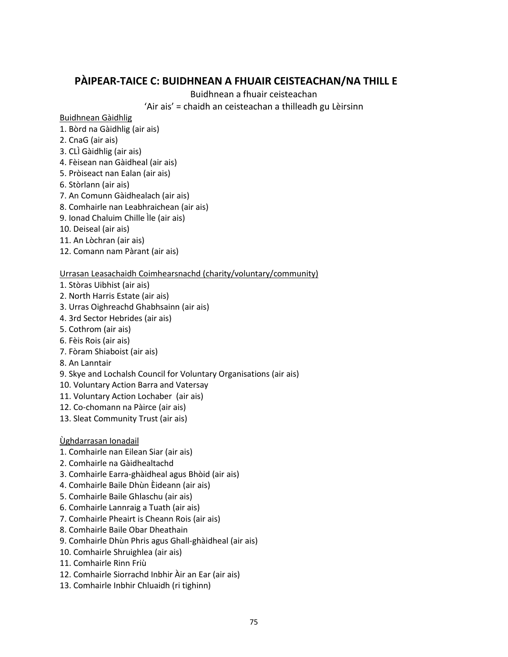## **PÀIPEAR-TAICE C: BUIDHNEAN A FHUAIR CEISTEACHAN/NA THILL E**

Buidhnean a fhuair ceisteachan

'Air ais' = chaidh an ceisteachan a thilleadh gu Lèirsinn

Buidhnean Gàidhlig

- 1. Bòrd na Gàidhlig (air ais)
- 2. CnaG (air ais)
- 3. CLÌ Gàidhlig (air ais)
- 4. Fèisean nan Gàidheal (air ais)
- 5. Pròiseact nan Ealan (air ais)
- 6. Stòrlann (air ais)
- 7. An Comunn Gàidhealach (air ais)
- 8. Comhairle nan Leabhraichean (air ais)
- 9. Ionad Chaluim Chille Ìle (air ais)
- 10. Deiseal (air ais)
- 11. An Lòchran (air ais)
- 12. Comann nam Pàrant (air ais)

## Urrasan Leasachaidh Coimhearsnachd (charity/voluntary/community)

- 1. Stòras Uibhist (air ais)
- 2. North Harris Estate (air ais)
- 3. Urras Oighreachd Ghabhsainn (air ais)
- 4. 3rd Sector Hebrides (air ais)
- 5. Cothrom (air ais)
- 6. Fèis Rois (air ais)
- 7. Fòram Shiaboist (air ais)
- 8. An Lanntair
- 9. Skye and Lochalsh Council for Voluntary Organisations (air ais)
- 10. Voluntary Action Barra and Vatersay
- 11. Voluntary Action Lochaber (air ais)
- 12. Co-chomann na Pàirce (air ais)
- 13. Sleat Community Trust (air ais)

## Ùghdarrasan Ionadail

- 1. Comhairle nan Eilean Siar (air ais)
- 2. Comhairle na Gàidhealtachd
- 3. Comhairle Earra-ghàidheal agus Bhòid (air ais)
- 4. Comhairle Baile Dhùn Èideann (air ais)
- 5. Comhairle Baile Ghlaschu (air ais)
- 6. Comhairle Lannraig a Tuath (air ais)
- 7. Comhairle Pheairt is Cheann Rois (air ais)
- 8. Comhairle Baile Obar Dheathain
- 9. Comhairle Dhùn Phris agus Ghall-ghàidheal (air ais)
- 10. Comhairle Shruighlea (air ais)
- 11. Comhairle Rinn Friù
- 12. Comhairle Siorrachd Inbhir Àir an Ear (air ais)
- 13. Comhairle Inbhir Chluaidh (ri tighinn)